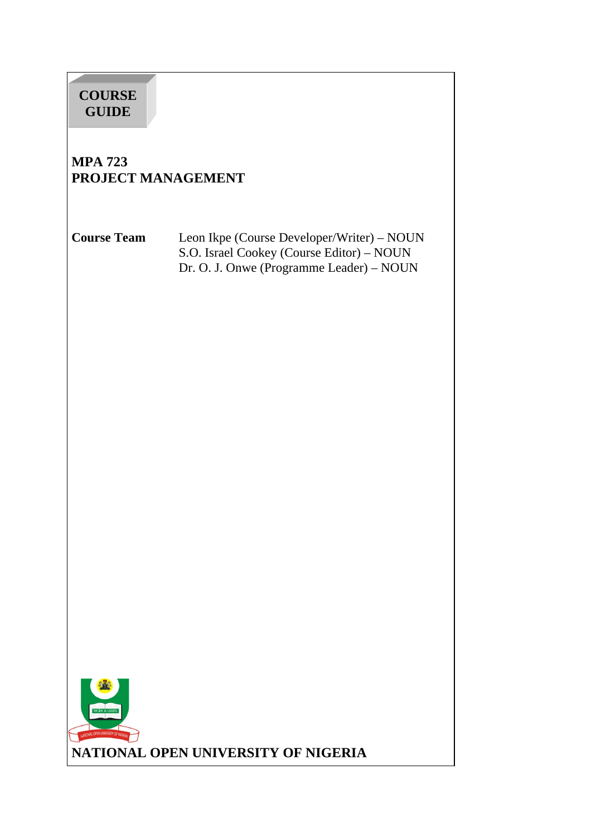# **COURSE GUIDE**

# **MPA 723 PROJECT MANAGEMENT**

**Course Team** Leon Ikpe (Course Developer/Writer) – NOUN S.O. Israel Cookey (Course Editor) – NOUN Dr. O. J. Onwe (Programme Leader) – NOUN

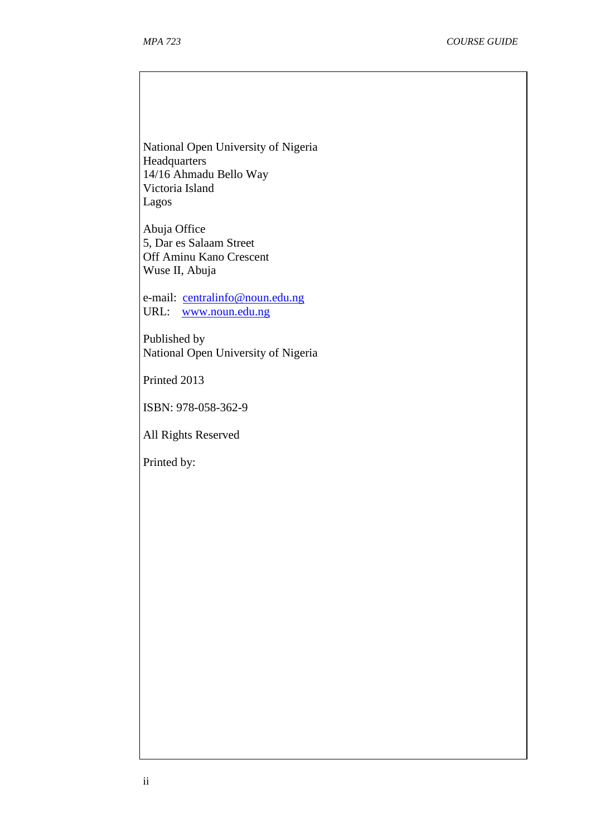National Open University of Nigeria **Headquarters** 14/16 Ahmadu Bello Way Victoria Island Lagos

Abuja Office 5, Dar es Salaam Street Off Aminu Kano Crescent Wuse II, Abuja

e-mail: centralinfo@noun.edu.ng URL: www.noun.edu.ng

Published by National Open University of Nigeria

Printed 2013

ISBN: 978-058-362-9

All Rights Reserved

Printed by: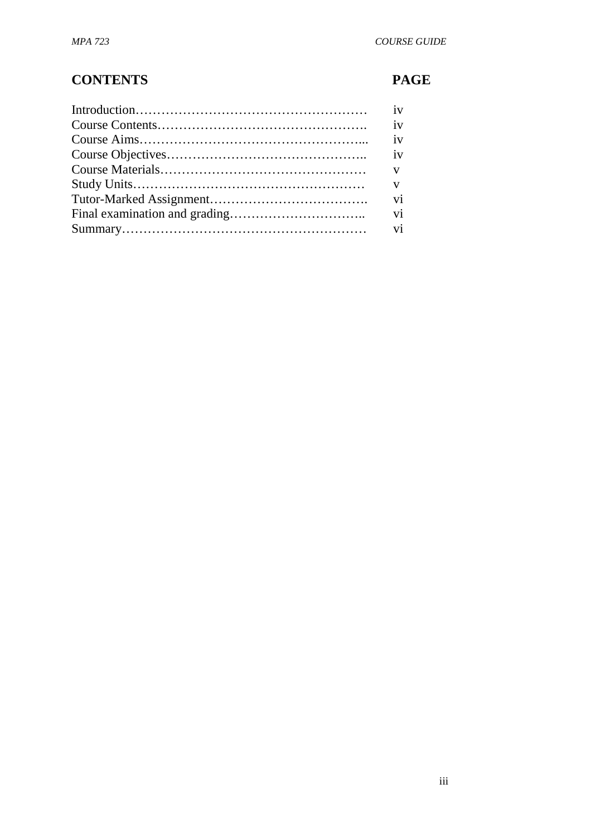# **CONTENTS PAGE**

| iv                       |
|--------------------------|
| iv                       |
|                          |
| $\mathbf{V}$             |
| $\overline{\mathbf{vi}}$ |
| vi                       |
|                          |
|                          |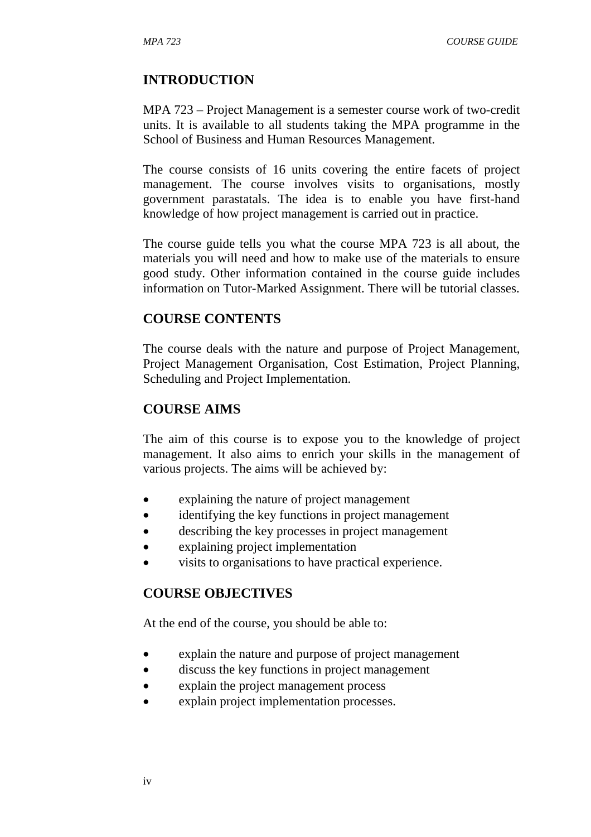## **INTRODUCTION**

MPA 723 – Project Management is a semester course work of two-credit units. It is available to all students taking the MPA programme in the School of Business and Human Resources Management.

The course consists of 16 units covering the entire facets of project management. The course involves visits to organisations, mostly government parastatals. The idea is to enable you have first-hand knowledge of how project management is carried out in practice.

The course guide tells you what the course MPA 723 is all about, the materials you will need and how to make use of the materials to ensure good study. Other information contained in the course guide includes information on Tutor-Marked Assignment. There will be tutorial classes.

#### **COURSE CONTENTS**

The course deals with the nature and purpose of Project Management, Project Management Organisation, Cost Estimation, Project Planning, Scheduling and Project Implementation.

#### **COURSE AIMS**

The aim of this course is to expose you to the knowledge of project management. It also aims to enrich your skills in the management of various projects. The aims will be achieved by:

- explaining the nature of project management
- identifying the key functions in project management
- describing the key processes in project management
- explaining project implementation
- visits to organisations to have practical experience.

#### **COURSE OBJECTIVES**

At the end of the course, you should be able to:

- explain the nature and purpose of project management
- discuss the key functions in project management
- explain the project management process
- explain project implementation processes.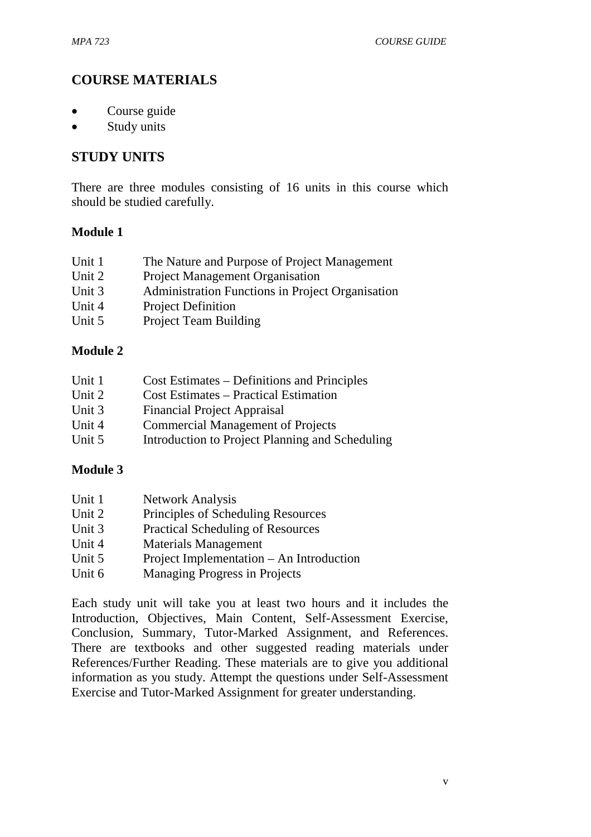## **COURSE MATERIALS**

- Course guide
- Study units

## **STUDY UNITS**

There are three modules consisting of 16 units in this course which should be studied carefully.

#### **Module 1**

- Unit 1 The Nature and Purpose of Project Management
- Unit 2 Project Management Organisation
- Unit 3 Administration Functions in Project Organisation
- Unit 4 Project Definition
- Unit 5 Project Team Building

#### **Module 2**

| Unit 1 | Cost Estimates – Definitions and Principles     |
|--------|-------------------------------------------------|
| Unit 2 | <b>Cost Estimates – Practical Estimation</b>    |
| Unit 3 | <b>Financial Project Appraisal</b>              |
| Unit 4 | <b>Commercial Management of Projects</b>        |
| Unit 5 | Introduction to Project Planning and Scheduling |

#### **Module 3**

| Unit 1 | <b>Network Analysis</b>                  |
|--------|------------------------------------------|
| Unit 2 | Principles of Scheduling Resources       |
| Unit 3 | <b>Practical Scheduling of Resources</b> |
| Unit 4 | <b>Materials Management</b>              |
| Unit 5 | Project Implementation – An Introduction |
|        |                                          |

Unit 6 Managing Progress in Projects

Each study unit will take you at least two hours and it includes the Introduction, Objectives, Main Content, Self-Assessment Exercise, Conclusion, Summary, Tutor-Marked Assignment, and References. There are textbooks and other suggested reading materials under References/Further Reading. These materials are to give you additional information as you study. Attempt the questions under Self-Assessment Exercise and Tutor-Marked Assignment for greater understanding.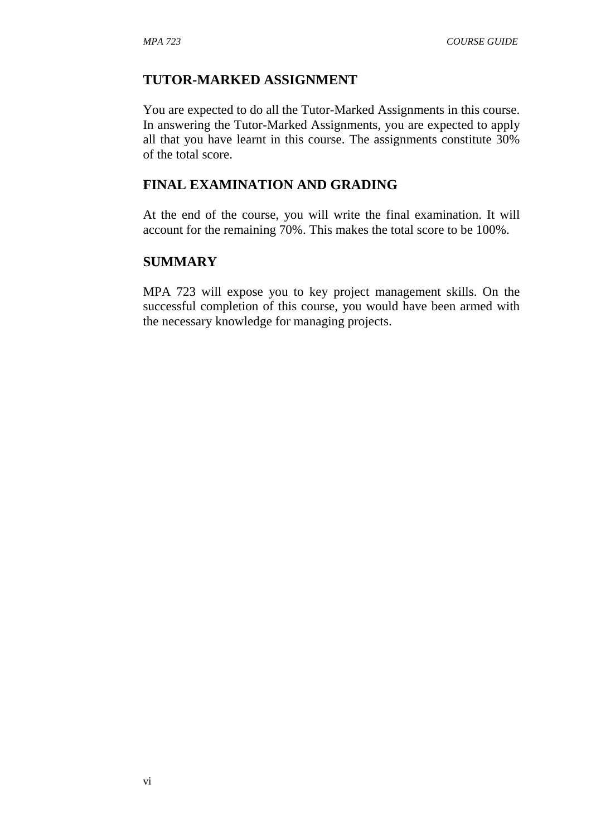#### **TUTOR-MARKED ASSIGNMENT**

You are expected to do all the Tutor-Marked Assignments in this course. In answering the Tutor-Marked Assignments, you are expected to apply all that you have learnt in this course. The assignments constitute 30% of the total score.

## **FINAL EXAMINATION AND GRADING**

At the end of the course, you will write the final examination. It will account for the remaining 70%. This makes the total score to be 100%.

#### **SUMMARY**

MPA 723 will expose you to key project management skills. On the successful completion of this course, you would have been armed with the necessary knowledge for managing projects.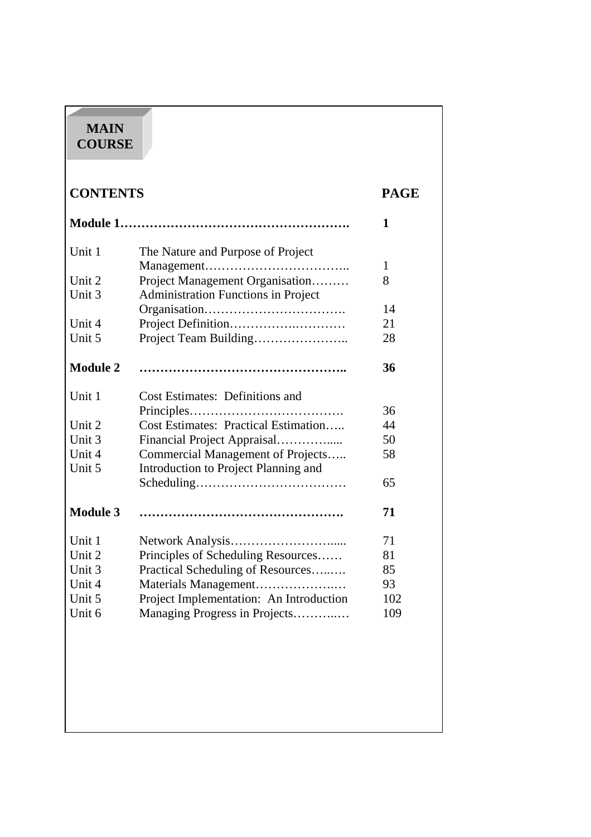# **MAIN COURSE**

| <b>CONTENTS</b> |                                             | <b>PAGE</b> |  |
|-----------------|---------------------------------------------|-------------|--|
|                 |                                             | 1           |  |
| Unit 1          | The Nature and Purpose of Project           |             |  |
|                 |                                             | 1           |  |
| Unit 2          | Project Management Organisation             | 8           |  |
| Unit 3          | <b>Administration Functions in Project</b>  |             |  |
|                 |                                             | 14          |  |
| Unit 4          |                                             | 21          |  |
| Unit 5          | Project Team Building                       | 28          |  |
| <b>Module 2</b> |                                             | 36          |  |
| Unit 1          | <b>Cost Estimates: Definitions and</b>      |             |  |
|                 |                                             | 36          |  |
| Unit 2          | <b>Cost Estimates: Practical Estimation</b> | 44          |  |
| Unit 3          | Financial Project Appraisal                 | 50          |  |
| Unit 4          | Commercial Management of Projects           | 58          |  |
| Unit 5          | Introduction to Project Planning and        |             |  |
|                 |                                             | 65          |  |
| <b>Module 3</b> |                                             | 71          |  |
| Unit 1          |                                             | 71          |  |
| Unit 2          | Principles of Scheduling Resources          | 81          |  |
| Unit 3          | Practical Scheduling of Resources           | 85          |  |
| Unit 4          | Materials Management                        | 93          |  |
| Unit 5          | Project Implementation: An Introduction     | 102         |  |
| Unit 6          | Managing Progress in Projects               | 109         |  |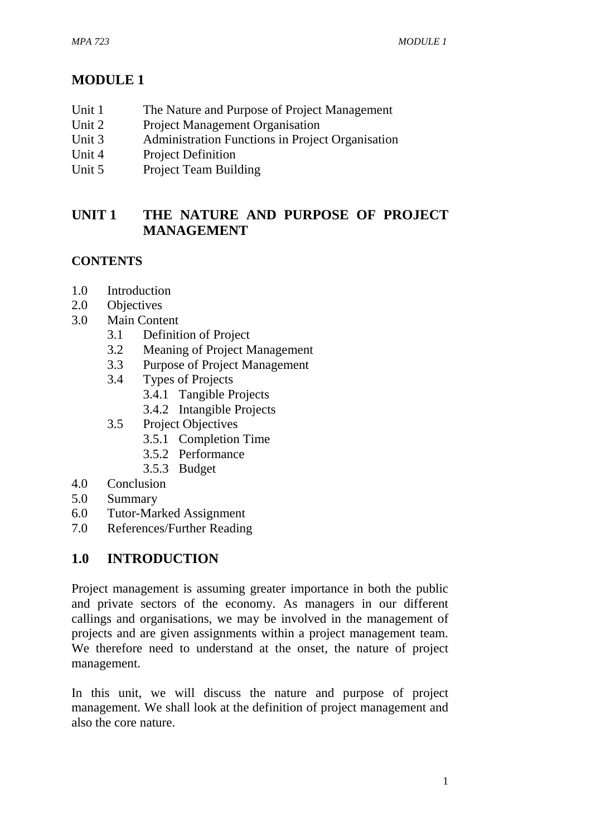# **MODULE 1**

- Unit 1 The Nature and Purpose of Project Management
- Unit 2 Project Management Organisation
- Unit 3 Administration Functions in Project Organisation
- Unit 4 Project Definition
- Unit 5 Project Team Building

# **UNIT 1 THE NATURE AND PURPOSE OF PROJECT MANAGEMENT**

# **CONTENTS**

- 1.0 Introduction
- 2.0 Objectives
- 3.0 Main Content
	- 3.1 Definition of Project
	- 3.2 Meaning of Project Management
	- 3.3 Purpose of Project Management
	- 3.4 Types of Projects
		- 3.4.1 Tangible Projects
		- 3.4.2 Intangible Projects
	- 3.5 Project Objectives
		- 3.5.1 Completion Time
		- 3.5.2 Performance
		- 3.5.3 Budget
- 4.0 Conclusion
- 5.0 Summary
- 6.0 Tutor-Marked Assignment
- 7.0 References/Further Reading

# **1.0 INTRODUCTION**

Project management is assuming greater importance in both the public and private sectors of the economy. As managers in our different callings and organisations, we may be involved in the management of projects and are given assignments within a project management team. We therefore need to understand at the onset, the nature of project management.

In this unit, we will discuss the nature and purpose of project management. We shall look at the definition of project management and also the core nature.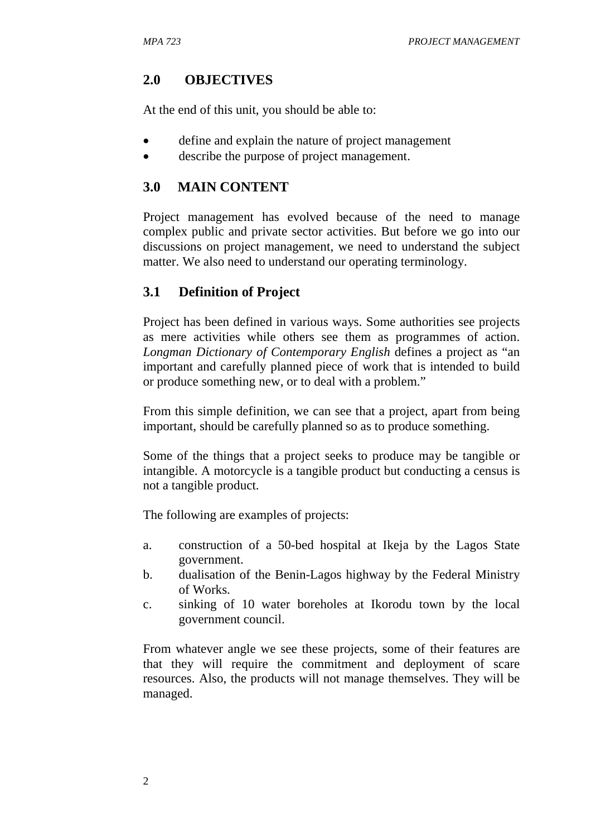## **2.0 OBJECTIVES**

At the end of this unit, you should be able to:

- define and explain the nature of project management
- describe the purpose of project management.

## **3.0 MAIN CONTENT**

Project management has evolved because of the need to manage complex public and private sector activities. But before we go into our discussions on project management, we need to understand the subject matter. We also need to understand our operating terminology.

## **3.1 Definition of Project**

Project has been defined in various ways. Some authorities see projects as mere activities while others see them as programmes of action. *Longman Dictionary of Contemporary English* defines a project as "an important and carefully planned piece of work that is intended to build or produce something new, or to deal with a problem."

From this simple definition, we can see that a project, apart from being important, should be carefully planned so as to produce something.

Some of the things that a project seeks to produce may be tangible or intangible. A motorcycle is a tangible product but conducting a census is not a tangible product.

The following are examples of projects:

- a. construction of a 50-bed hospital at Ikeja by the Lagos State government.
- b. dualisation of the Benin-Lagos highway by the Federal Ministry of Works.
- c. sinking of 10 water boreholes at Ikorodu town by the local government council.

From whatever angle we see these projects, some of their features are that they will require the commitment and deployment of scare resources. Also, the products will not manage themselves. They will be managed.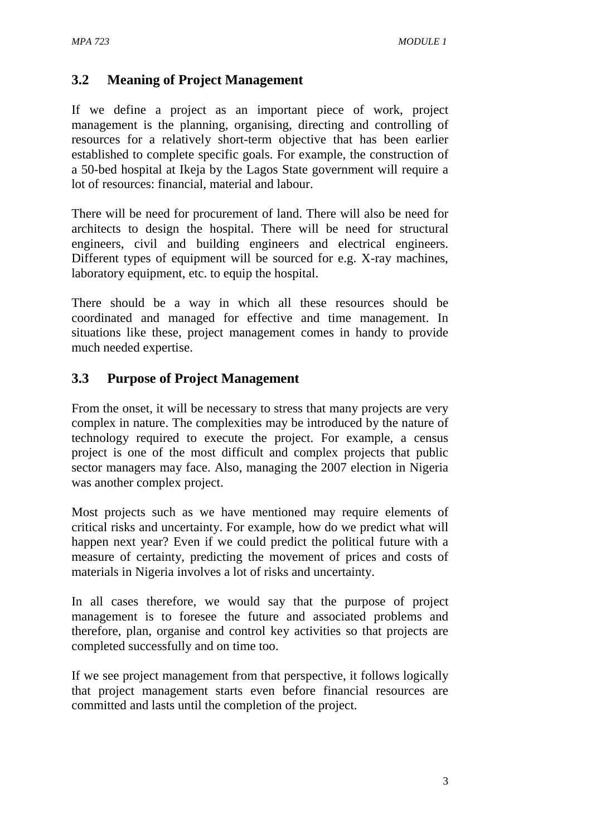# **3.2 Meaning of Project Management**

If we define a project as an important piece of work, project management is the planning, organising, directing and controlling of resources for a relatively short-term objective that has been earlier established to complete specific goals. For example, the construction of a 50-bed hospital at Ikeja by the Lagos State government will require a lot of resources: financial, material and labour.

There will be need for procurement of land. There will also be need for architects to design the hospital. There will be need for structural engineers, civil and building engineers and electrical engineers. Different types of equipment will be sourced for e.g. X-ray machines, laboratory equipment, etc. to equip the hospital.

There should be a way in which all these resources should be coordinated and managed for effective and time management. In situations like these, project management comes in handy to provide much needed expertise.

# **3.3 Purpose of Project Management**

From the onset, it will be necessary to stress that many projects are very complex in nature. The complexities may be introduced by the nature of technology required to execute the project. For example, a census project is one of the most difficult and complex projects that public sector managers may face. Also, managing the 2007 election in Nigeria was another complex project.

Most projects such as we have mentioned may require elements of critical risks and uncertainty. For example, how do we predict what will happen next year? Even if we could predict the political future with a measure of certainty, predicting the movement of prices and costs of materials in Nigeria involves a lot of risks and uncertainty.

In all cases therefore, we would say that the purpose of project management is to foresee the future and associated problems and therefore, plan, organise and control key activities so that projects are completed successfully and on time too.

If we see project management from that perspective, it follows logically that project management starts even before financial resources are committed and lasts until the completion of the project.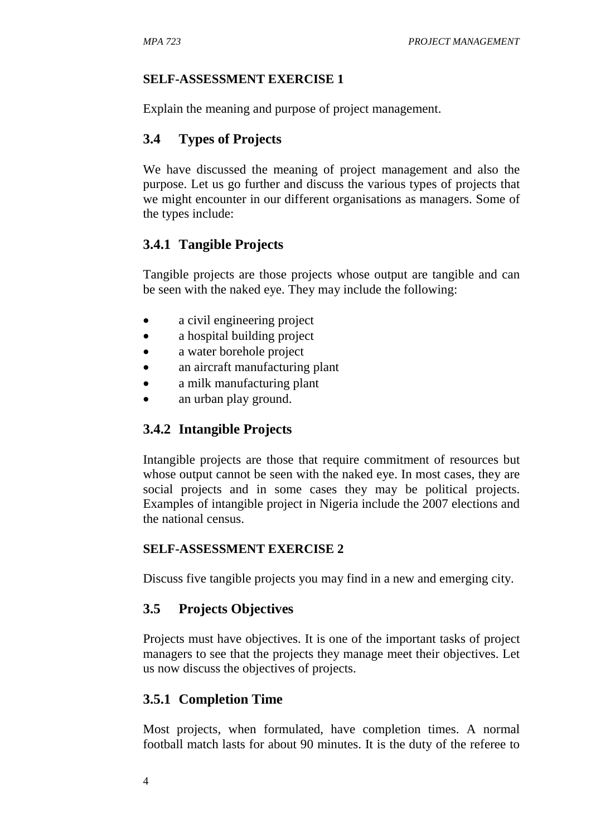#### **SELF-ASSESSMENT EXERCISE 1**

Explain the meaning and purpose of project management.

#### **3.4 Types of Projects**

We have discussed the meaning of project management and also the purpose. Let us go further and discuss the various types of projects that we might encounter in our different organisations as managers. Some of the types include:

#### **3.4.1 Tangible Projects**

Tangible projects are those projects whose output are tangible and can be seen with the naked eye. They may include the following:

- a civil engineering project
- a hospital building project
- a water borehole project
- an aircraft manufacturing plant
- a milk manufacturing plant
- an urban play ground.

#### **3.4.2 Intangible Projects**

Intangible projects are those that require commitment of resources but whose output cannot be seen with the naked eye. In most cases, they are social projects and in some cases they may be political projects. Examples of intangible project in Nigeria include the 2007 elections and the national census.

#### **SELF-ASSESSMENT EXERCISE 2**

Discuss five tangible projects you may find in a new and emerging city.

#### **3.5 Projects Objectives**

Projects must have objectives. It is one of the important tasks of project managers to see that the projects they manage meet their objectives. Let us now discuss the objectives of projects.

#### **3.5.1 Completion Time**

Most projects, when formulated, have completion times. A normal football match lasts for about 90 minutes. It is the duty of the referee to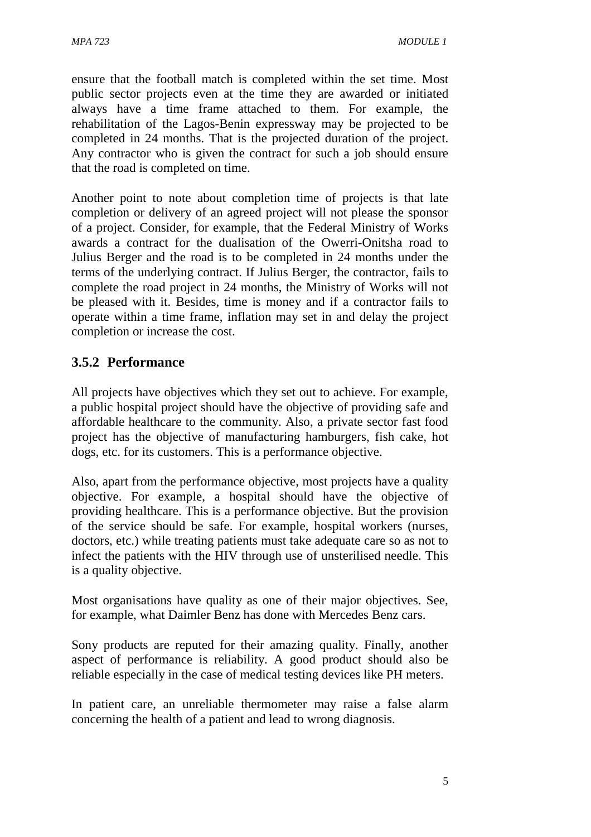ensure that the football match is completed within the set time. Most public sector projects even at the time they are awarded or initiated always have a time frame attached to them. For example, the rehabilitation of the Lagos-Benin expressway may be projected to be completed in 24 months. That is the projected duration of the project. Any contractor who is given the contract for such a job should ensure that the road is completed on time.

Another point to note about completion time of projects is that late completion or delivery of an agreed project will not please the sponsor of a project. Consider, for example, that the Federal Ministry of Works awards a contract for the dualisation of the Owerri-Onitsha road to Julius Berger and the road is to be completed in 24 months under the terms of the underlying contract. If Julius Berger, the contractor, fails to complete the road project in 24 months, the Ministry of Works will not be pleased with it. Besides, time is money and if a contractor fails to operate within a time frame, inflation may set in and delay the project completion or increase the cost.

# **3.5.2 Performance**

All projects have objectives which they set out to achieve. For example, a public hospital project should have the objective of providing safe and affordable healthcare to the community. Also, a private sector fast food project has the objective of manufacturing hamburgers, fish cake, hot dogs, etc. for its customers. This is a performance objective.

Also, apart from the performance objective, most projects have a quality objective. For example, a hospital should have the objective of providing healthcare. This is a performance objective. But the provision of the service should be safe. For example, hospital workers (nurses, doctors, etc.) while treating patients must take adequate care so as not to infect the patients with the HIV through use of unsterilised needle. This is a quality objective.

Most organisations have quality as one of their major objectives. See, for example, what Daimler Benz has done with Mercedes Benz cars.

Sony products are reputed for their amazing quality. Finally, another aspect of performance is reliability. A good product should also be reliable especially in the case of medical testing devices like PH meters.

In patient care, an unreliable thermometer may raise a false alarm concerning the health of a patient and lead to wrong diagnosis.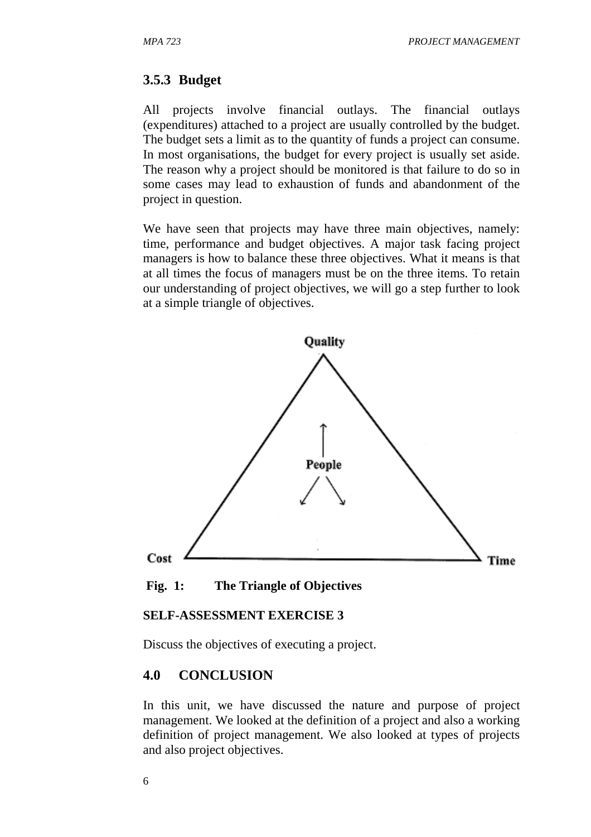#### **3.5.3 Budget**

All projects involve financial outlays. The financial outlays (expenditures) attached to a project are usually controlled by the budget. The budget sets a limit as to the quantity of funds a project can consume. In most organisations, the budget for every project is usually set aside. The reason why a project should be monitored is that failure to do so in some cases may lead to exhaustion of funds and abandonment of the project in question.

We have seen that projects may have three main objectives, namely: time, performance and budget objectives. A major task facing project managers is how to balance these three objectives. What it means is that at all times the focus of managers must be on the three items. To retain our understanding of project objectives, we will go a step further to look at a simple triangle of objectives.



 **Fig. 1: The Triangle of Objectives** 

#### **SELF-ASSESSMENT EXERCISE 3**

Discuss the objectives of executing a project.

#### **4.0 CONCLUSION**

In this unit, we have discussed the nature and purpose of project management. We looked at the definition of a project and also a working definition of project management. We also looked at types of projects and also project objectives.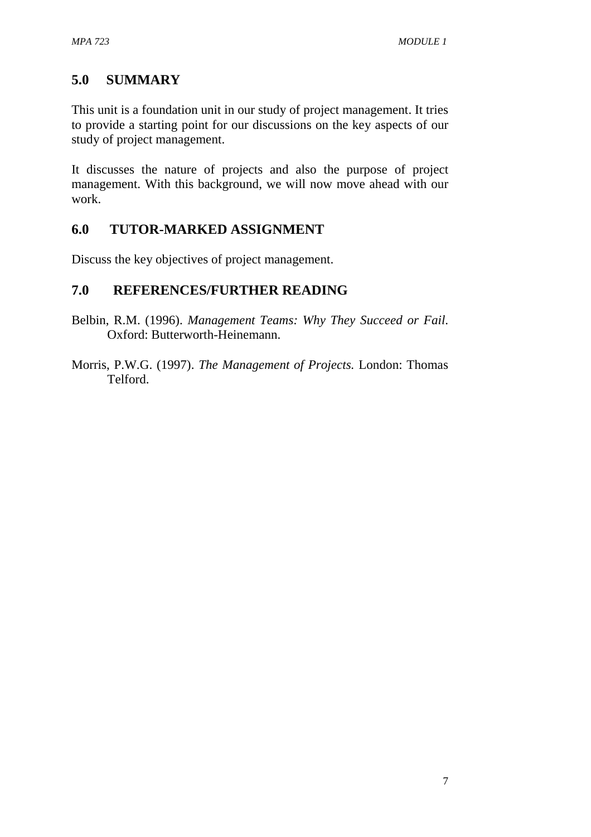# **5.0 SUMMARY**

This unit is a foundation unit in our study of project management. It tries to provide a starting point for our discussions on the key aspects of our study of project management.

It discusses the nature of projects and also the purpose of project management. With this background, we will now move ahead with our work.

# **6.0 TUTOR-MARKED ASSIGNMENT**

Discuss the key objectives of project management.

## **7.0 REFERENCES/FURTHER READING**

- Belbin, R.M. (1996). *Management Teams: Why They Succeed or Fail*. Oxford: Butterworth-Heinemann.
- Morris, P.W.G. (1997). *The Management of Projects.* London: Thomas Telford.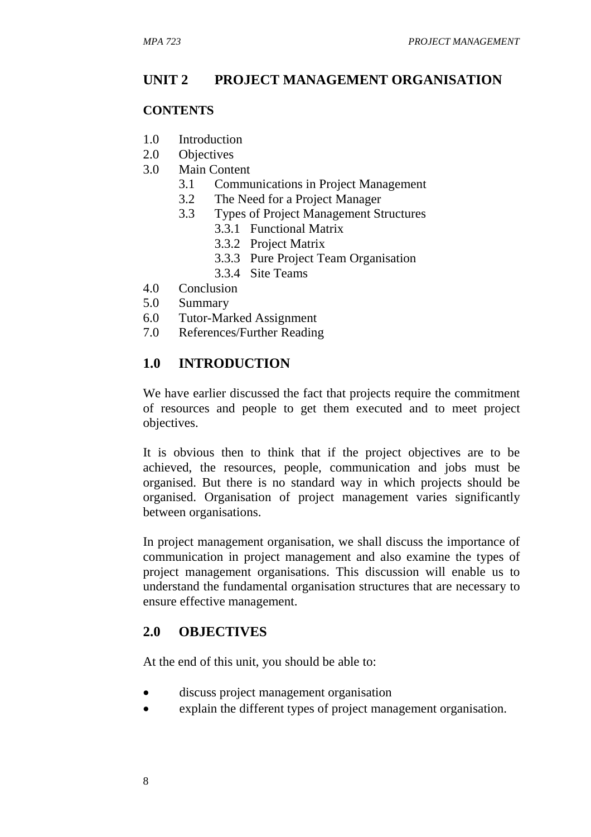## **UNIT 2 PROJECT MANAGEMENT ORGANISATION**

#### **CONTENTS**

- 1.0 Introduction
- 2.0 Objectives
- 3.0 Main Content
	- 3.1 Communications in Project Management
	- 3.2 The Need for a Project Manager
	- 3.3 Types of Project Management Structures
		- 3.3.1 Functional Matrix
		- 3.3.2 Project Matrix
		- 3.3.3 Pure Project Team Organisation
		- 3.3.4 Site Teams
- 4.0 Conclusion
- 5.0 Summary
- 6.0 Tutor-Marked Assignment
- 7.0 References/Further Reading

## **1.0 INTRODUCTION**

We have earlier discussed the fact that projects require the commitment of resources and people to get them executed and to meet project objectives.

It is obvious then to think that if the project objectives are to be achieved, the resources, people, communication and jobs must be organised. But there is no standard way in which projects should be organised. Organisation of project management varies significantly between organisations.

In project management organisation, we shall discuss the importance of communication in project management and also examine the types of project management organisations. This discussion will enable us to understand the fundamental organisation structures that are necessary to ensure effective management.

#### **2.0 OBJECTIVES**

At the end of this unit, you should be able to:

- discuss project management organisation
- explain the different types of project management organisation.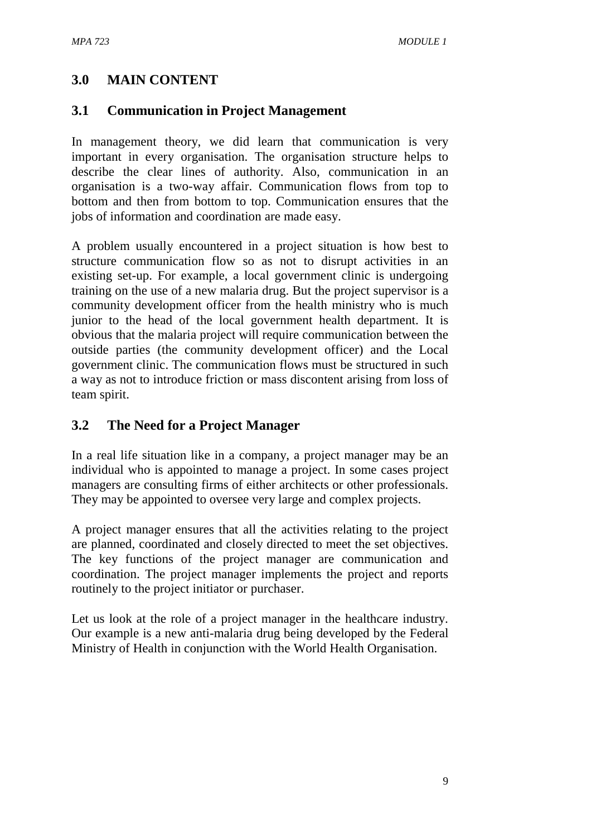# **3.0 MAIN CONTENT**

## **3.1 Communication in Project Management**

In management theory, we did learn that communication is very important in every organisation. The organisation structure helps to describe the clear lines of authority. Also, communication in an organisation is a two-way affair. Communication flows from top to bottom and then from bottom to top. Communication ensures that the jobs of information and coordination are made easy.

A problem usually encountered in a project situation is how best to structure communication flow so as not to disrupt activities in an existing set-up. For example, a local government clinic is undergoing training on the use of a new malaria drug. But the project supervisor is a community development officer from the health ministry who is much junior to the head of the local government health department. It is obvious that the malaria project will require communication between the outside parties (the community development officer) and the Local government clinic. The communication flows must be structured in such a way as not to introduce friction or mass discontent arising from loss of team spirit.

# **3.2 The Need for a Project Manager**

In a real life situation like in a company, a project manager may be an individual who is appointed to manage a project. In some cases project managers are consulting firms of either architects or other professionals. They may be appointed to oversee very large and complex projects.

A project manager ensures that all the activities relating to the project are planned, coordinated and closely directed to meet the set objectives. The key functions of the project manager are communication and coordination. The project manager implements the project and reports routinely to the project initiator or purchaser.

Let us look at the role of a project manager in the healthcare industry. Our example is a new anti-malaria drug being developed by the Federal Ministry of Health in conjunction with the World Health Organisation.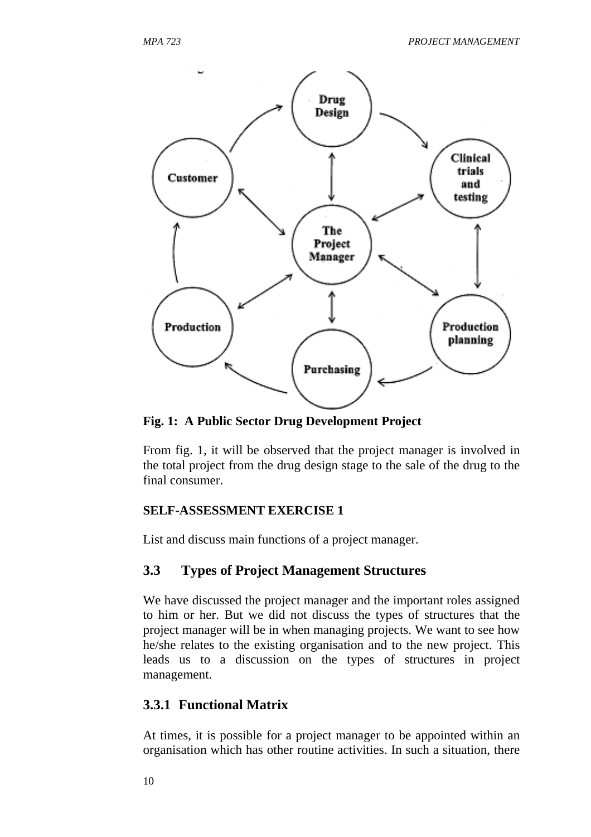

**Fig. 1: A Public Sector Drug Development Project** 

From fig. 1, it will be observed that the project manager is involved in the total project from the drug design stage to the sale of the drug to the final consumer.

#### **SELF-ASSESSMENT EXERCISE 1**

List and discuss main functions of a project manager.

## **3.3 Types of Project Management Structures**

We have discussed the project manager and the important roles assigned to him or her. But we did not discuss the types of structures that the project manager will be in when managing projects. We want to see how he/she relates to the existing organisation and to the new project. This leads us to a discussion on the types of structures in project management.

## **3.3.1 Functional Matrix**

At times, it is possible for a project manager to be appointed within an organisation which has other routine activities. In such a situation, there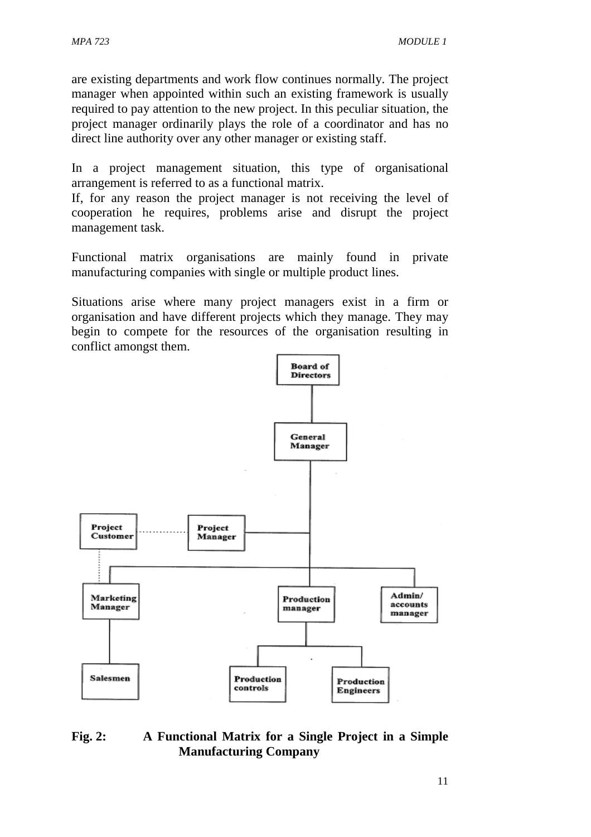are existing departments and work flow continues normally. The project manager when appointed within such an existing framework is usually required to pay attention to the new project. In this peculiar situation, the project manager ordinarily plays the role of a coordinator and has no direct line authority over any other manager or existing staff.

In a project management situation, this type of organisational arrangement is referred to as a functional matrix.

If, for any reason the project manager is not receiving the level of cooperation he requires, problems arise and disrupt the project management task.

Functional matrix organisations are mainly found in private manufacturing companies with single or multiple product lines.

Situations arise where many project managers exist in a firm or organisation and have different projects which they manage. They may begin to compete for the resources of the organisation resulting in conflict amongst them.



#### **Fig. 2: A Functional Matrix for a Single Project in a Simple Manufacturing Company**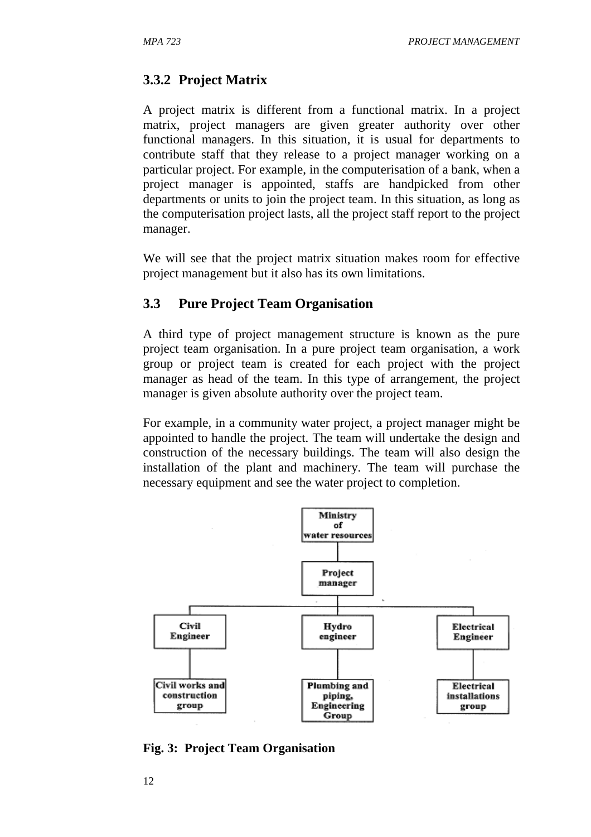## **3.3.2 Project Matrix**

A project matrix is different from a functional matrix. In a project matrix, project managers are given greater authority over other functional managers. In this situation, it is usual for departments to contribute staff that they release to a project manager working on a particular project. For example, in the computerisation of a bank, when a project manager is appointed, staffs are handpicked from other departments or units to join the project team. In this situation, as long as the computerisation project lasts, all the project staff report to the project manager.

We will see that the project matrix situation makes room for effective project management but it also has its own limitations.

## **3.3 Pure Project Team Organisation**

A third type of project management structure is known as the pure project team organisation. In a pure project team organisation, a work group or project team is created for each project with the project manager as head of the team. In this type of arrangement, the project manager is given absolute authority over the project team.

For example, in a community water project, a project manager might be appointed to handle the project. The team will undertake the design and construction of the necessary buildings. The team will also design the installation of the plant and machinery. The team will purchase the necessary equipment and see the water project to completion.



**Fig. 3: Project Team Organisation**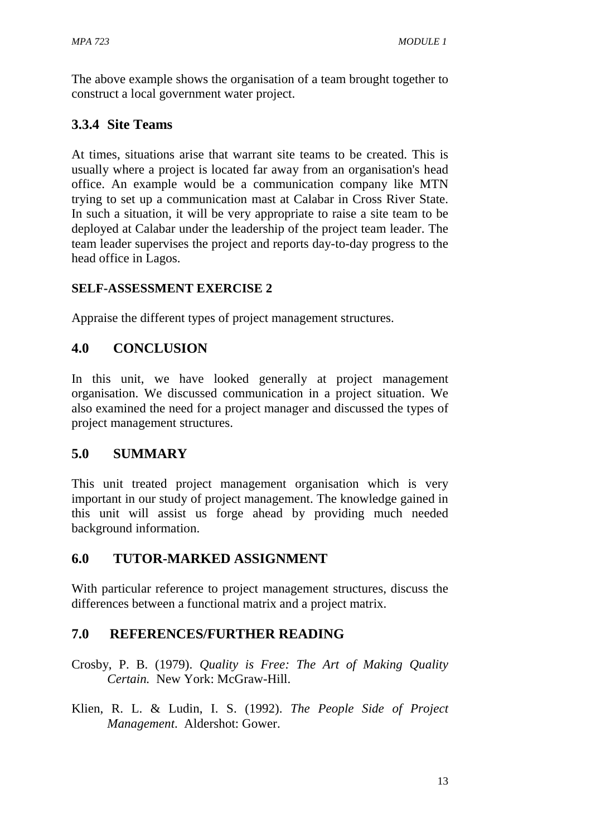The above example shows the organisation of a team brought together to construct a local government water project.

# **3.3.4 Site Teams**

At times, situations arise that warrant site teams to be created. This is usually where a project is located far away from an organisation's head office. An example would be a communication company like MTN trying to set up a communication mast at Calabar in Cross River State. In such a situation, it will be very appropriate to raise a site team to be deployed at Calabar under the leadership of the project team leader. The team leader supervises the project and reports day-to-day progress to the head office in Lagos.

# **SELF-ASSESSMENT EXERCISE 2**

Appraise the different types of project management structures.

# **4.0 CONCLUSION**

In this unit, we have looked generally at project management organisation. We discussed communication in a project situation. We also examined the need for a project manager and discussed the types of project management structures.

# **5.0 SUMMARY**

This unit treated project management organisation which is very important in our study of project management. The knowledge gained in this unit will assist us forge ahead by providing much needed background information.

## **6.0 TUTOR-MARKED ASSIGNMENT**

With particular reference to project management structures, discuss the differences between a functional matrix and a project matrix.

# **7.0 REFERENCES/FURTHER READING**

Crosby, P. B. (1979). *Quality is Free: The Art of Making Quality Certain.* New York: McGraw-Hill.

Klien, R. L. & Ludin, I. S. (1992). *The People Side of Project Management*. Aldershot: Gower.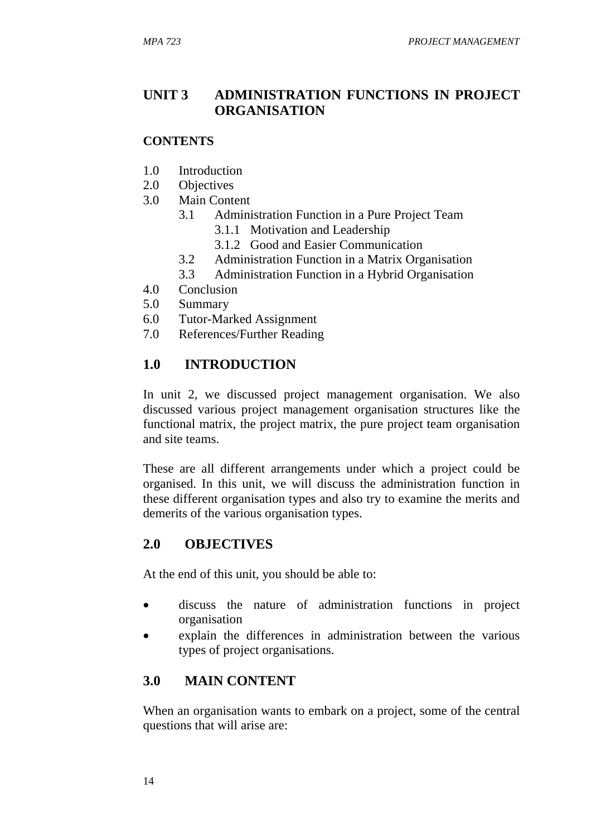# **UNIT 3 ADMINISTRATION FUNCTIONS IN PROJECT ORGANISATION**

#### **CONTENTS**

- 1.0 Introduction
- 2.0 Objectives
- 3.0 Main Content
	- 3.1 Administration Function in a Pure Project Team
		- 3.1.1 Motivation and Leadership
		- 3.1.2 Good and Easier Communication
	- 3.2 Administration Function in a Matrix Organisation
	- 3.3 Administration Function in a Hybrid Organisation
- 4.0 Conclusion
- 5.0 Summary
- 6.0 Tutor-Marked Assignment
- 7.0 References/Further Reading

## **1.0 INTRODUCTION**

In unit 2, we discussed project management organisation. We also discussed various project management organisation structures like the functional matrix, the project matrix, the pure project team organisation and site teams.

These are all different arrangements under which a project could be organised. In this unit, we will discuss the administration function in these different organisation types and also try to examine the merits and demerits of the various organisation types.

#### **2.0 OBJECTIVES**

At the end of this unit, you should be able to:

- discuss the nature of administration functions in project organisation
- explain the differences in administration between the various types of project organisations.

## **3.0 MAIN CONTENT**

When an organisation wants to embark on a project, some of the central questions that will arise are: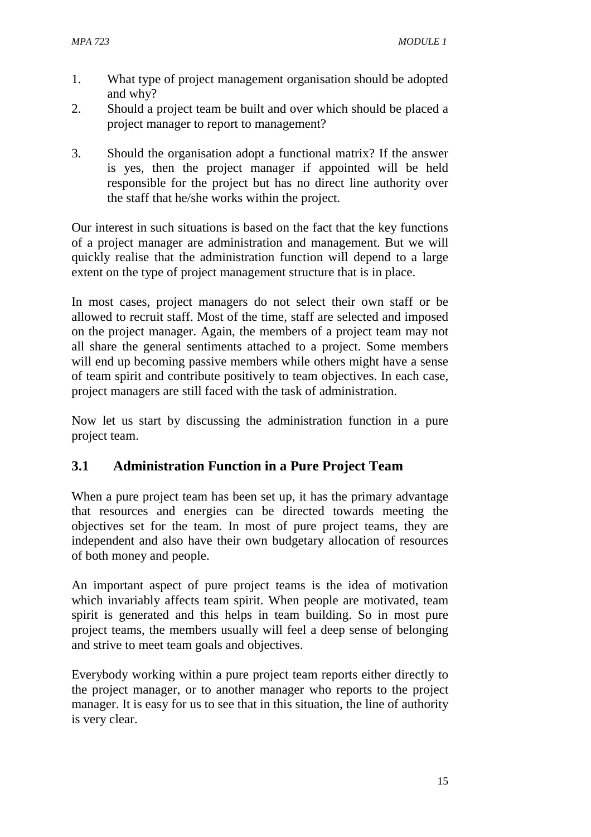- 1. What type of project management organisation should be adopted and why?
- 2. Should a project team be built and over which should be placed a project manager to report to management?
- 3. Should the organisation adopt a functional matrix? If the answer is yes, then the project manager if appointed will be held responsible for the project but has no direct line authority over the staff that he/she works within the project.

Our interest in such situations is based on the fact that the key functions of a project manager are administration and management. But we will quickly realise that the administration function will depend to a large extent on the type of project management structure that is in place.

In most cases, project managers do not select their own staff or be allowed to recruit staff. Most of the time, staff are selected and imposed on the project manager. Again, the members of a project team may not all share the general sentiments attached to a project. Some members will end up becoming passive members while others might have a sense of team spirit and contribute positively to team objectives. In each case, project managers are still faced with the task of administration.

Now let us start by discussing the administration function in a pure project team.

# **3.1 Administration Function in a Pure Project Team**

When a pure project team has been set up, it has the primary advantage that resources and energies can be directed towards meeting the objectives set for the team. In most of pure project teams, they are independent and also have their own budgetary allocation of resources of both money and people.

An important aspect of pure project teams is the idea of motivation which invariably affects team spirit. When people are motivated, team spirit is generated and this helps in team building. So in most pure project teams, the members usually will feel a deep sense of belonging and strive to meet team goals and objectives.

Everybody working within a pure project team reports either directly to the project manager, or to another manager who reports to the project manager. It is easy for us to see that in this situation, the line of authority is very clear.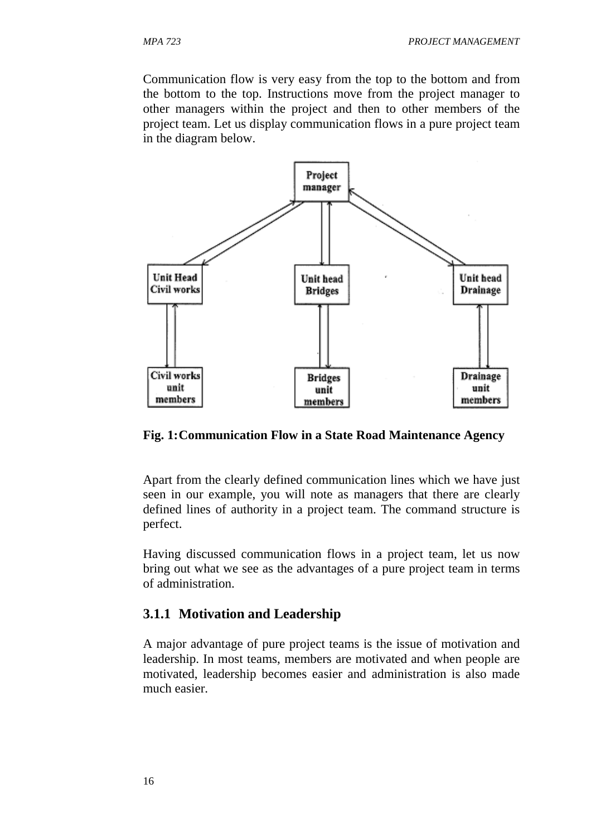Communication flow is very easy from the top to the bottom and from the bottom to the top. Instructions move from the project manager to other managers within the project and then to other members of the project team. Let us display communication flows in a pure project team in the diagram below.



**Fig. 1: Communication Flow in a State Road Maintenance Agency** 

Apart from the clearly defined communication lines which we have just seen in our example, you will note as managers that there are clearly defined lines of authority in a project team. The command structure is perfect.

Having discussed communication flows in a project team, let us now bring out what we see as the advantages of a pure project team in terms of administration.

#### **3.1.1 Motivation and Leadership**

A major advantage of pure project teams is the issue of motivation and leadership. In most teams, members are motivated and when people are motivated, leadership becomes easier and administration is also made much easier.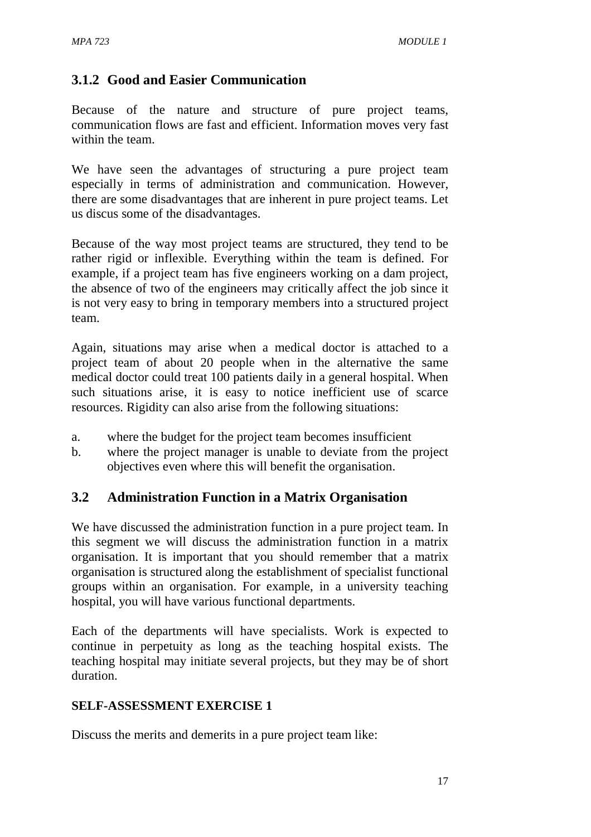# **3.1.2 Good and Easier Communication**

Because of the nature and structure of pure project teams, communication flows are fast and efficient. Information moves very fast within the team.

We have seen the advantages of structuring a pure project team especially in terms of administration and communication. However, there are some disadvantages that are inherent in pure project teams. Let us discus some of the disadvantages.

Because of the way most project teams are structured, they tend to be rather rigid or inflexible. Everything within the team is defined. For example, if a project team has five engineers working on a dam project, the absence of two of the engineers may critically affect the job since it is not very easy to bring in temporary members into a structured project team.

Again, situations may arise when a medical doctor is attached to a project team of about 20 people when in the alternative the same medical doctor could treat 100 patients daily in a general hospital. When such situations arise, it is easy to notice inefficient use of scarce resources. Rigidity can also arise from the following situations:

- a. where the budget for the project team becomes insufficient
- b. where the project manager is unable to deviate from the project objectives even where this will benefit the organisation.

## **3.2 Administration Function in a Matrix Organisation**

We have discussed the administration function in a pure project team. In this segment we will discuss the administration function in a matrix organisation. It is important that you should remember that a matrix organisation is structured along the establishment of specialist functional groups within an organisation. For example, in a university teaching hospital, you will have various functional departments.

Each of the departments will have specialists. Work is expected to continue in perpetuity as long as the teaching hospital exists. The teaching hospital may initiate several projects, but they may be of short duration.

#### **SELF-ASSESSMENT EXERCISE 1**

Discuss the merits and demerits in a pure project team like: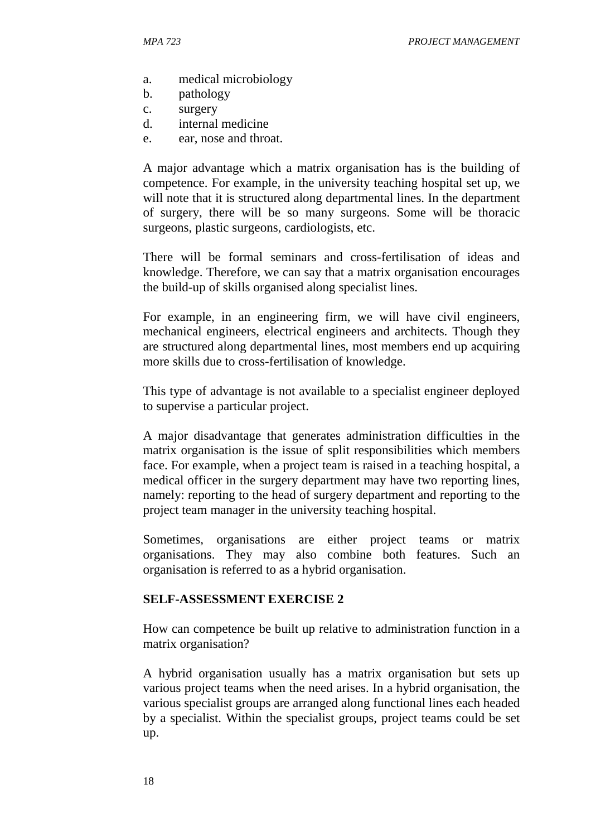- a. medical microbiology
- b. pathology
- c. surgery
- d. internal medicine
- e. ear, nose and throat.

A major advantage which a matrix organisation has is the building of competence. For example, in the university teaching hospital set up, we will note that it is structured along departmental lines. In the department of surgery, there will be so many surgeons. Some will be thoracic surgeons, plastic surgeons, cardiologists, etc.

There will be formal seminars and cross-fertilisation of ideas and knowledge. Therefore, we can say that a matrix organisation encourages the build-up of skills organised along specialist lines.

For example, in an engineering firm, we will have civil engineers, mechanical engineers, electrical engineers and architects. Though they are structured along departmental lines, most members end up acquiring more skills due to cross-fertilisation of knowledge.

This type of advantage is not available to a specialist engineer deployed to supervise a particular project.

A major disadvantage that generates administration difficulties in the matrix organisation is the issue of split responsibilities which members face. For example, when a project team is raised in a teaching hospital, a medical officer in the surgery department may have two reporting lines, namely: reporting to the head of surgery department and reporting to the project team manager in the university teaching hospital.

Sometimes, organisations are either project teams or matrix organisations. They may also combine both features. Such an organisation is referred to as a hybrid organisation.

#### **SELF-ASSESSMENT EXERCISE 2**

How can competence be built up relative to administration function in a matrix organisation?

A hybrid organisation usually has a matrix organisation but sets up various project teams when the need arises. In a hybrid organisation, the various specialist groups are arranged along functional lines each headed by a specialist. Within the specialist groups, project teams could be set up.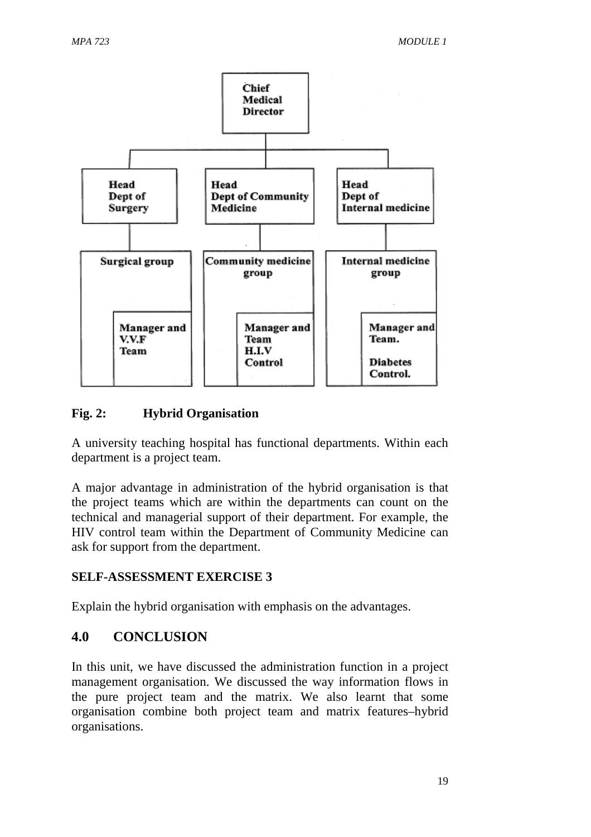

## **Fig. 2: Hybrid Organisation**

A university teaching hospital has functional departments. Within each department is a project team.

A major advantage in administration of the hybrid organisation is that the project teams which are within the departments can count on the technical and managerial support of their department. For example, the HIV control team within the Department of Community Medicine can ask for support from the department.

#### **SELF-ASSESSMENT EXERCISE 3**

Explain the hybrid organisation with emphasis on the advantages.

## **4.0 CONCLUSION**

In this unit, we have discussed the administration function in a project management organisation. We discussed the way information flows in the pure project team and the matrix. We also learnt that some organisation combine both project team and matrix features–hybrid organisations.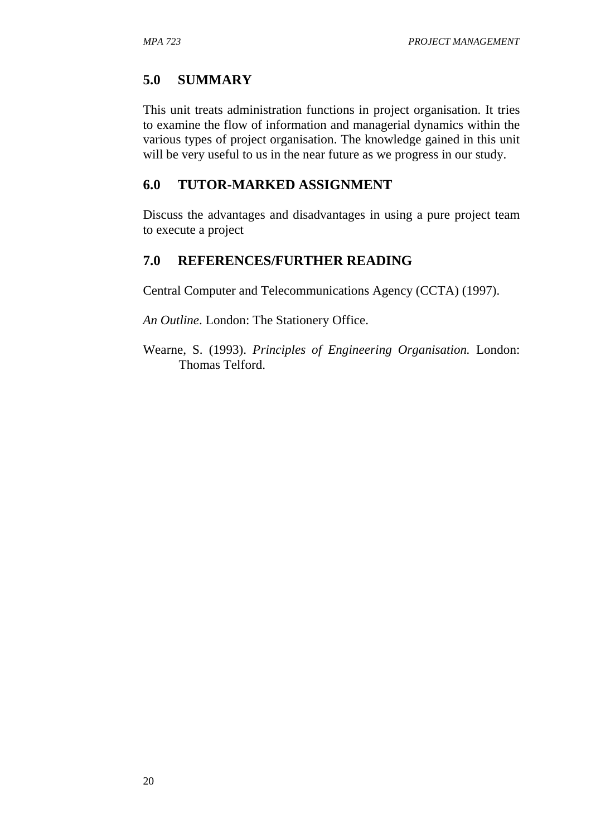## **5.0 SUMMARY**

This unit treats administration functions in project organisation. It tries to examine the flow of information and managerial dynamics within the various types of project organisation. The knowledge gained in this unit will be very useful to us in the near future as we progress in our study.

#### **6.0 TUTOR-MARKED ASSIGNMENT**

Discuss the advantages and disadvantages in using a pure project team to execute a project

#### **7.0 REFERENCES/FURTHER READING**

Central Computer and Telecommunications Agency (CCTA) (1997).

*An Outline*. London: The Stationery Office.

Wearne, S. (1993). *Principles of Engineering Organisation.* London: Thomas Telford.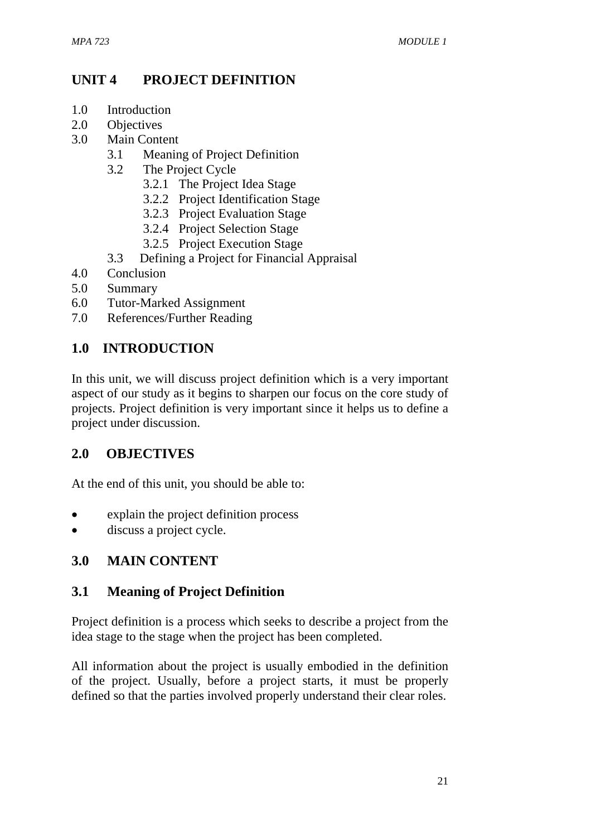# **UNIT 4 PROJECT DEFINITION**

- 1.0 Introduction
- 2.0 Objectives
- 3.0 Main Content
	- 3.1 Meaning of Project Definition
	- 3.2 The Project Cycle
		- 3.2.1 The Project Idea Stage
		- 3.2.2 Project Identification Stage
		- 3.2.3 Project Evaluation Stage
		- 3.2.4 Project Selection Stage
		- 3.2.5 Project Execution Stage
	- 3.3 Defining a Project for Financial Appraisal
- 4.0 Conclusion
- 5.0 Summary
- 6.0 Tutor-Marked Assignment
- 7.0 References/Further Reading

# **1.0 INTRODUCTION**

In this unit, we will discuss project definition which is a very important aspect of our study as it begins to sharpen our focus on the core study of projects. Project definition is very important since it helps us to define a project under discussion.

## **2.0 OBJECTIVES**

At the end of this unit, you should be able to:

- explain the project definition process
- discuss a project cycle.

# **3.0 MAIN CONTENT**

## **3.1 Meaning of Project Definition**

Project definition is a process which seeks to describe a project from the idea stage to the stage when the project has been completed.

All information about the project is usually embodied in the definition of the project. Usually, before a project starts, it must be properly defined so that the parties involved properly understand their clear roles.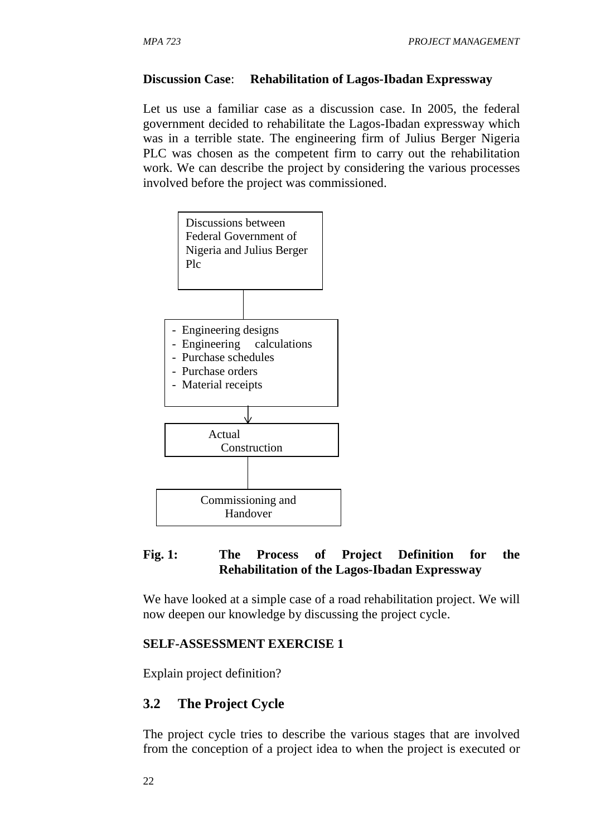#### **Discussion Case**: **Rehabilitation of Lagos-Ibadan Expressway**

Let us use a familiar case as a discussion case. In 2005, the federal government decided to rehabilitate the Lagos-Ibadan expressway which was in a terrible state. The engineering firm of Julius Berger Nigeria PLC was chosen as the competent firm to carry out the rehabilitation work. We can describe the project by considering the various processes involved before the project was commissioned.



## **Fig. 1: The Process of Project Definition for the Rehabilitation of the Lagos-Ibadan Expressway**

We have looked at a simple case of a road rehabilitation project. We will now deepen our knowledge by discussing the project cycle.

#### **SELF-ASSESSMENT EXERCISE 1**

Explain project definition?

## **3.2 The Project Cycle**

The project cycle tries to describe the various stages that are involved from the conception of a project idea to when the project is executed or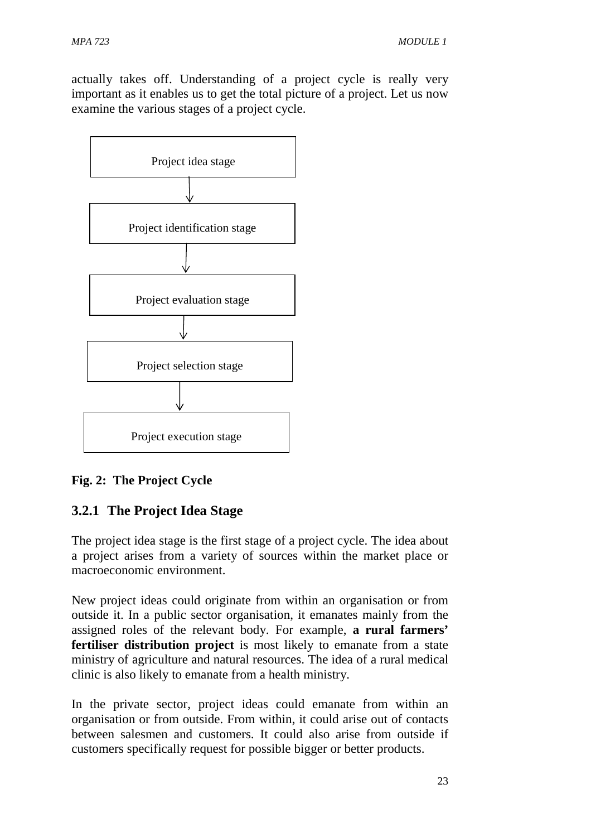actually takes off. Understanding of a project cycle is really very important as it enables us to get the total picture of a project. Let us now examine the various stages of a project cycle.



## **Fig. 2: The Project Cycle**

# **3.2.1 The Project Idea Stage**

The project idea stage is the first stage of a project cycle. The idea about a project arises from a variety of sources within the market place or macroeconomic environment.

New project ideas could originate from within an organisation or from outside it. In a public sector organisation, it emanates mainly from the assigned roles of the relevant body. For example, **a rural farmers' fertiliser distribution project** is most likely to emanate from a state ministry of agriculture and natural resources. The idea of a rural medical clinic is also likely to emanate from a health ministry.

In the private sector, project ideas could emanate from within an organisation or from outside. From within, it could arise out of contacts between salesmen and customers. It could also arise from outside if customers specifically request for possible bigger or better products.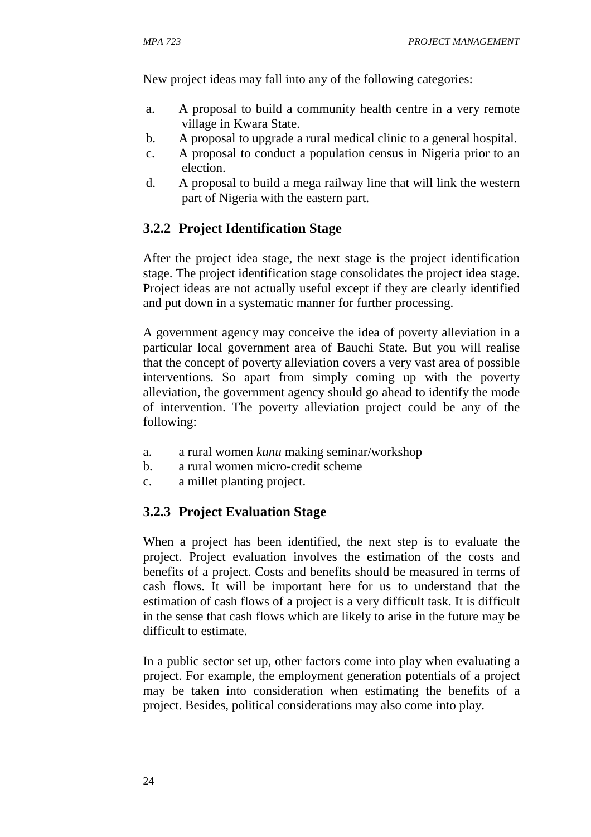New project ideas may fall into any of the following categories:

- a. A proposal to build a community health centre in a very remote village in Kwara State.
- b. A proposal to upgrade a rural medical clinic to a general hospital.
- c. A proposal to conduct a population census in Nigeria prior to an election.
- d. A proposal to build a mega railway line that will link the western part of Nigeria with the eastern part.

## **3.2.2 Project Identification Stage**

After the project idea stage, the next stage is the project identification stage. The project identification stage consolidates the project idea stage. Project ideas are not actually useful except if they are clearly identified and put down in a systematic manner for further processing.

A government agency may conceive the idea of poverty alleviation in a particular local government area of Bauchi State. But you will realise that the concept of poverty alleviation covers a very vast area of possible interventions. So apart from simply coming up with the poverty alleviation, the government agency should go ahead to identify the mode of intervention. The poverty alleviation project could be any of the following:

- a. a rural women *kunu* making seminar/workshop
- b. a rural women micro-credit scheme
- c. a millet planting project.

## **3.2.3 Project Evaluation Stage**

When a project has been identified, the next step is to evaluate the project. Project evaluation involves the estimation of the costs and benefits of a project. Costs and benefits should be measured in terms of cash flows. It will be important here for us to understand that the estimation of cash flows of a project is a very difficult task. It is difficult in the sense that cash flows which are likely to arise in the future may be difficult to estimate.

In a public sector set up, other factors come into play when evaluating a project. For example, the employment generation potentials of a project may be taken into consideration when estimating the benefits of a project. Besides, political considerations may also come into play.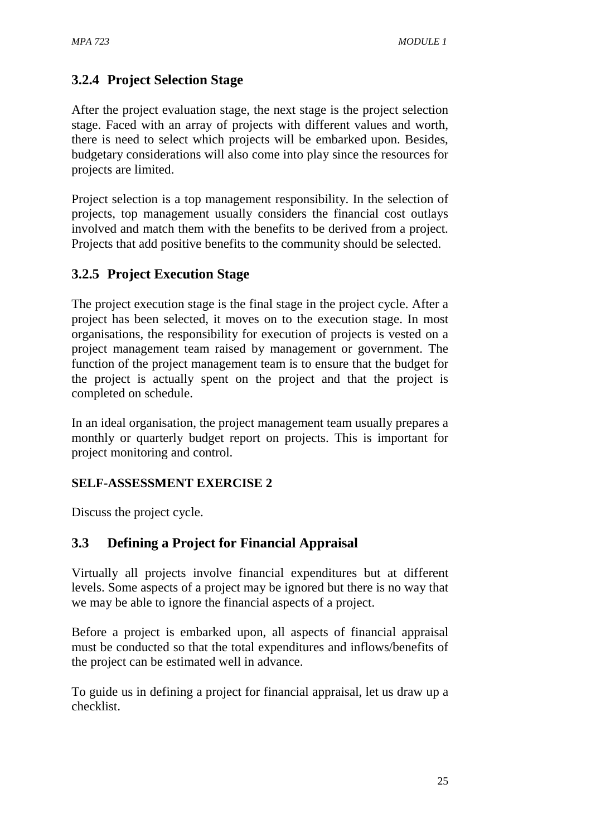# **3.2.4 Project Selection Stage**

After the project evaluation stage, the next stage is the project selection stage. Faced with an array of projects with different values and worth, there is need to select which projects will be embarked upon. Besides, budgetary considerations will also come into play since the resources for projects are limited.

Project selection is a top management responsibility. In the selection of projects, top management usually considers the financial cost outlays involved and match them with the benefits to be derived from a project. Projects that add positive benefits to the community should be selected.

# **3.2.5 Project Execution Stage**

The project execution stage is the final stage in the project cycle. After a project has been selected, it moves on to the execution stage. In most organisations, the responsibility for execution of projects is vested on a project management team raised by management or government. The function of the project management team is to ensure that the budget for the project is actually spent on the project and that the project is completed on schedule.

In an ideal organisation, the project management team usually prepares a monthly or quarterly budget report on projects. This is important for project monitoring and control.

## **SELF-ASSESSMENT EXERCISE 2**

Discuss the project cycle.

# **3.3 Defining a Project for Financial Appraisal**

Virtually all projects involve financial expenditures but at different levels. Some aspects of a project may be ignored but there is no way that we may be able to ignore the financial aspects of a project.

Before a project is embarked upon, all aspects of financial appraisal must be conducted so that the total expenditures and inflows/benefits of the project can be estimated well in advance.

To guide us in defining a project for financial appraisal, let us draw up a checklist.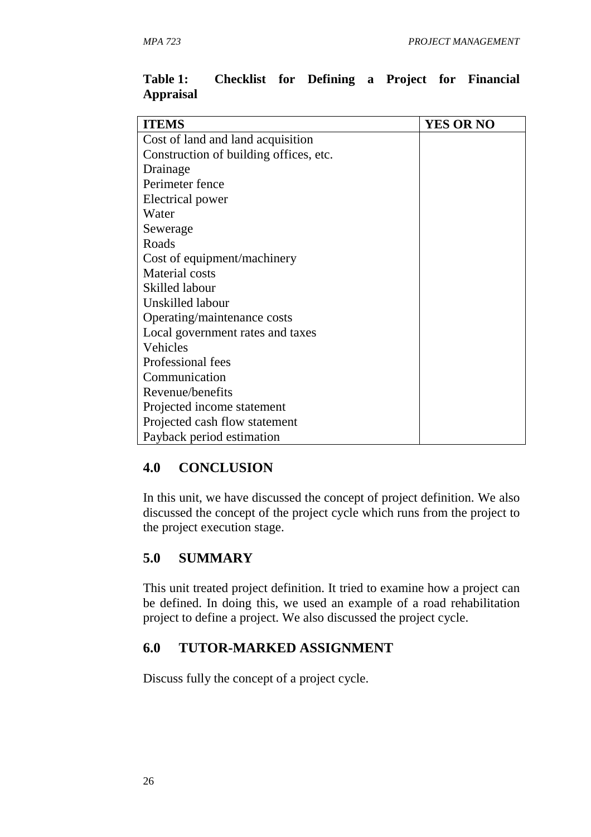| <b>ITEMS</b>                           | <b>YES OR NO</b> |
|----------------------------------------|------------------|
| Cost of land and land acquisition      |                  |
| Construction of building offices, etc. |                  |
| Drainage                               |                  |
| Perimeter fence                        |                  |
| Electrical power                       |                  |
| Water                                  |                  |
| Sewerage                               |                  |
| Roads                                  |                  |
| Cost of equipment/machinery            |                  |
| <b>Material</b> costs                  |                  |
| Skilled labour                         |                  |
| Unskilled labour                       |                  |
| Operating/maintenance costs            |                  |
| Local government rates and taxes       |                  |
| Vehicles                               |                  |
| Professional fees                      |                  |
| Communication                          |                  |
| Revenue/benefits                       |                  |
| Projected income statement             |                  |
| Projected cash flow statement          |                  |
| Payback period estimation              |                  |

#### **Table 1: Checklist for Defining a Project for Financial Appraisal**

## **4.0 CONCLUSION**

In this unit, we have discussed the concept of project definition. We also discussed the concept of the project cycle which runs from the project to the project execution stage.

## **5.0 SUMMARY**

This unit treated project definition. It tried to examine how a project can be defined. In doing this, we used an example of a road rehabilitation project to define a project. We also discussed the project cycle.

## **6.0 TUTOR-MARKED ASSIGNMENT**

Discuss fully the concept of a project cycle.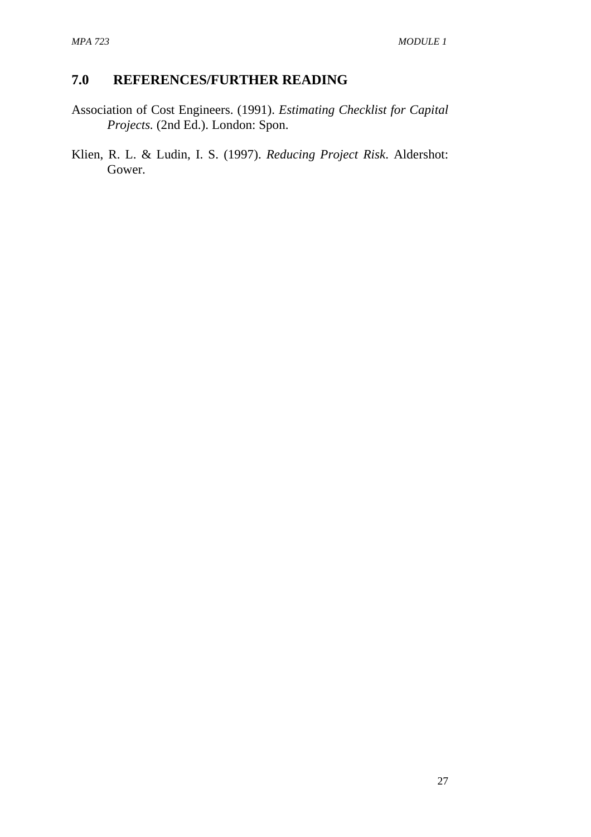# **7.0 REFERENCES/FURTHER READING**

- Association of Cost Engineers. (1991). *Estimating Checklist for Capital Projects.* (2nd Ed.). London: Spon.
- Klien, R. L. & Ludin, I. S. (1997). *Reducing Project Risk*. Aldershot: Gower.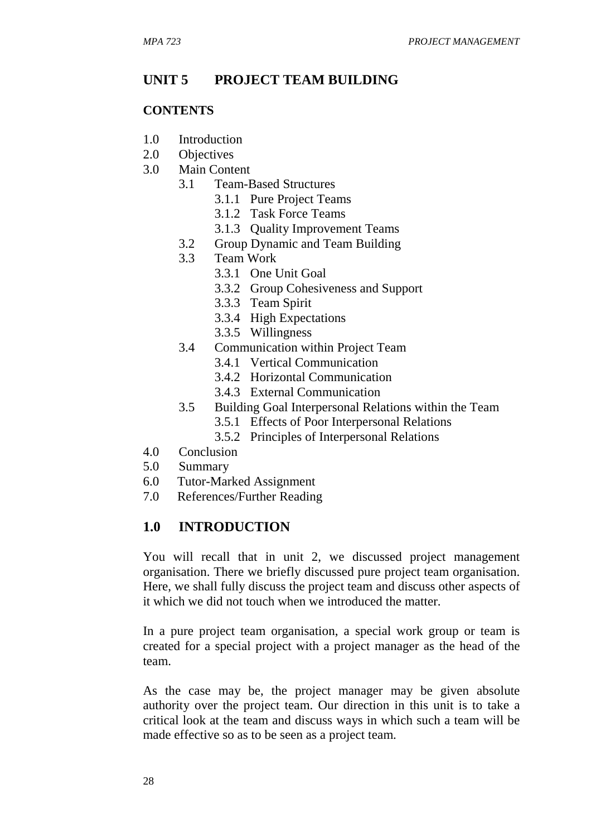## **UNIT 5 PROJECT TEAM BUILDING**

#### **CONTENTS**

- 1.0 Introduction
- 2.0 Objectives
- 3.0 Main Content
	- 3.1 Team-Based Structures
		- 3.1.1 Pure Project Teams
		- 3.1.2 Task Force Teams
		- 3.1.3 Quality Improvement Teams
	- 3.2 Group Dynamic and Team Building
	- 3.3 Team Work
		- 3.3.1 One Unit Goal
			- 3.3.2 Group Cohesiveness and Support
			- 3.3.3 Team Spirit
			- 3.3.4 High Expectations
			- 3.3.5 Willingness
	- 3.4 Communication within Project Team
		- 3.4.1 Vertical Communication
		- 3.4.2 Horizontal Communication
		- 3.4.3 External Communication
	- 3.5 Building Goal Interpersonal Relations within the Team
		- 3.5.1 Effects of Poor Interpersonal Relations
		- 3.5.2 Principles of Interpersonal Relations
- 4.0 Conclusion
- 5.0 Summary
- 6.0 Tutor-Marked Assignment
- 7.0 References/Further Reading

#### **1.0 INTRODUCTION**

You will recall that in unit 2, we discussed project management organisation. There we briefly discussed pure project team organisation. Here, we shall fully discuss the project team and discuss other aspects of it which we did not touch when we introduced the matter.

In a pure project team organisation, a special work group or team is created for a special project with a project manager as the head of the team.

As the case may be, the project manager may be given absolute authority over the project team. Our direction in this unit is to take a critical look at the team and discuss ways in which such a team will be made effective so as to be seen as a project team.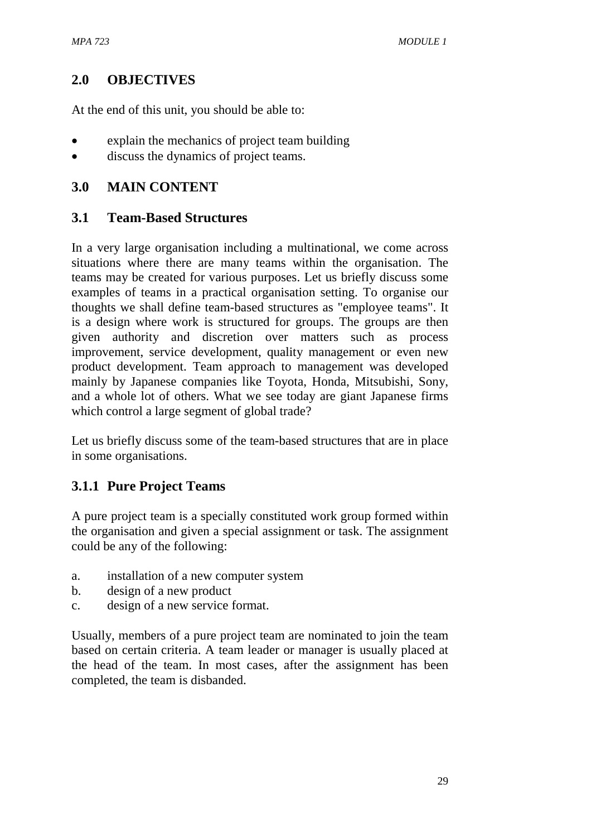# **2.0 OBJECTIVES**

At the end of this unit, you should be able to:

- explain the mechanics of project team building
- discuss the dynamics of project teams.

## **3.0 MAIN CONTENT**

## **3.1 Team-Based Structures**

In a very large organisation including a multinational, we come across situations where there are many teams within the organisation. The teams may be created for various purposes. Let us briefly discuss some examples of teams in a practical organisation setting. To organise our thoughts we shall define team-based structures as "employee teams". It is a design where work is structured for groups. The groups are then given authority and discretion over matters such as process improvement, service development, quality management or even new product development. Team approach to management was developed mainly by Japanese companies like Toyota, Honda, Mitsubishi, Sony, and a whole lot of others. What we see today are giant Japanese firms which control a large segment of global trade?

Let us briefly discuss some of the team-based structures that are in place in some organisations.

# **3.1.1 Pure Project Teams**

A pure project team is a specially constituted work group formed within the organisation and given a special assignment or task. The assignment could be any of the following:

- a. installation of a new computer system
- b. design of a new product
- c. design of a new service format.

Usually, members of a pure project team are nominated to join the team based on certain criteria. A team leader or manager is usually placed at the head of the team. In most cases, after the assignment has been completed, the team is disbanded.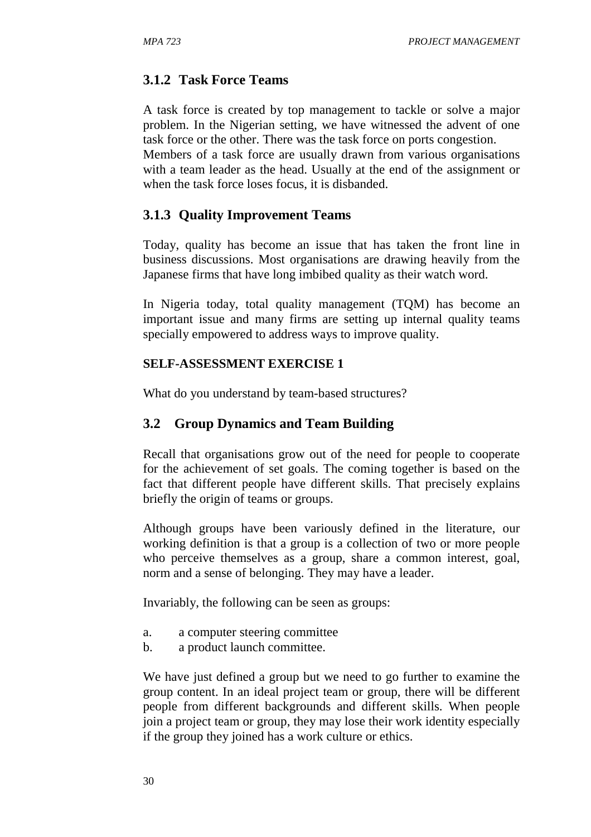# **3.1.2 Task Force Teams**

A task force is created by top management to tackle or solve a major problem. In the Nigerian setting, we have witnessed the advent of one task force or the other. There was the task force on ports congestion. Members of a task force are usually drawn from various organisations

with a team leader as the head. Usually at the end of the assignment or when the task force loses focus, it is disbanded.

#### **3.1.3 Quality Improvement Teams**

Today, quality has become an issue that has taken the front line in business discussions. Most organisations are drawing heavily from the Japanese firms that have long imbibed quality as their watch word.

In Nigeria today, total quality management (TQM) has become an important issue and many firms are setting up internal quality teams specially empowered to address ways to improve quality.

#### **SELF-ASSESSMENT EXERCISE 1**

What do you understand by team-based structures?

# **3.2 Group Dynamics and Team Building**

Recall that organisations grow out of the need for people to cooperate for the achievement of set goals. The coming together is based on the fact that different people have different skills. That precisely explains briefly the origin of teams or groups.

Although groups have been variously defined in the literature, our working definition is that a group is a collection of two or more people who perceive themselves as a group, share a common interest, goal, norm and a sense of belonging. They may have a leader.

Invariably, the following can be seen as groups:

- a. a computer steering committee
- b. a product launch committee.

We have just defined a group but we need to go further to examine the group content. In an ideal project team or group, there will be different people from different backgrounds and different skills. When people join a project team or group, they may lose their work identity especially if the group they joined has a work culture or ethics.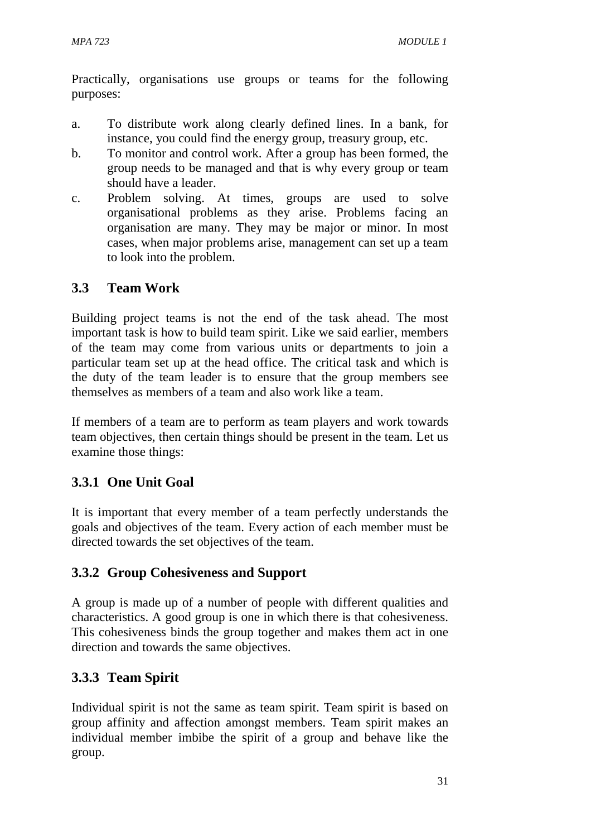Practically, organisations use groups or teams for the following purposes:

- a. To distribute work along clearly defined lines. In a bank, for instance, you could find the energy group, treasury group, etc.
- b. To monitor and control work. After a group has been formed, the group needs to be managed and that is why every group or team should have a leader.
- c. Problem solving. At times, groups are used to solve organisational problems as they arise. Problems facing an organisation are many. They may be major or minor. In most cases, when major problems arise, management can set up a team to look into the problem.

# **3.3 Team Work**

Building project teams is not the end of the task ahead. The most important task is how to build team spirit. Like we said earlier, members of the team may come from various units or departments to join a particular team set up at the head office. The critical task and which is the duty of the team leader is to ensure that the group members see themselves as members of a team and also work like a team.

If members of a team are to perform as team players and work towards team objectives, then certain things should be present in the team. Let us examine those things:

# **3.3.1 One Unit Goal**

It is important that every member of a team perfectly understands the goals and objectives of the team. Every action of each member must be directed towards the set objectives of the team.

# **3.3.2 Group Cohesiveness and Support**

A group is made up of a number of people with different qualities and characteristics. A good group is one in which there is that cohesiveness. This cohesiveness binds the group together and makes them act in one direction and towards the same objectives.

# **3.3.3 Team Spirit**

Individual spirit is not the same as team spirit. Team spirit is based on group affinity and affection amongst members. Team spirit makes an individual member imbibe the spirit of a group and behave like the group.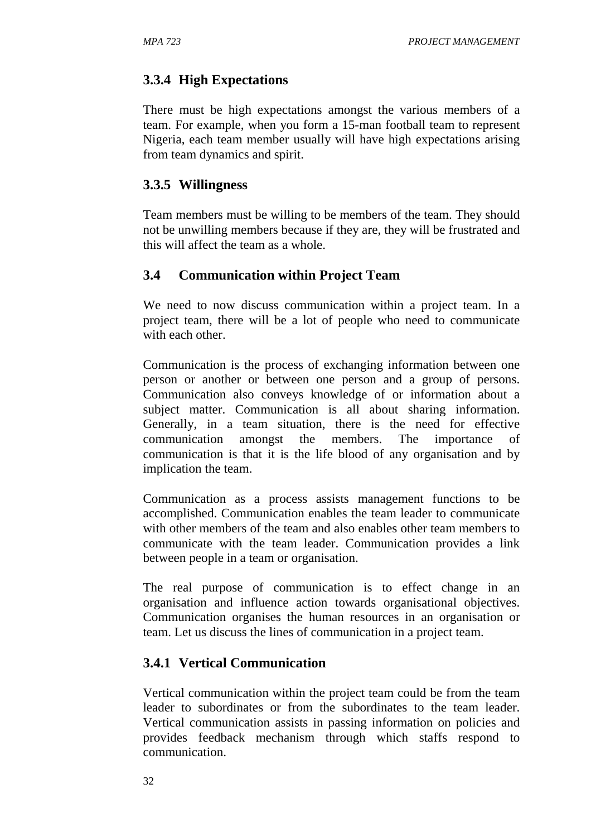# **3.3.4 High Expectations**

There must be high expectations amongst the various members of a team. For example, when you form a 15-man football team to represent Nigeria, each team member usually will have high expectations arising from team dynamics and spirit.

#### **3.3.5 Willingness**

Team members must be willing to be members of the team. They should not be unwilling members because if they are, they will be frustrated and this will affect the team as a whole.

#### **3.4 Communication within Project Team**

We need to now discuss communication within a project team. In a project team, there will be a lot of people who need to communicate with each other.

Communication is the process of exchanging information between one person or another or between one person and a group of persons. Communication also conveys knowledge of or information about a subject matter. Communication is all about sharing information. Generally, in a team situation, there is the need for effective communication amongst the members. The importance of communication is that it is the life blood of any organisation and by implication the team.

Communication as a process assists management functions to be accomplished. Communication enables the team leader to communicate with other members of the team and also enables other team members to communicate with the team leader. Communication provides a link between people in a team or organisation.

The real purpose of communication is to effect change in an organisation and influence action towards organisational objectives. Communication organises the human resources in an organisation or team. Let us discuss the lines of communication in a project team.

#### **3.4.1 Vertical Communication**

Vertical communication within the project team could be from the team leader to subordinates or from the subordinates to the team leader. Vertical communication assists in passing information on policies and provides feedback mechanism through which staffs respond to communication.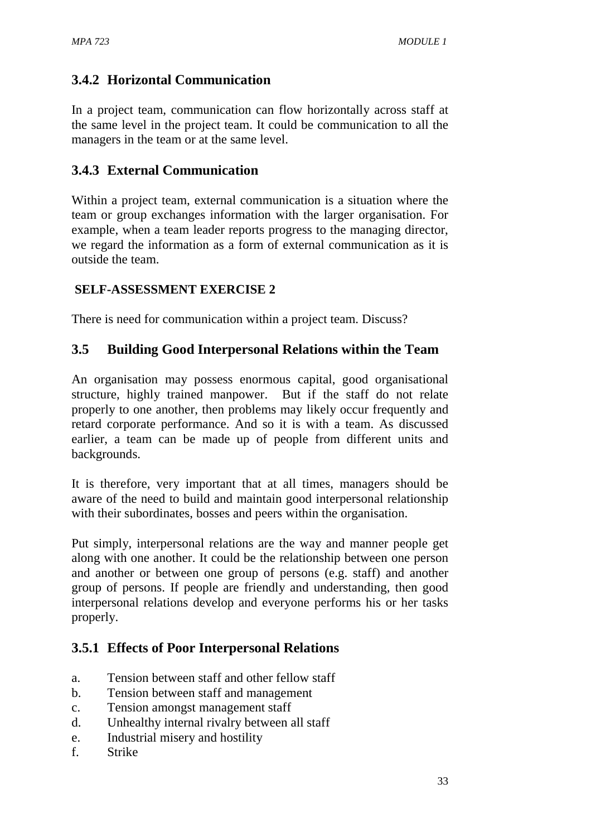# **3.4.2 Horizontal Communication**

In a project team, communication can flow horizontally across staff at the same level in the project team. It could be communication to all the managers in the team or at the same level.

# **3.4.3 External Communication**

Within a project team, external communication is a situation where the team or group exchanges information with the larger organisation. For example, when a team leader reports progress to the managing director, we regard the information as a form of external communication as it is outside the team.

# **SELF-ASSESSMENT EXERCISE 2**

There is need for communication within a project team. Discuss?

# **3.5 Building Good Interpersonal Relations within the Team**

An organisation may possess enormous capital, good organisational structure, highly trained manpower. But if the staff do not relate properly to one another, then problems may likely occur frequently and retard corporate performance. And so it is with a team. As discussed earlier, a team can be made up of people from different units and backgrounds.

It is therefore, very important that at all times, managers should be aware of the need to build and maintain good interpersonal relationship with their subordinates, bosses and peers within the organisation.

Put simply, interpersonal relations are the way and manner people get along with one another. It could be the relationship between one person and another or between one group of persons (e.g. staff) and another group of persons. If people are friendly and understanding, then good interpersonal relations develop and everyone performs his or her tasks properly.

# **3.5.1 Effects of Poor Interpersonal Relations**

- a. Tension between staff and other fellow staff
- b. Tension between staff and management
- c. Tension amongst management staff
- d. Unhealthy internal rivalry between all staff
- e. Industrial misery and hostility
- f. Strike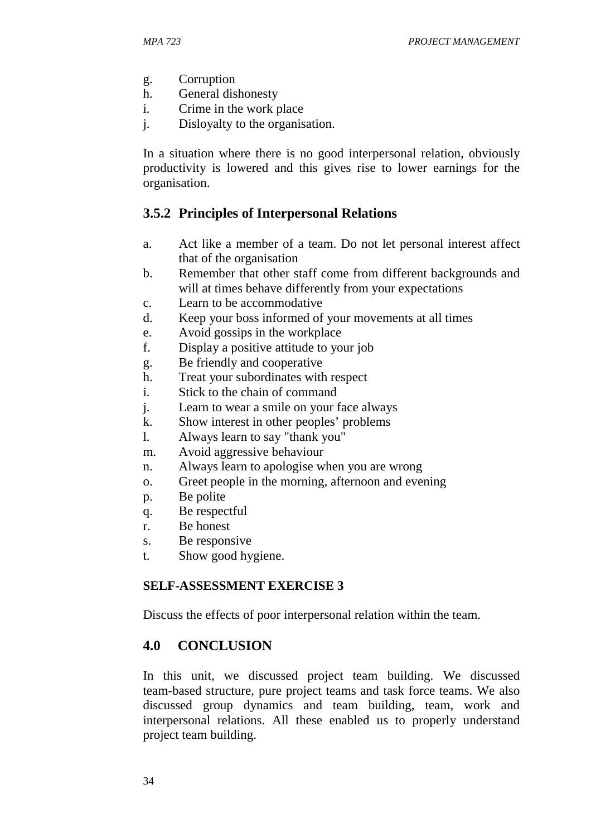- g. Corruption
- h. General dishonesty
- i. Crime in the work place
- j. Disloyalty to the organisation.

In a situation where there is no good interpersonal relation, obviously productivity is lowered and this gives rise to lower earnings for the organisation.

# **3.5.2 Principles of Interpersonal Relations**

- a. Act like a member of a team. Do not let personal interest affect that of the organisation
- b. Remember that other staff come from different backgrounds and will at times behave differently from your expectations
- c. Learn to be accommodative
- d. Keep your boss informed of your movements at all times
- e. Avoid gossips in the workplace
- f. Display a positive attitude to your job
- g. Be friendly and cooperative
- h. Treat your subordinates with respect
- i. Stick to the chain of command
- j. Learn to wear a smile on your face always
- k. Show interest in other peoples' problems
- l. Always learn to say "thank you"
- m. Avoid aggressive behaviour
- n. Always learn to apologise when you are wrong
- o. Greet people in the morning, afternoon and evening
- p. Be polite
- q. Be respectful
- r. Be honest
- s. Be responsive
- t. Show good hygiene.

#### **SELF-ASSESSMENT EXERCISE 3**

Discuss the effects of poor interpersonal relation within the team.

#### **4.0 CONCLUSION**

In this unit, we discussed project team building. We discussed team-based structure, pure project teams and task force teams. We also discussed group dynamics and team building, team, work and interpersonal relations. All these enabled us to properly understand project team building.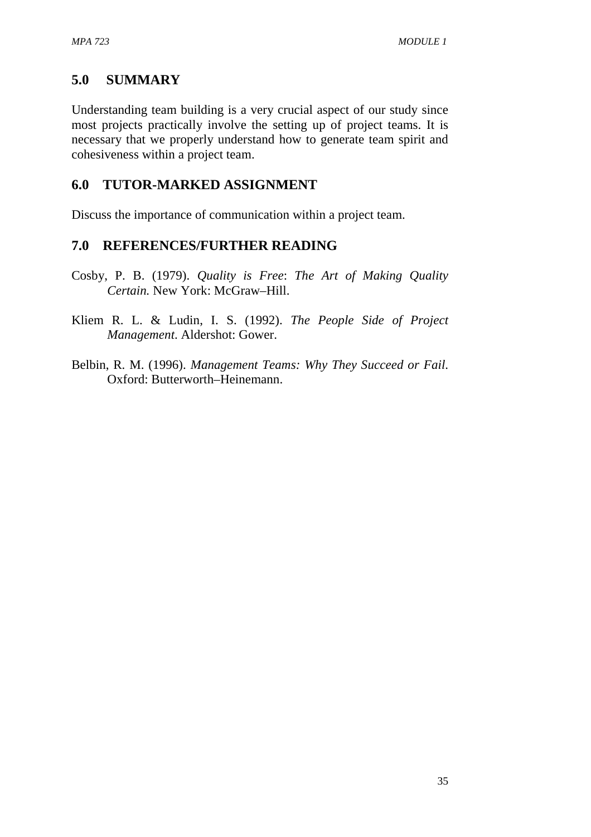# **5.0 SUMMARY**

Understanding team building is a very crucial aspect of our study since most projects practically involve the setting up of project teams. It is necessary that we properly understand how to generate team spirit and cohesiveness within a project team.

# **6.0 TUTOR-MARKED ASSIGNMENT**

Discuss the importance of communication within a project team.

## **7.0 REFERENCES/FURTHER READING**

- Cosby, P. B. (1979). *Quality is Free*: *The Art of Making Quality Certain.* New York: McGraw–Hill.
- Kliem R. L. & Ludin, I. S. (1992). *The People Side of Project Management*. Aldershot: Gower.
- Belbin, R. M. (1996). *Management Teams: Why They Succeed or Fail*. Oxford: Butterworth–Heinemann.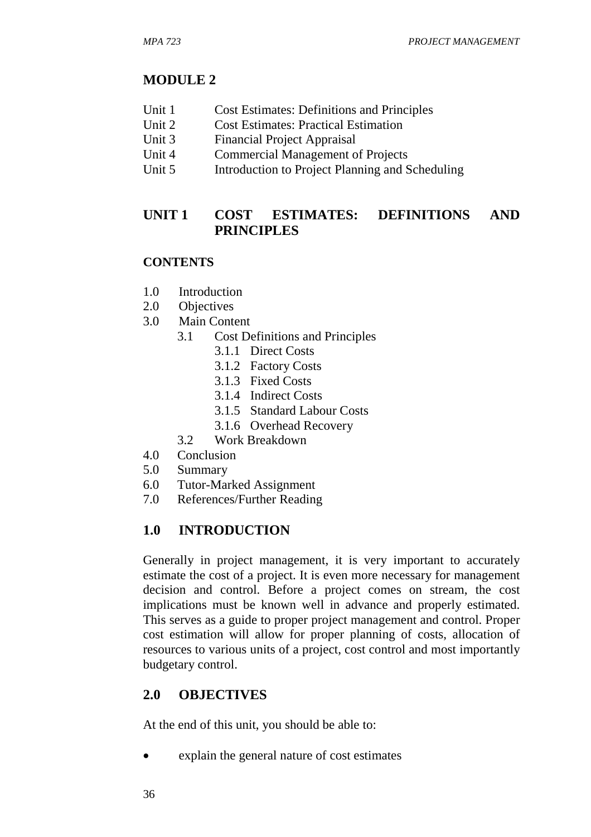## **MODULE 2**

- Unit 1 Cost Estimates: Definitions and Principles
- Unit 2 Cost Estimates: Practical Estimation
- Unit 3 Financial Project Appraisal
- Unit 4 Commercial Management of Projects
- Unit 5 Introduction to Project Planning and Scheduling

# **UNIT 1 COST ESTIMATES: DEFINITIONS AND PRINCIPLES**

#### **CONTENTS**

- 1.0 Introduction
- 2.0 Objectives
- 3.0 Main Content
	- 3.1 Cost Definitions and Principles
		- 3.1.1 Direct Costs
		- 3.1.2 Factory Costs
		- 3.1.3 Fixed Costs
		- 3.1.4 Indirect Costs
		- 3.1.5 Standard Labour Costs
		- 3.1.6 Overhead Recovery
	- 3.2 Work Breakdown
- 4.0 Conclusion
- 5.0 Summary
- 6.0 Tutor-Marked Assignment
- 7.0 References/Further Reading

#### **1.0 INTRODUCTION**

Generally in project management, it is very important to accurately estimate the cost of a project. It is even more necessary for management decision and control. Before a project comes on stream, the cost implications must be known well in advance and properly estimated. This serves as a guide to proper project management and control. Proper cost estimation will allow for proper planning of costs, allocation of resources to various units of a project, cost control and most importantly budgetary control.

# **2.0 OBJECTIVES**

At the end of this unit, you should be able to:

• explain the general nature of cost estimates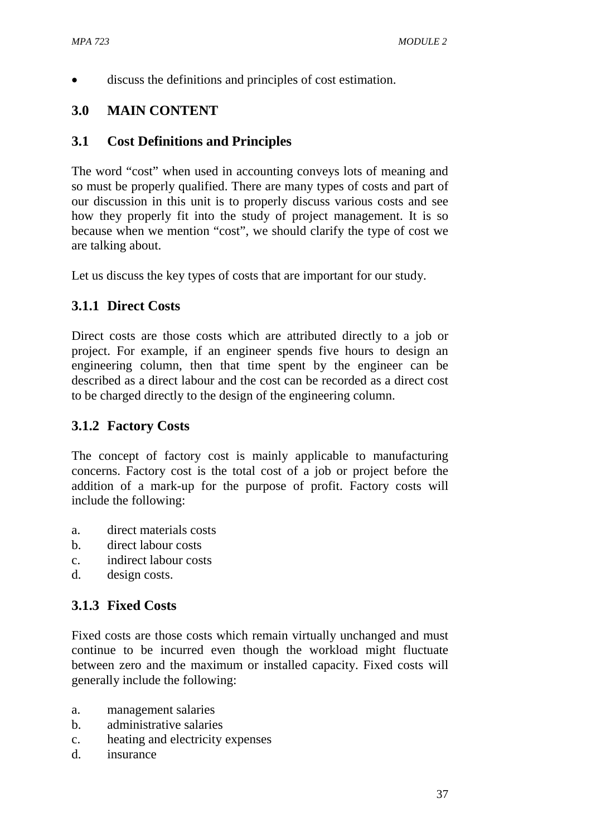discuss the definitions and principles of cost estimation.

# **3.0 MAIN CONTENT**

## **3.1 Cost Definitions and Principles**

The word "cost" when used in accounting conveys lots of meaning and so must be properly qualified. There are many types of costs and part of our discussion in this unit is to properly discuss various costs and see how they properly fit into the study of project management. It is so because when we mention "cost", we should clarify the type of cost we are talking about.

Let us discuss the key types of costs that are important for our study.

# **3.1.1 Direct Costs**

Direct costs are those costs which are attributed directly to a job or project. For example, if an engineer spends five hours to design an engineering column, then that time spent by the engineer can be described as a direct labour and the cost can be recorded as a direct cost to be charged directly to the design of the engineering column.

#### **3.1.2 Factory Costs**

The concept of factory cost is mainly applicable to manufacturing concerns. Factory cost is the total cost of a job or project before the addition of a mark-up for the purpose of profit. Factory costs will include the following:

- a. direct materials costs
- b. direct labour costs
- c. indirect labour costs
- d. design costs.

#### **3.1.3 Fixed Costs**

Fixed costs are those costs which remain virtually unchanged and must continue to be incurred even though the workload might fluctuate between zero and the maximum or installed capacity. Fixed costs will generally include the following:

- a. management salaries
- b. administrative salaries
- c. heating and electricity expenses
- d. insurance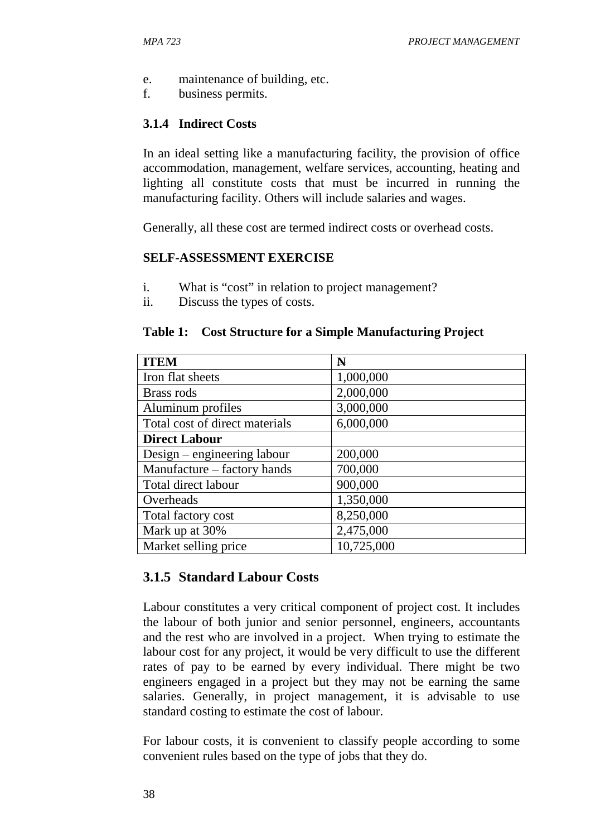- e. maintenance of building, etc.
- f. business permits.

# **3.1.4 Indirect Costs**

In an ideal setting like a manufacturing facility, the provision of office accommodation, management, welfare services, accounting, heating and lighting all constitute costs that must be incurred in running the manufacturing facility. Others will include salaries and wages.

Generally, all these cost are termed indirect costs or overhead costs.

#### **SELF-ASSESSMENT EXERCISE**

- i. What is "cost" in relation to project management?
- ii. Discuss the types of costs.

#### **Table 1: Cost Structure for a Simple Manufacturing Project**

| <b>ITEM</b>                    | $\mathbf N$ |
|--------------------------------|-------------|
| Iron flat sheets               | 1,000,000   |
| Brass rods                     | 2,000,000   |
| Aluminum profiles              | 3,000,000   |
| Total cost of direct materials | 6,000,000   |
| <b>Direct Labour</b>           |             |
| Design – engineering labour    | 200,000     |
| Manufacture – factory hands    | 700,000     |
| Total direct labour            | 900,000     |
| Overheads                      | 1,350,000   |
| Total factory cost             | 8,250,000   |
| Mark up at 30%                 | 2,475,000   |
| Market selling price           | 10,725,000  |

# **3.1.5 Standard Labour Costs**

Labour constitutes a very critical component of project cost. It includes the labour of both junior and senior personnel, engineers, accountants and the rest who are involved in a project. When trying to estimate the labour cost for any project, it would be very difficult to use the different rates of pay to be earned by every individual. There might be two engineers engaged in a project but they may not be earning the same salaries. Generally, in project management, it is advisable to use standard costing to estimate the cost of labour.

For labour costs, it is convenient to classify people according to some convenient rules based on the type of jobs that they do.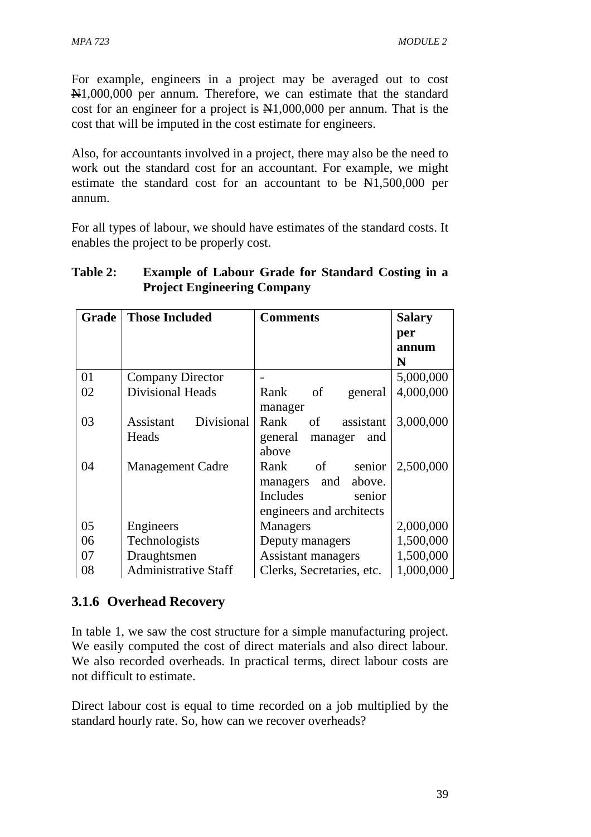For example, engineers in a project may be averaged out to cost N1,000,000 per annum. Therefore, we can estimate that the standard cost for an engineer for a project is  $\mathbb{N}1,000,000$  per annum. That is the cost that will be imputed in the cost estimate for engineers.

Also, for accountants involved in a project, there may also be the need to work out the standard cost for an accountant. For example, we might estimate the standard cost for an accountant to be  $\mathbb{N}1,500,000$  per annum.

For all types of labour, we should have estimates of the standard costs. It enables the project to be properly cost.

| Grade | <b>Those Included</b>       | <b>Comments</b>           | <b>Salary</b> |
|-------|-----------------------------|---------------------------|---------------|
|       |                             |                           | per           |
|       |                             |                           | annum         |
|       |                             |                           | N             |
| 01    | <b>Company Director</b>     |                           | 5,000,000     |
| 02    | <b>Divisional Heads</b>     | of<br>Rank<br>general     | 4,000,000     |
|       |                             | manager                   |               |
| 03    | Divisional<br>Assistant     | Rank<br>of<br>assistant   | 3,000,000     |
|       | Heads                       | general<br>manager<br>and |               |
|       |                             | above                     |               |
| 04    | <b>Management Cadre</b>     | of<br>Rank<br>senior      | 2,500,000     |
|       |                             | and<br>above.<br>managers |               |
|       |                             | Includes<br>senior        |               |
|       |                             | engineers and architects  |               |
| 05    | Engineers                   | <b>Managers</b>           | 2,000,000     |
| 06    | Technologists               | Deputy managers           | 1,500,000     |
| 07    | Draughtsmen                 | Assistant managers        | 1,500,000     |
| 08    | <b>Administrative Staff</b> | Clerks, Secretaries, etc. | 1,000,000     |

# **Table 2: Example of Labour Grade for Standard Costing in a Project Engineering Company**

# **3.1.6 Overhead Recovery**

In table 1, we saw the cost structure for a simple manufacturing project. We easily computed the cost of direct materials and also direct labour. We also recorded overheads. In practical terms, direct labour costs are not difficult to estimate.

Direct labour cost is equal to time recorded on a job multiplied by the standard hourly rate. So, how can we recover overheads?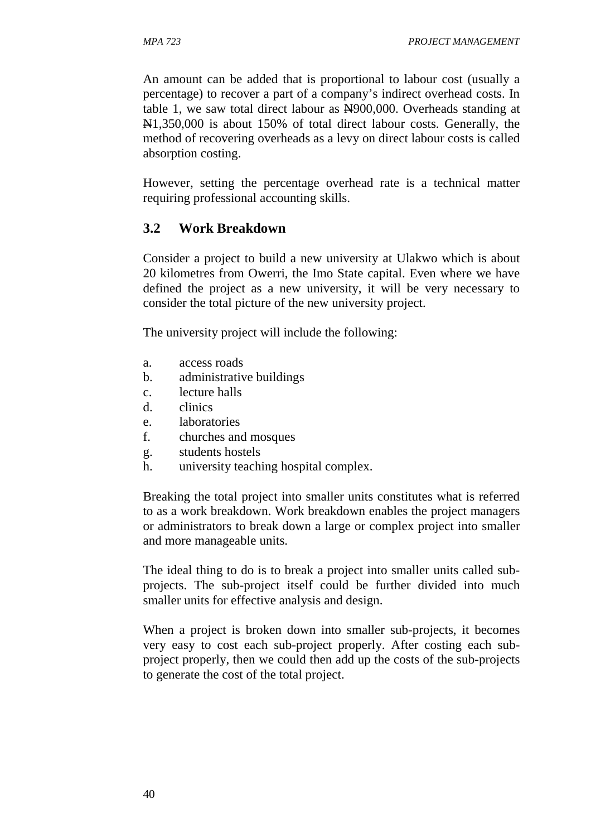An amount can be added that is proportional to labour cost (usually a percentage) to recover a part of a company's indirect overhead costs. In table 1, we saw total direct labour as  $\frac{N}{900,000}$ . Overheads standing at N1,350,000 is about 150% of total direct labour costs. Generally, the method of recovering overheads as a levy on direct labour costs is called absorption costing.

However, setting the percentage overhead rate is a technical matter requiring professional accounting skills.

## **3.2 Work Breakdown**

Consider a project to build a new university at Ulakwo which is about 20 kilometres from Owerri, the Imo State capital. Even where we have defined the project as a new university, it will be very necessary to consider the total picture of the new university project.

The university project will include the following:

- a. access roads
- b. administrative buildings
- c. lecture halls
- d. clinics
- e. laboratories
- f. churches and mosques
- g. students hostels
- h. university teaching hospital complex.

Breaking the total project into smaller units constitutes what is referred to as a work breakdown. Work breakdown enables the project managers or administrators to break down a large or complex project into smaller and more manageable units.

The ideal thing to do is to break a project into smaller units called subprojects. The sub-project itself could be further divided into much smaller units for effective analysis and design.

When a project is broken down into smaller sub-projects, it becomes very easy to cost each sub-project properly. After costing each subproject properly, then we could then add up the costs of the sub-projects to generate the cost of the total project.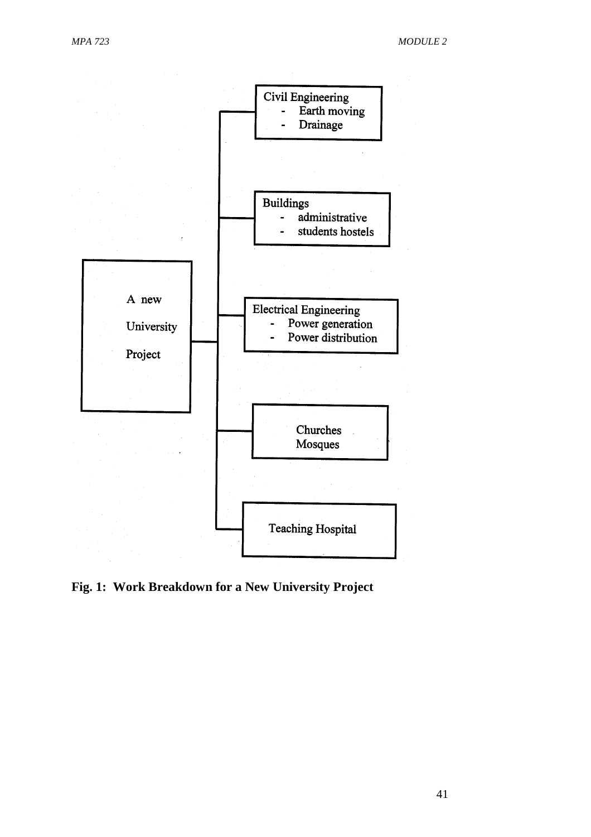

**Fig. 1: Work Breakdown for a New University Project**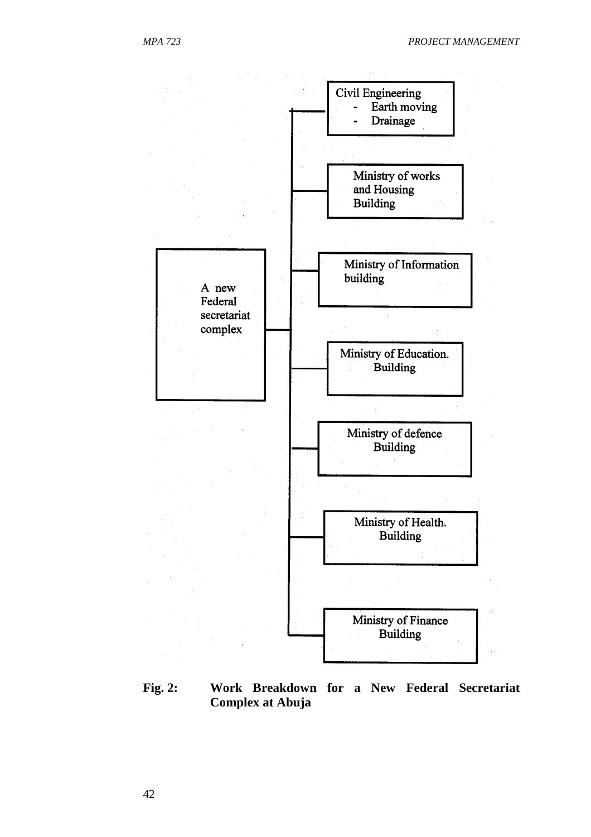

**Fig. 2: Work Breakdown for a New Federal Secretariat Complex at Abuja**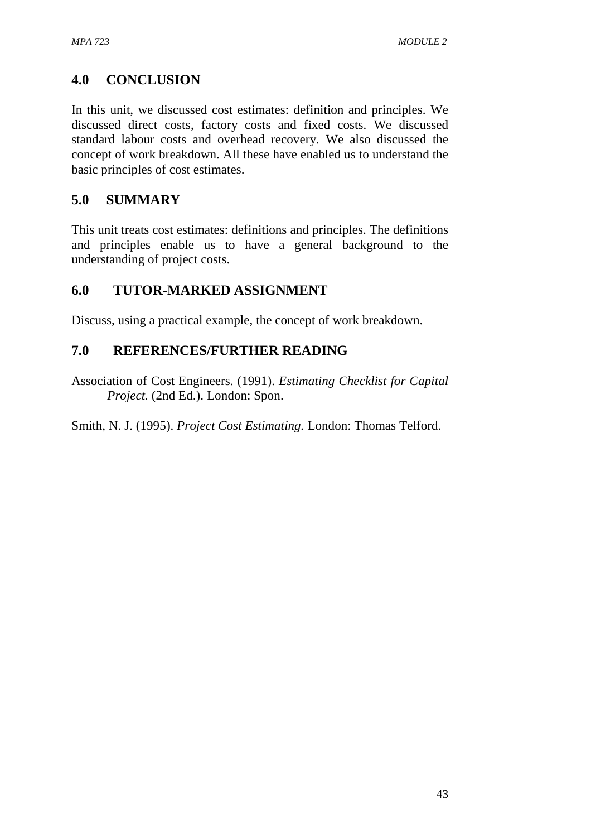# **4.0 CONCLUSION**

In this unit, we discussed cost estimates: definition and principles. We discussed direct costs, factory costs and fixed costs. We discussed standard labour costs and overhead recovery. We also discussed the concept of work breakdown. All these have enabled us to understand the basic principles of cost estimates.

# **5.0 SUMMARY**

This unit treats cost estimates: definitions and principles. The definitions and principles enable us to have a general background to the understanding of project costs.

# **6.0 TUTOR-MARKED ASSIGNMENT**

Discuss, using a practical example, the concept of work breakdown.

# **7.0 REFERENCES/FURTHER READING**

Association of Cost Engineers. (1991). *Estimating Checklist for Capital Project.* (2nd Ed.). London: Spon.

Smith, N. J. (1995). *Project Cost Estimating.* London: Thomas Telford.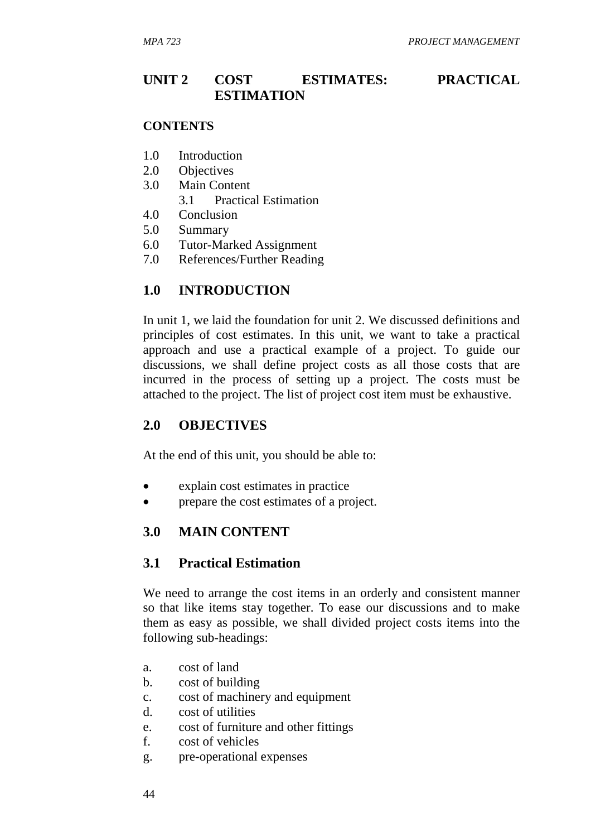# **UNIT 2 COST ESTIMATES: PRACTICAL ESTIMATION**

#### **CONTENTS**

- 1.0 Introduction
- 2.0 Objectives
- 3.0 Main Content
	- 3.1 Practical Estimation
- 4.0 Conclusion
- 5.0 Summary
- 6.0 Tutor-Marked Assignment
- 7.0 References/Further Reading

## **1.0 INTRODUCTION**

In unit 1, we laid the foundation for unit 2. We discussed definitions and principles of cost estimates. In this unit, we want to take a practical approach and use a practical example of a project. To guide our discussions, we shall define project costs as all those costs that are incurred in the process of setting up a project. The costs must be attached to the project. The list of project cost item must be exhaustive.

#### **2.0 OBJECTIVES**

At the end of this unit, you should be able to:

- explain cost estimates in practice
- prepare the cost estimates of a project.

#### **3.0 MAIN CONTENT**

## **3.1 Practical Estimation**

We need to arrange the cost items in an orderly and consistent manner so that like items stay together. To ease our discussions and to make them as easy as possible, we shall divided project costs items into the following sub-headings:

- a. cost of land
- b. cost of building
- c. cost of machinery and equipment
- d. cost of utilities
- e. cost of furniture and other fittings
- f. cost of vehicles
- g. pre-operational expenses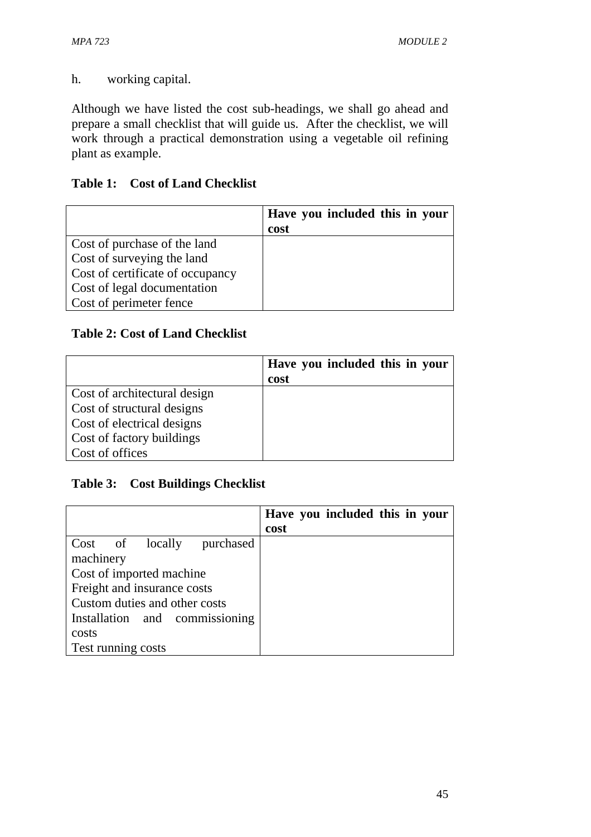h. working capital.

Although we have listed the cost sub-headings, we shall go ahead and prepare a small checklist that will guide us. After the checklist, we will work through a practical demonstration using a vegetable oil refining plant as example.

## **Table 1: Cost of Land Checklist**

|                                  | Have you included this in your |
|----------------------------------|--------------------------------|
|                                  | cost                           |
| Cost of purchase of the land     |                                |
| Cost of surveying the land       |                                |
| Cost of certificate of occupancy |                                |
| Cost of legal documentation      |                                |
| Cost of perimeter fence          |                                |

## **Table 2: Cost of Land Checklist**

|                              | Have you included this in your |
|------------------------------|--------------------------------|
|                              | cost                           |
| Cost of architectural design |                                |
| Cost of structural designs   |                                |
| Cost of electrical designs   |                                |
| Cost of factory buildings    |                                |
| Cost of offices              |                                |

#### **Table 3: Cost Buildings Checklist**

|                                | Have you included this in your |
|--------------------------------|--------------------------------|
|                                | cost                           |
| Cost of locally purchased      |                                |
| machinery                      |                                |
| Cost of imported machine       |                                |
| Freight and insurance costs    |                                |
| Custom duties and other costs  |                                |
| Installation and commissioning |                                |
| costs                          |                                |
| Test running costs             |                                |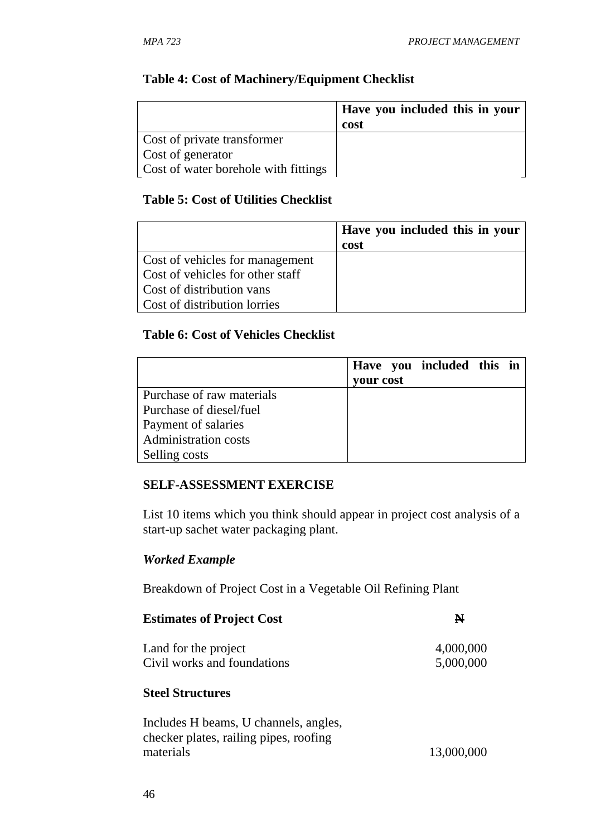#### **Table 4: Cost of Machinery/Equipment Checklist**

|                                      | <b>Have you included this in your</b><br>cost |
|--------------------------------------|-----------------------------------------------|
| Cost of private transformer          |                                               |
| Cost of generator                    |                                               |
| Cost of water borehole with fittings |                                               |

#### **Table 5: Cost of Utilities Checklist**

|                                  | Have you included this in your |
|----------------------------------|--------------------------------|
|                                  | cost                           |
| Cost of vehicles for management  |                                |
| Cost of vehicles for other staff |                                |
| Cost of distribution vans        |                                |
| Cost of distribution lorries     |                                |

#### **Table 6: Cost of Vehicles Checklist**

|                             | Have you included this in |  |
|-----------------------------|---------------------------|--|
|                             | your cost                 |  |
| Purchase of raw materials   |                           |  |
| Purchase of diesel/fuel     |                           |  |
| Payment of salaries         |                           |  |
| <b>Administration costs</b> |                           |  |
| Selling costs               |                           |  |

#### **SELF-ASSESSMENT EXERCISE**

List 10 items which you think should appear in project cost analysis of a start-up sachet water packaging plant.

#### *Worked Example*

Breakdown of Project Cost in a Vegetable Oil Refining Plant

| <b>Estimates of Project Cost</b>                    | N                      |
|-----------------------------------------------------|------------------------|
| Land for the project<br>Civil works and foundations | 4,000,000<br>5,000,000 |
|                                                     |                        |

# **Steel Structures**

| Includes H beams, U channels, angles,  |            |
|----------------------------------------|------------|
| checker plates, railing pipes, roofing |            |
| materials                              | 13,000,000 |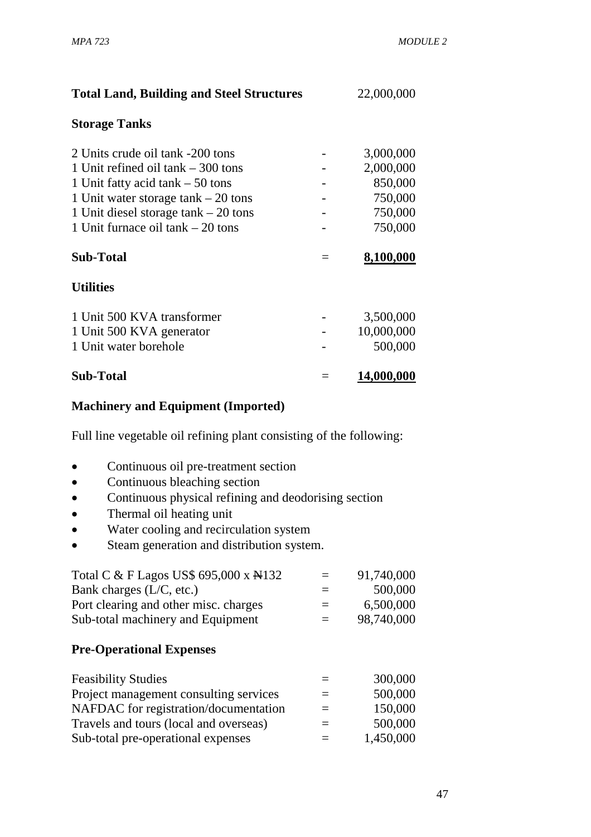| <b>Total Land, Building and Steel Structures</b> |     | 22,000,000 |  |
|--------------------------------------------------|-----|------------|--|
| <b>Storage Tanks</b>                             |     |            |  |
| 2 Units crude oil tank -200 tons                 |     | 3,000,000  |  |
| 1 Unit refined oil $tank - 300$ tons             |     | 2,000,000  |  |
| 1 Unit fatty acid tank $-50$ tons                |     | 850,000    |  |
| 1 Unit water storage tank $-20$ tons             |     | 750,000    |  |
| 1 Unit diesel storage $tank - 20$ tons           |     | 750,000    |  |
| 1 Unit furnace oil $tanh - 20$ tons              |     | 750,000    |  |
| <b>Sub-Total</b>                                 | $=$ | 8,100,000  |  |
| <b>Utilities</b>                                 |     |            |  |
| 1 Unit 500 KVA transformer                       |     | 3,500,000  |  |
| 1 Unit 500 KVA generator                         |     | 10,000,000 |  |
| 1 Unit water borehole                            |     | 500,000    |  |
| <b>Sub-Total</b>                                 |     | 14,000,000 |  |

#### **Machinery and Equipment (Imported)**

Full line vegetable oil refining plant consisting of the following:

- Continuous oil pre-treatment section
- Continuous bleaching section
- Continuous physical refining and deodorising section
- Thermal oil heating unit
- Water cooling and recirculation system
- Steam generation and distribution system.

| Total C & F Lagos US\$ 695,000 x A132 | $=$ | 91,740,000 |
|---------------------------------------|-----|------------|
| Bank charges $(L/C, etc.)$            | $=$ | 500,000    |
| Port clearing and other misc. charges | $=$ | 6,500,000  |
| Sub-total machinery and Equipment     | $=$ | 98,740,000 |

#### **Pre-Operational Expenses**

| <b>Feasibility Studies</b>             |          | 300,000   |
|----------------------------------------|----------|-----------|
| Project management consulting services | $=$      | 500,000   |
| NAFDAC for registration/documentation  | $\equiv$ | 150,000   |
| Travels and tours (local and overseas) | $=$      | 500,000   |
| Sub-total pre-operational expenses     | $=$      | 1,450,000 |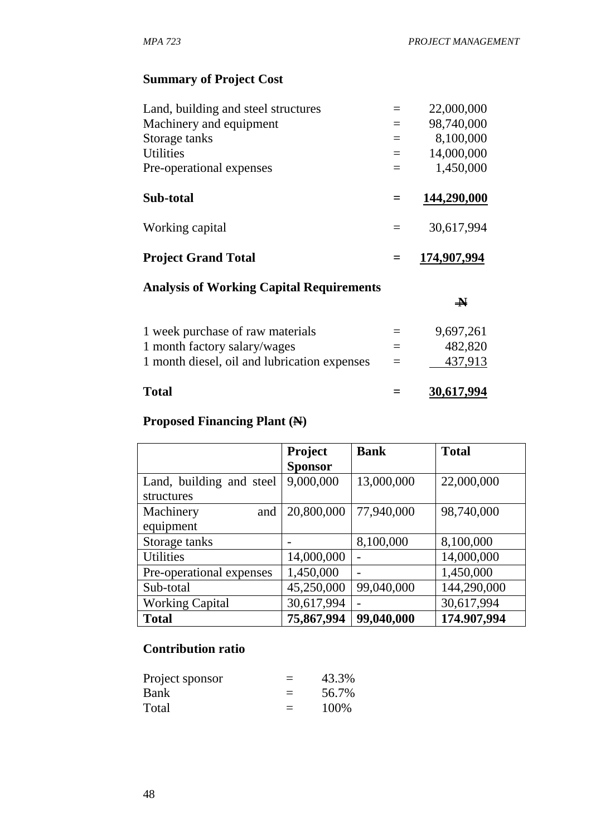# **Summary of Project Cost**

| Land, building and steel structures             |     | 22,000,000            |
|-------------------------------------------------|-----|-----------------------|
| Machinery and equipment                         | $=$ | 98,740,000            |
| Storage tanks                                   | $=$ | 8,100,000             |
| <b>Utilities</b>                                | $=$ | 14,000,000            |
| Pre-operational expenses                        | $=$ | 1,450,000             |
| Sub-total                                       |     | 144,290,000           |
| Working capital                                 | $=$ | 30,617,994            |
| <b>Project Grand Total</b>                      |     | 174,907,994           |
| <b>Analysis of Working Capital Requirements</b> |     |                       |
|                                                 |     | $\blacktriangleright$ |
| 1 week purchase of raw materials                |     | 9,697,261             |

| Total                                        |          | 30,617,994       |
|----------------------------------------------|----------|------------------|
| 1 month diesel, oil and lubrication expenses | $\equiv$ | 437,913          |
| 1 month factory salary/wages                 | $=$      | 482,820          |
| I Week parents of faw materials              |          | $2.99219 - 0.12$ |

# **Proposed Financing Plant (N)**

|                          | <b>Project</b> | <b>Bank</b>              | <b>Total</b> |
|--------------------------|----------------|--------------------------|--------------|
|                          | <b>Sponsor</b> |                          |              |
| Land, building and steel | 9,000,000      | 13,000,000               | 22,000,000   |
| structures               |                |                          |              |
| Machinery<br>and         | 20,800,000     | 77,940,000               | 98,740,000   |
| equipment                |                |                          |              |
| Storage tanks            |                | 8,100,000                | 8,100,000    |
| <b>Utilities</b>         | 14,000,000     |                          | 14,000,000   |
| Pre-operational expenses | 1,450,000      | $\overline{\phantom{0}}$ | 1,450,000    |
| Sub-total                | 45,250,000     | 99,040,000               | 144,290,000  |
| <b>Working Capital</b>   | 30,617,994     |                          | 30,617,994   |
| <b>Total</b>             | 75,867,994     | 99,040,000               | 174.907,994  |

# **Contribution ratio**

| Project sponsor | $=$ | 43.3% |
|-----------------|-----|-------|
| Bank            | $=$ | 56.7% |
| Total           | $=$ | 100%  |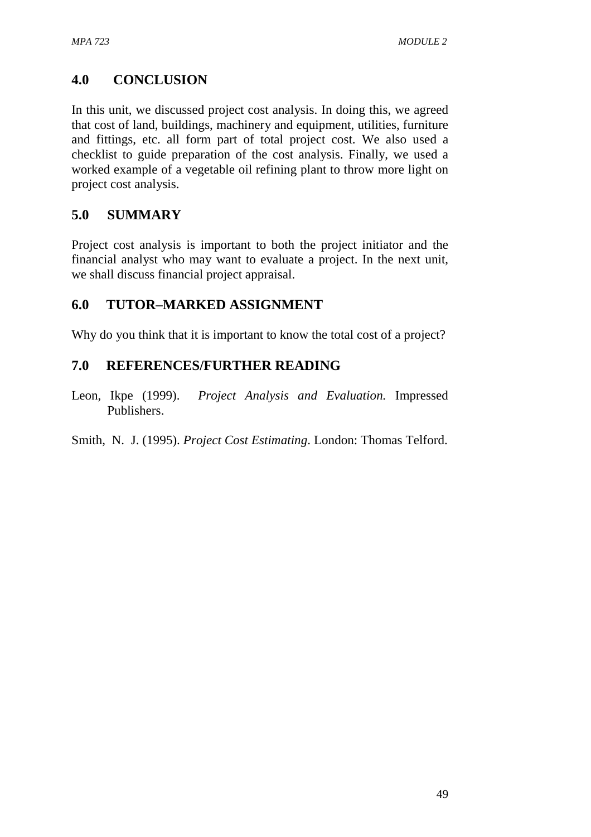# **4.0 CONCLUSION**

In this unit, we discussed project cost analysis. In doing this, we agreed that cost of land, buildings, machinery and equipment, utilities, furniture and fittings, etc. all form part of total project cost. We also used a checklist to guide preparation of the cost analysis. Finally, we used a worked example of a vegetable oil refining plant to throw more light on project cost analysis.

# **5.0 SUMMARY**

Project cost analysis is important to both the project initiator and the financial analyst who may want to evaluate a project. In the next unit, we shall discuss financial project appraisal.

# **6.0 TUTOR–MARKED ASSIGNMENT**

Why do you think that it is important to know the total cost of a project?

# **7.0 REFERENCES/FURTHER READING**

Leon, Ikpe (1999). *Project Analysis and Evaluation.* Impressed Publishers.

Smith, N. J. (1995). *Project Cost Estimating*. London: Thomas Telford.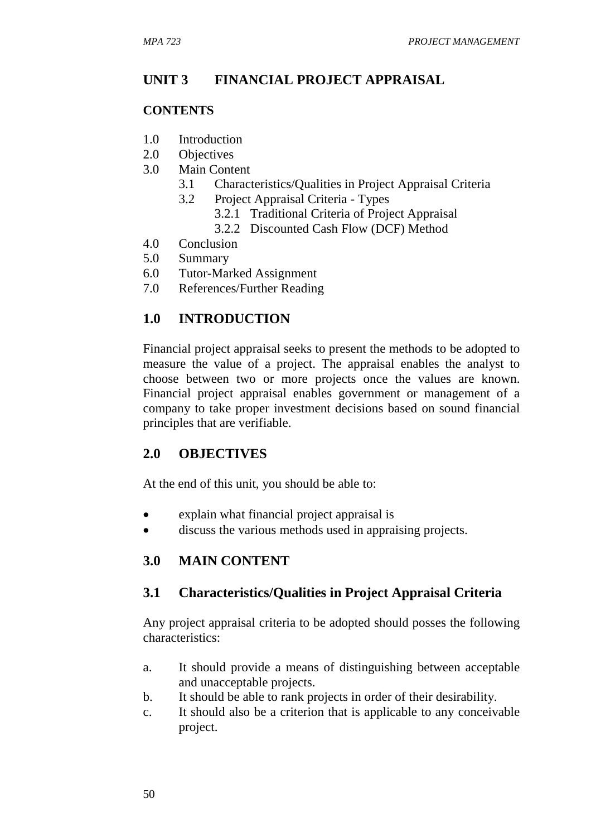# **UNIT 3 FINANCIAL PROJECT APPRAISAL**

#### **CONTENTS**

- 1.0 Introduction
- 2.0 Objectives
- 3.0 Main Content
	- 3.1 Characteristics/Qualities in Project Appraisal Criteria
	- 3.2 Project Appraisal Criteria Types
		- 3.2.1 Traditional Criteria of Project Appraisal
		- 3.2.2 Discounted Cash Flow (DCF) Method
- 4.0 Conclusion
- 5.0 Summary
- 6.0 Tutor-Marked Assignment
- 7.0 References/Further Reading

# **1.0 INTRODUCTION**

Financial project appraisal seeks to present the methods to be adopted to measure the value of a project. The appraisal enables the analyst to choose between two or more projects once the values are known. Financial project appraisal enables government or management of a company to take proper investment decisions based on sound financial principles that are verifiable.

## **2.0 OBJECTIVES**

At the end of this unit, you should be able to:

- explain what financial project appraisal is
- discuss the various methods used in appraising projects.

## **3.0 MAIN CONTENT**

#### **3.1 Characteristics/Qualities in Project Appraisal Criteria**

Any project appraisal criteria to be adopted should posses the following characteristics:

- a. It should provide a means of distinguishing between acceptable and unacceptable projects.
- b. It should be able to rank projects in order of their desirability.
- c. It should also be a criterion that is applicable to any conceivable project.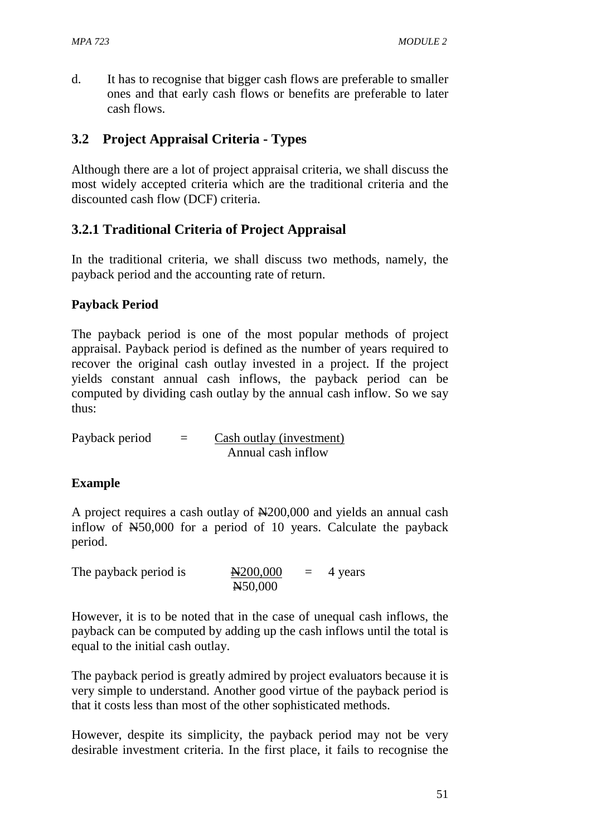d. It has to recognise that bigger cash flows are preferable to smaller ones and that early cash flows or benefits are preferable to later cash flows.

# **3.2 Project Appraisal Criteria - Types**

Although there are a lot of project appraisal criteria, we shall discuss the most widely accepted criteria which are the traditional criteria and the discounted cash flow (DCF) criteria.

## **3.2.1 Traditional Criteria of Project Appraisal**

In the traditional criteria, we shall discuss two methods, namely, the payback period and the accounting rate of return.

#### **Payback Period**

The payback period is one of the most popular methods of project appraisal. Payback period is defined as the number of years required to recover the original cash outlay invested in a project. If the project yields constant annual cash inflows, the payback period can be computed by dividing cash outlay by the annual cash inflow. So we say thus:

Payback period  $=$  Cash outlay (investment) Annual cash inflow

#### **Example**

A project requires a cash outlay of  $\mathbb{H}200,000$  and yields an annual cash inflow of N50,000 for a period of 10 years. Calculate the payback period.

| The payback period is | $\text{A}200,000$ | $=$ 4 years |
|-----------------------|-------------------|-------------|
|                       | $H$ 50,000        |             |

However, it is to be noted that in the case of unequal cash inflows, the payback can be computed by adding up the cash inflows until the total is equal to the initial cash outlay.

The payback period is greatly admired by project evaluators because it is very simple to understand. Another good virtue of the payback period is that it costs less than most of the other sophisticated methods.

However, despite its simplicity, the payback period may not be very desirable investment criteria. In the first place, it fails to recognise the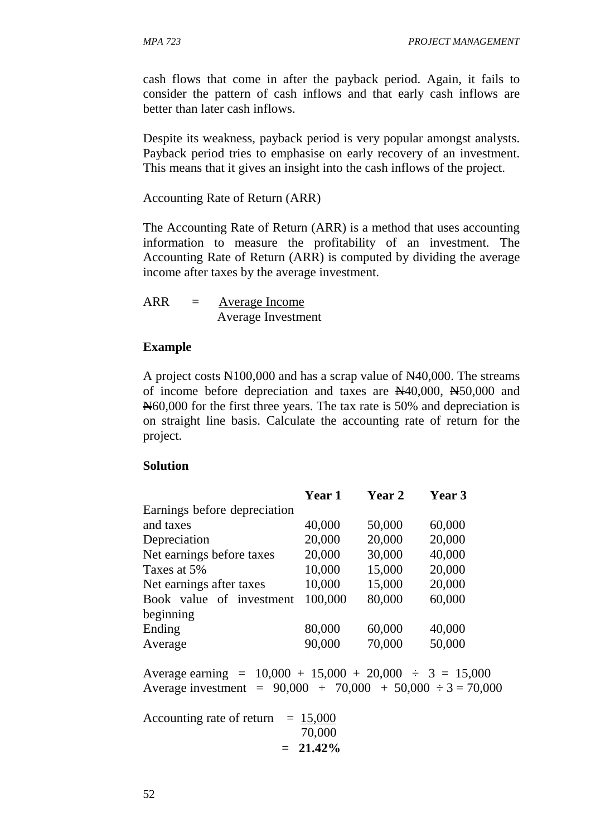cash flows that come in after the payback period. Again, it fails to consider the pattern of cash inflows and that early cash inflows are better than later cash inflows.

Despite its weakness, payback period is very popular amongst analysts. Payback period tries to emphasise on early recovery of an investment. This means that it gives an insight into the cash inflows of the project.

Accounting Rate of Return (ARR)

The Accounting Rate of Return (ARR) is a method that uses accounting information to measure the profitability of an investment. The Accounting Rate of Return (ARR) is computed by dividing the average income after taxes by the average investment.

ARR = Average Income Average Investment

#### **Example**

A project costs  $\text{\textsterling}100,000$  and has a scrap value of  $\text{\textsterling}40,000$ . The streams of income before depreciation and taxes are N40,000, N50,000 and N60,000 for the first three years. The tax rate is 50% and depreciation is on straight line basis. Calculate the accounting rate of return for the project.

#### **Solution**

|                              | <b>Year 1</b> | <b>Year 2</b> | Year 3 |
|------------------------------|---------------|---------------|--------|
| Earnings before depreciation |               |               |        |
| and taxes                    | 40,000        | 50,000        | 60,000 |
| Depreciation                 | 20,000        | 20,000        | 20,000 |
| Net earnings before taxes    | 20,000        | 30,000        | 40,000 |
| Taxes at 5%                  | 10,000        | 15,000        | 20,000 |
| Net earnings after taxes     | 10,000        | 15,000        | 20,000 |
| Book value of investment     | 100,000       | 80,000        | 60,000 |
| beginning                    |               |               |        |
| Ending                       | 80,000        | 60,000        | 40,000 |
| Average                      | 90,000        | 70,000        | 50,000 |
|                              |               |               |        |

Average earning =  $10,000 + 15,000 + 20,000 \div 3 = 15,000$ Average investment =  $90,000 + 70,000 + 50,000 \div 3 = 70,000$ 

Accounting rate of return  $= 15,000$  70,000  $= 21.42\%$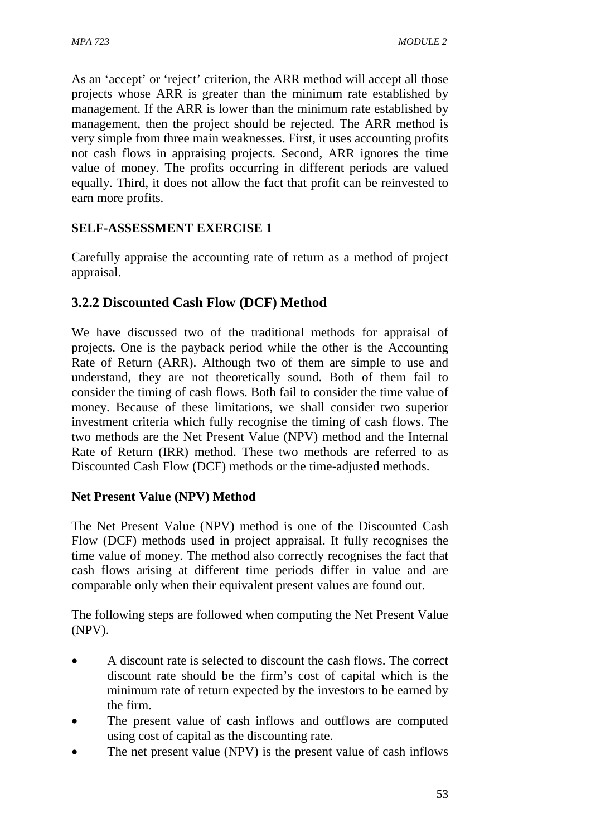As an 'accept' or 'reject' criterion, the ARR method will accept all those projects whose ARR is greater than the minimum rate established by management. If the ARR is lower than the minimum rate established by management, then the project should be rejected. The ARR method is very simple from three main weaknesses. First, it uses accounting profits not cash flows in appraising projects. Second, ARR ignores the time value of money. The profits occurring in different periods are valued equally. Third, it does not allow the fact that profit can be reinvested to earn more profits.

## **SELF-ASSESSMENT EXERCISE 1**

Carefully appraise the accounting rate of return as a method of project appraisal.

# **3.2.2 Discounted Cash Flow (DCF) Method**

We have discussed two of the traditional methods for appraisal of projects. One is the payback period while the other is the Accounting Rate of Return (ARR). Although two of them are simple to use and understand, they are not theoretically sound. Both of them fail to consider the timing of cash flows. Both fail to consider the time value of money. Because of these limitations, we shall consider two superior investment criteria which fully recognise the timing of cash flows. The two methods are the Net Present Value (NPV) method and the Internal Rate of Return (IRR) method. These two methods are referred to as Discounted Cash Flow (DCF) methods or the time-adjusted methods.

#### **Net Present Value (NPV) Method**

The Net Present Value (NPV) method is one of the Discounted Cash Flow (DCF) methods used in project appraisal. It fully recognises the time value of money. The method also correctly recognises the fact that cash flows arising at different time periods differ in value and are comparable only when their equivalent present values are found out.

The following steps are followed when computing the Net Present Value (NPV).

- A discount rate is selected to discount the cash flows. The correct discount rate should be the firm's cost of capital which is the minimum rate of return expected by the investors to be earned by the firm.
- The present value of cash inflows and outflows are computed using cost of capital as the discounting rate.
- The net present value (NPV) is the present value of cash inflows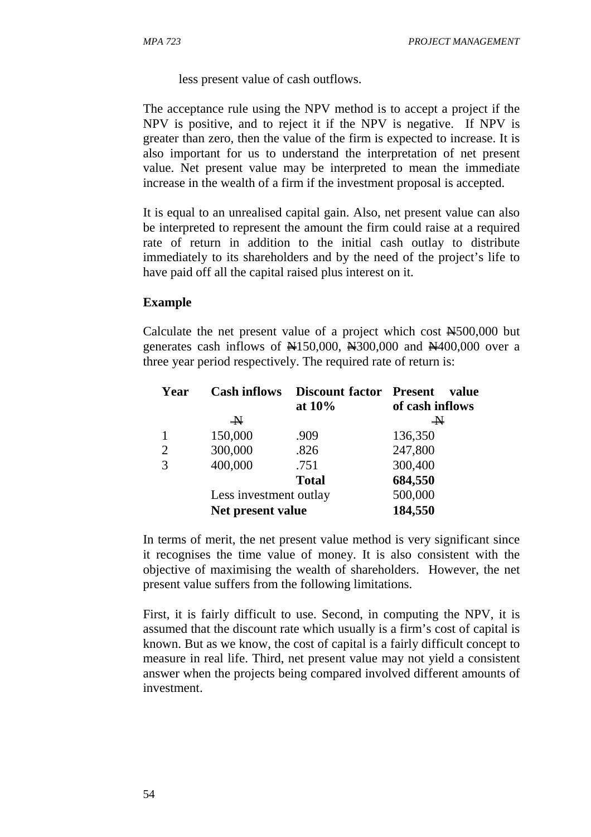less present value of cash outflows.

The acceptance rule using the NPV method is to accept a project if the NPV is positive, and to reject it if the NPV is negative. If NPV is greater than zero, then the value of the firm is expected to increase. It is also important for us to understand the interpretation of net present value. Net present value may be interpreted to mean the immediate increase in the wealth of a firm if the investment proposal is accepted.

It is equal to an unrealised capital gain. Also, net present value can also be interpreted to represent the amount the firm could raise at a required rate of return in addition to the initial cash outlay to distribute immediately to its shareholders and by the need of the project's life to have paid off all the capital raised plus interest on it.

#### **Example**

Calculate the net present value of a project which cost N500,000 but generates cash inflows of  $\text{\textsterling}150,000$ ,  $\text{\textsterling}300,000$  and  $\text{\textsterling}400,000$  over a three year period respectively. The required rate of return is:

| Year           | <b>Cash inflows</b>    | <b>Discount factor Present</b><br>at $10\%$ | value<br>of cash inflows |
|----------------|------------------------|---------------------------------------------|--------------------------|
|                | $\rightarrow$          |                                             | $\rightarrow$            |
|                | 150,000                | .909                                        | 136,350                  |
| 2              | 300,000                | .826                                        | 247,800                  |
| $\overline{3}$ | 400,000                | .751                                        | 300,400                  |
|                |                        | <b>Total</b>                                | 684,550                  |
|                | Less investment outlay |                                             | 500,000                  |
|                | Net present value      |                                             | 184,550                  |

In terms of merit, the net present value method is very significant since it recognises the time value of money. It is also consistent with the objective of maximising the wealth of shareholders. However, the net present value suffers from the following limitations.

First, it is fairly difficult to use. Second, in computing the NPV, it is assumed that the discount rate which usually is a firm's cost of capital is known. But as we know, the cost of capital is a fairly difficult concept to measure in real life. Third, net present value may not yield a consistent answer when the projects being compared involved different amounts of investment.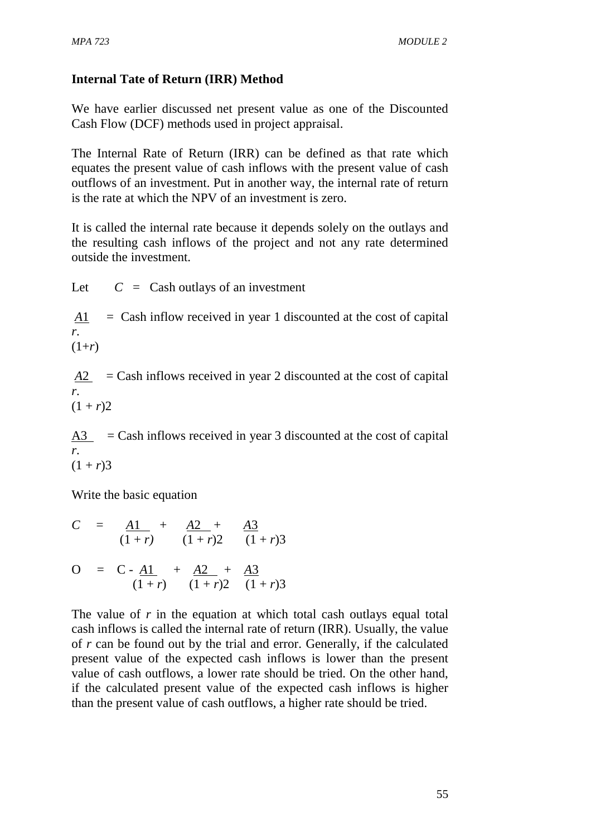# **Internal Tate of Return (IRR) Method**

We have earlier discussed net present value as one of the Discounted Cash Flow (DCF) methods used in project appraisal.

The Internal Rate of Return (IRR) can be defined as that rate which equates the present value of cash inflows with the present value of cash outflows of an investment. Put in another way, the internal rate of return is the rate at which the NPV of an investment is zero.

It is called the internal rate because it depends solely on the outlays and the resulting cash inflows of the project and not any rate determined outside the investment.

Let  $C = \text{Cash outlays of an investment}$ 

*A*1 = Cash inflow received in year 1 discounted at the cost of capital *r*.  $(1+r)$ 

 $A2 =$ Cash inflows received in year 2 discounted at the cost of capital *r*.  $(1 + r)2$ 

 $A3 =$ Cash inflows received in year 3 discounted at the cost of capital *r*.  $(1 + r)3$ 

Write the basic equation

$$
C = \frac{A1}{(1+r)} + \frac{A2}{(1+r)2} + \frac{A3}{(1+r)3}
$$
  
\n
$$
O = C - \frac{A1}{(1+r)} + \frac{A2}{(1+r)2} + \frac{A3}{(1+r)3}
$$

The value of *r* in the equation at which total cash outlays equal total cash inflows is called the internal rate of return (IRR). Usually, the value of *r* can be found out by the trial and error. Generally, if the calculated present value of the expected cash inflows is lower than the present value of cash outflows, a lower rate should be tried. On the other hand, if the calculated present value of the expected cash inflows is higher than the present value of cash outflows, a higher rate should be tried.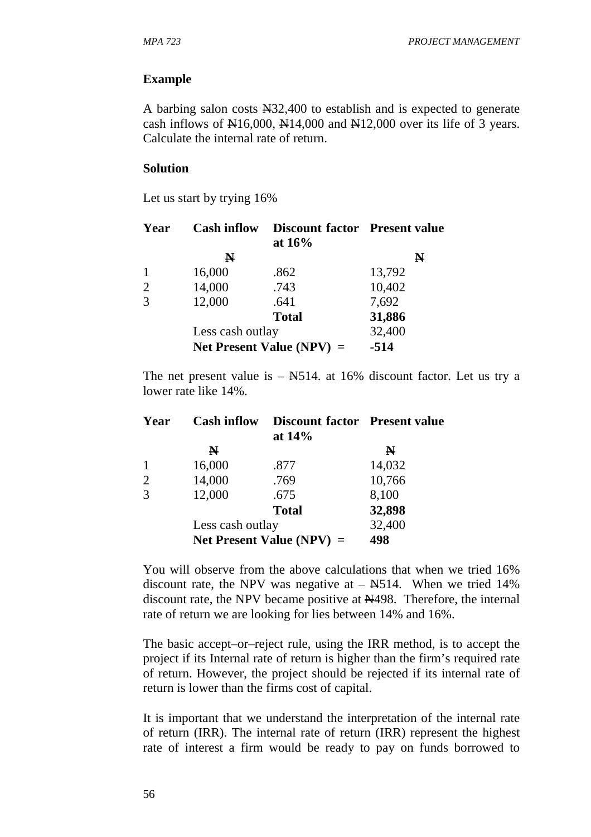#### **Example**

A barbing salon costs N32,400 to establish and is expected to generate cash inflows of  $\text{\textsterling}16,000, \text{\textsterling}14,000$  and  $\text{\textsterling}12,000$  over its life of 3 years. Calculate the internal rate of return.

#### **Solution**

Let us start by trying 16%

| Year           | <b>Cash inflow</b> | <b>Discount factor</b> Present value<br>at $16%$ |             |
|----------------|--------------------|--------------------------------------------------|-------------|
|                | N                  |                                                  | $\mathbb N$ |
| $\mathbf{1}$   | 16,000             | .862                                             | 13,792      |
| $\overline{2}$ | 14,000             | .743                                             | 10,402      |
| 3              | 12,000             | .641                                             | 7,692       |
|                |                    | <b>Total</b>                                     | 31,886      |
|                | Less cash outlay   |                                                  | 32,400      |
|                |                    | Net Present Value (NPV) $=$                      | $-514$      |

The net present value is  $-$  N $514$ . at 16% discount factor. Let us try a lower rate like 14%.

| Year           | <b>Cash inflow</b> | <b>Discount factor</b> Present value<br>at $14\%$ |        |
|----------------|--------------------|---------------------------------------------------|--------|
|                | $\mathbf N$        |                                                   | N      |
|                | 16,000             | .877                                              | 14,032 |
| $\overline{2}$ | 14,000             | .769                                              | 10,766 |
| 3              | 12,000             | .675                                              | 8,100  |
|                |                    | <b>Total</b>                                      | 32,898 |
|                | Less cash outlay   |                                                   | 32,400 |
|                |                    | Net Present Value (NPV) $=$                       | 498    |

You will observe from the above calculations that when we tried 16% discount rate, the NPV was negative at  $-$  N $514$ . When we tried 14% discount rate, the NPV became positive at N498. Therefore, the internal rate of return we are looking for lies between 14% and 16%.

The basic accept–or–reject rule, using the IRR method, is to accept the project if its Internal rate of return is higher than the firm's required rate of return. However, the project should be rejected if its internal rate of return is lower than the firms cost of capital.

It is important that we understand the interpretation of the internal rate of return (IRR). The internal rate of return (IRR) represent the highest rate of interest a firm would be ready to pay on funds borrowed to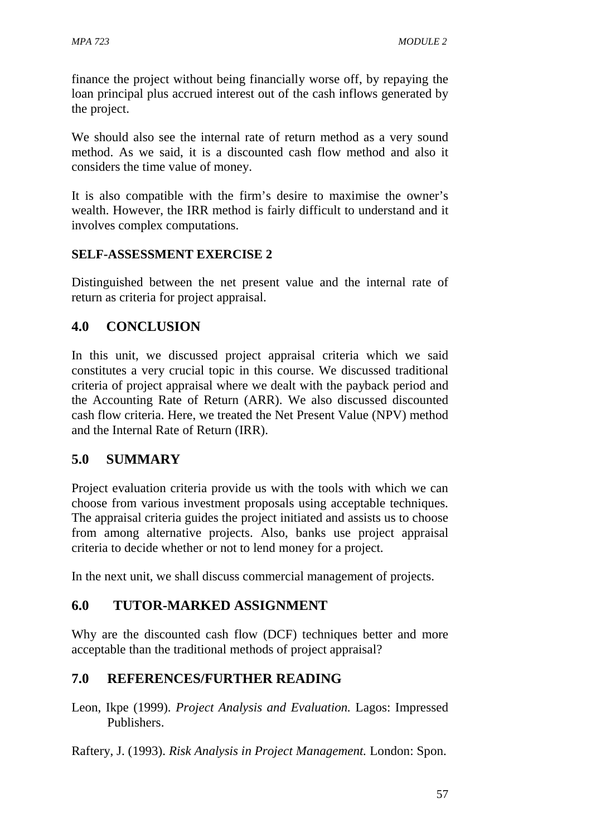finance the project without being financially worse off, by repaying the loan principal plus accrued interest out of the cash inflows generated by the project.

We should also see the internal rate of return method as a very sound method. As we said, it is a discounted cash flow method and also it considers the time value of money.

It is also compatible with the firm's desire to maximise the owner's wealth. However, the IRR method is fairly difficult to understand and it involves complex computations.

## **SELF-ASSESSMENT EXERCISE 2**

Distinguished between the net present value and the internal rate of return as criteria for project appraisal.

# **4.0 CONCLUSION**

In this unit, we discussed project appraisal criteria which we said constitutes a very crucial topic in this course. We discussed traditional criteria of project appraisal where we dealt with the payback period and the Accounting Rate of Return (ARR). We also discussed discounted cash flow criteria. Here, we treated the Net Present Value (NPV) method and the Internal Rate of Return (IRR).

# **5.0 SUMMARY**

Project evaluation criteria provide us with the tools with which we can choose from various investment proposals using acceptable techniques. The appraisal criteria guides the project initiated and assists us to choose from among alternative projects. Also, banks use project appraisal criteria to decide whether or not to lend money for a project.

In the next unit, we shall discuss commercial management of projects.

# **6.0 TUTOR-MARKED ASSIGNMENT**

Why are the discounted cash flow (DCF) techniques better and more acceptable than the traditional methods of project appraisal?

# **7.0 REFERENCES/FURTHER READING**

Leon, Ikpe (1999). *Project Analysis and Evaluation.* Lagos: Impressed Publishers.

Raftery, J. (1993). *Risk Analysis in Project Management.* London: Spon.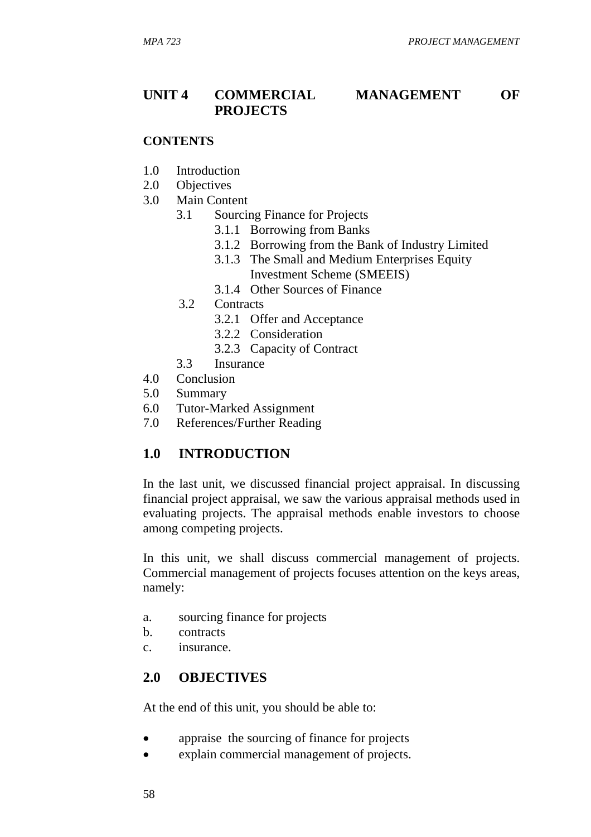# **UNIT 4 COMMERCIAL MANAGEMENT OF PROJECTS**

#### **CONTENTS**

- 1.0 Introduction
- 2.0 Objectives
- 3.0 Main Content
	- 3.1 Sourcing Finance for Projects
		- 3.1.1 Borrowing from Banks
		- 3.1.2 Borrowing from the Bank of Industry Limited
		- 3.1.3 The Small and Medium Enterprises Equity Investment Scheme (SMEEIS)
		- 3.1.4 Other Sources of Finance
	- 3.2 Contracts
		- 3.2.1 Offer and Acceptance
		- 3.2.2 Consideration
		- 3.2.3 Capacity of Contract
	- 3.3 Insurance
- 4.0 Conclusion
- 5.0 Summary
- 6.0 Tutor-Marked Assignment
- 7.0 References/Further Reading

#### **1.0 INTRODUCTION**

In the last unit, we discussed financial project appraisal. In discussing financial project appraisal, we saw the various appraisal methods used in evaluating projects. The appraisal methods enable investors to choose among competing projects.

In this unit, we shall discuss commercial management of projects. Commercial management of projects focuses attention on the keys areas, namely:

- a. sourcing finance for projects
- b. contracts
- c. insurance.

#### **2.0 OBJECTIVES**

At the end of this unit, you should be able to:

- appraise the sourcing of finance for projects
- explain commercial management of projects.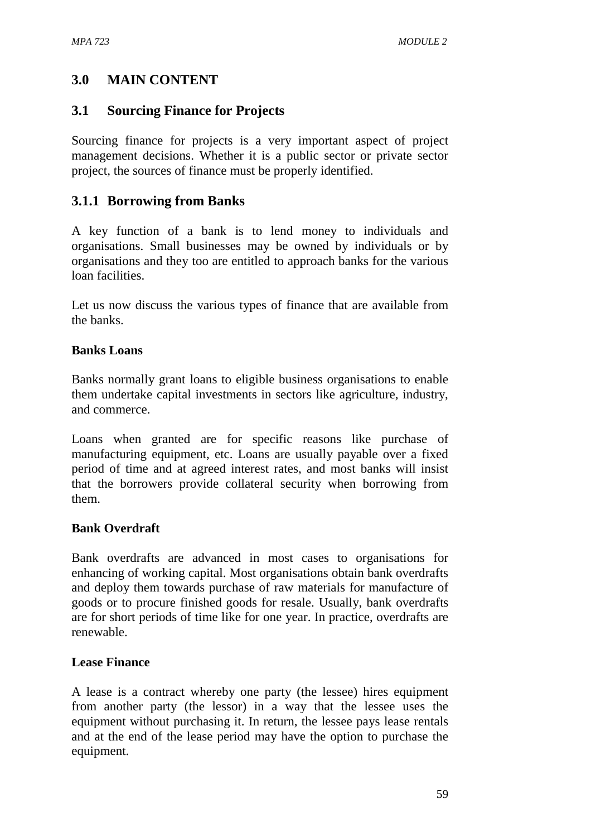# **3.0 MAIN CONTENT**

## **3.1 Sourcing Finance for Projects**

Sourcing finance for projects is a very important aspect of project management decisions. Whether it is a public sector or private sector project, the sources of finance must be properly identified.

# **3.1.1 Borrowing from Banks**

A key function of a bank is to lend money to individuals and organisations. Small businesses may be owned by individuals or by organisations and they too are entitled to approach banks for the various loan facilities.

Let us now discuss the various types of finance that are available from the banks.

#### **Banks Loans**

Banks normally grant loans to eligible business organisations to enable them undertake capital investments in sectors like agriculture, industry, and commerce.

Loans when granted are for specific reasons like purchase of manufacturing equipment, etc. Loans are usually payable over a fixed period of time and at agreed interest rates, and most banks will insist that the borrowers provide collateral security when borrowing from them.

#### **Bank Overdraft**

Bank overdrafts are advanced in most cases to organisations for enhancing of working capital. Most organisations obtain bank overdrafts and deploy them towards purchase of raw materials for manufacture of goods or to procure finished goods for resale. Usually, bank overdrafts are for short periods of time like for one year. In practice, overdrafts are renewable.

#### **Lease Finance**

A lease is a contract whereby one party (the lessee) hires equipment from another party (the lessor) in a way that the lessee uses the equipment without purchasing it. In return, the lessee pays lease rentals and at the end of the lease period may have the option to purchase the equipment.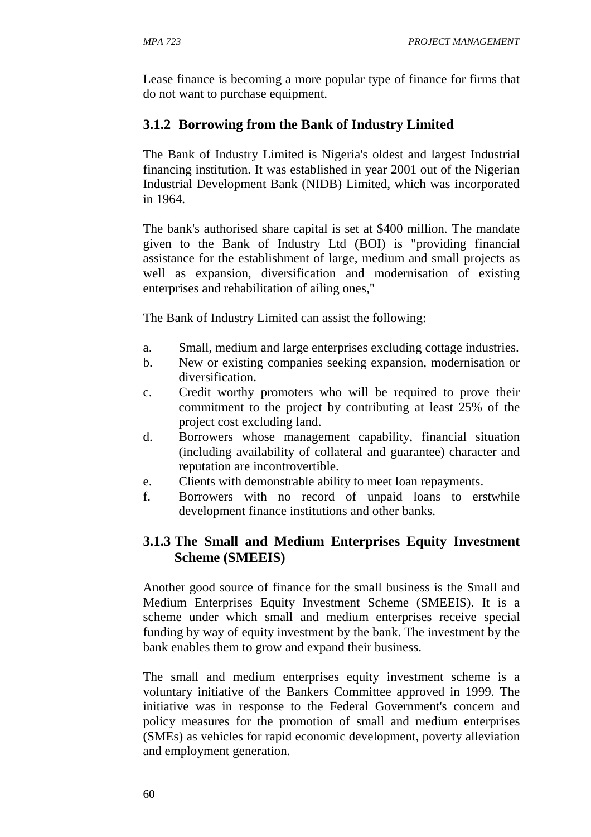Lease finance is becoming a more popular type of finance for firms that do not want to purchase equipment.

# **3.1.2 Borrowing from the Bank of Industry Limited**

The Bank of Industry Limited is Nigeria's oldest and largest Industrial financing institution. It was established in year 2001 out of the Nigerian Industrial Development Bank (NIDB) Limited, which was incorporated in 1964.

The bank's authorised share capital is set at \$400 million. The mandate given to the Bank of Industry Ltd (BOI) is "providing financial assistance for the establishment of large, medium and small projects as well as expansion, diversification and modernisation of existing enterprises and rehabilitation of ailing ones,"

The Bank of Industry Limited can assist the following:

- a. Small, medium and large enterprises excluding cottage industries.
- b. New or existing companies seeking expansion, modernisation or diversification.
- c. Credit worthy promoters who will be required to prove their commitment to the project by contributing at least 25% of the project cost excluding land.
- d. Borrowers whose management capability, financial situation (including availability of collateral and guarantee) character and reputation are incontrovertible.
- e. Clients with demonstrable ability to meet loan repayments.
- f. Borrowers with no record of unpaid loans to erstwhile development finance institutions and other banks.

# **3.1.3 The Small and Medium Enterprises Equity Investment Scheme (SMEEIS)**

Another good source of finance for the small business is the Small and Medium Enterprises Equity Investment Scheme (SMEEIS). It is a scheme under which small and medium enterprises receive special funding by way of equity investment by the bank. The investment by the bank enables them to grow and expand their business.

The small and medium enterprises equity investment scheme is a voluntary initiative of the Bankers Committee approved in 1999. The initiative was in response to the Federal Government's concern and policy measures for the promotion of small and medium enterprises (SMEs) as vehicles for rapid economic development, poverty alleviation and employment generation.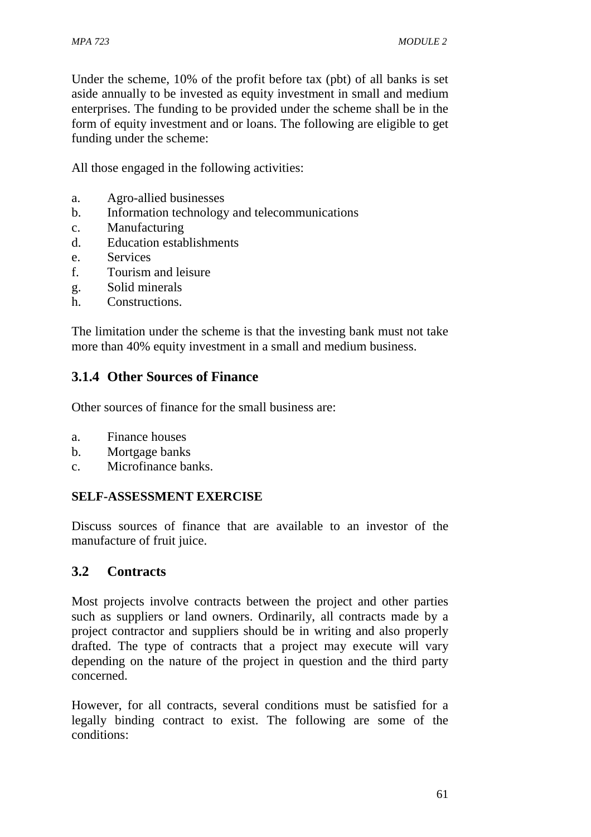Under the scheme, 10% of the profit before tax (pbt) of all banks is set aside annually to be invested as equity investment in small and medium enterprises. The funding to be provided under the scheme shall be in the form of equity investment and or loans. The following are eligible to get funding under the scheme:

All those engaged in the following activities:

- a. Agro-allied businesses
- b. Information technology and telecommunications
- c. Manufacturing
- d. Education establishments
- e. Services
- f. Tourism and leisure
- g. Solid minerals
- h. Constructions.

The limitation under the scheme is that the investing bank must not take more than 40% equity investment in a small and medium business.

## **3.1.4 Other Sources of Finance**

Other sources of finance for the small business are:

- a. Finance houses
- b. Mortgage banks
- c. Microfinance banks.

#### **SELF-ASSESSMENT EXERCISE**

Discuss sources of finance that are available to an investor of the manufacture of fruit juice.

#### **3.2 Contracts**

Most projects involve contracts between the project and other parties such as suppliers or land owners. Ordinarily, all contracts made by a project contractor and suppliers should be in writing and also properly drafted. The type of contracts that a project may execute will vary depending on the nature of the project in question and the third party concerned.

However, for all contracts, several conditions must be satisfied for a legally binding contract to exist. The following are some of the conditions: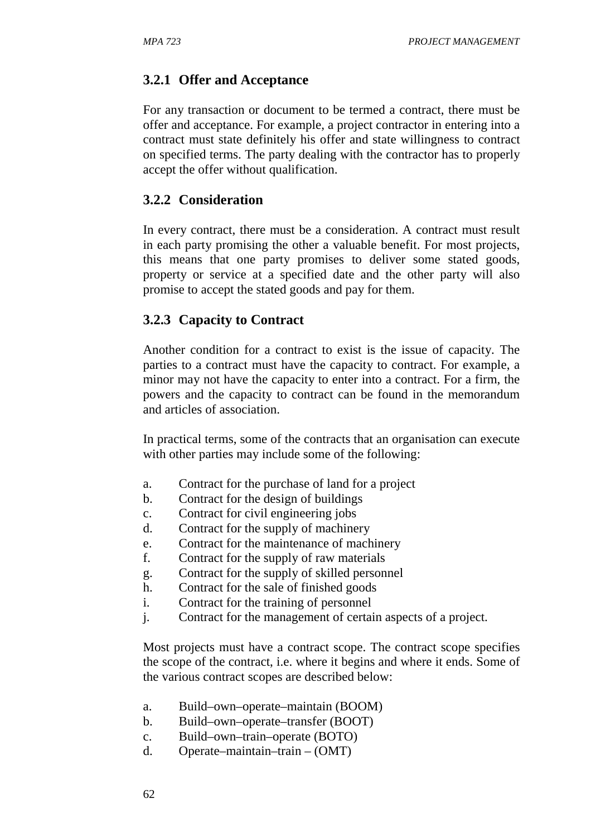## **3.2.1 Offer and Acceptance**

For any transaction or document to be termed a contract, there must be offer and acceptance. For example, a project contractor in entering into a contract must state definitely his offer and state willingness to contract on specified terms. The party dealing with the contractor has to properly accept the offer without qualification.

#### **3.2.2 Consideration**

In every contract, there must be a consideration. A contract must result in each party promising the other a valuable benefit. For most projects, this means that one party promises to deliver some stated goods, property or service at a specified date and the other party will also promise to accept the stated goods and pay for them.

#### **3.2.3 Capacity to Contract**

Another condition for a contract to exist is the issue of capacity. The parties to a contract must have the capacity to contract. For example, a minor may not have the capacity to enter into a contract. For a firm, the powers and the capacity to contract can be found in the memorandum and articles of association.

In practical terms, some of the contracts that an organisation can execute with other parties may include some of the following:

- a. Contract for the purchase of land for a project
- b. Contract for the design of buildings
- c. Contract for civil engineering jobs
- d. Contract for the supply of machinery
- e. Contract for the maintenance of machinery
- f. Contract for the supply of raw materials
- g. Contract for the supply of skilled personnel
- h. Contract for the sale of finished goods
- i. Contract for the training of personnel
- j. Contract for the management of certain aspects of a project.

Most projects must have a contract scope. The contract scope specifies the scope of the contract, i.e. where it begins and where it ends. Some of the various contract scopes are described below:

- a. Build–own–operate–maintain (BOOM)
- b. Build–own–operate–transfer (BOOT)
- c. Build–own–train–operate (BOTO)
- d. Operate–maintain–train (OMT)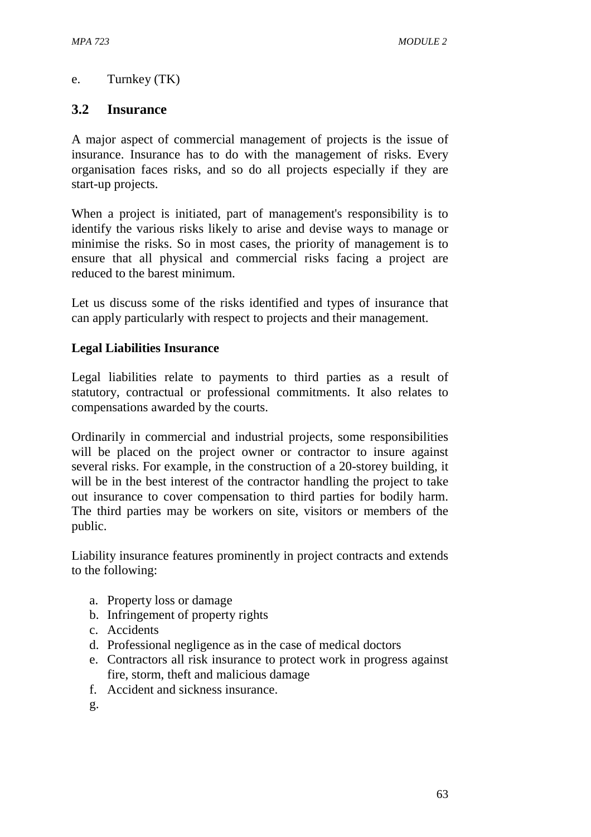# e. Turnkey (TK)

## **3.2 Insurance**

A major aspect of commercial management of projects is the issue of insurance. Insurance has to do with the management of risks. Every organisation faces risks, and so do all projects especially if they are start-up projects.

When a project is initiated, part of management's responsibility is to identify the various risks likely to arise and devise ways to manage or minimise the risks. So in most cases, the priority of management is to ensure that all physical and commercial risks facing a project are reduced to the barest minimum.

Let us discuss some of the risks identified and types of insurance that can apply particularly with respect to projects and their management.

#### **Legal Liabilities Insurance**

Legal liabilities relate to payments to third parties as a result of statutory, contractual or professional commitments. It also relates to compensations awarded by the courts.

Ordinarily in commercial and industrial projects, some responsibilities will be placed on the project owner or contractor to insure against several risks. For example, in the construction of a 20-storey building, it will be in the best interest of the contractor handling the project to take out insurance to cover compensation to third parties for bodily harm. The third parties may be workers on site, visitors or members of the public.

Liability insurance features prominently in project contracts and extends to the following:

- a. Property loss or damage
- b. Infringement of property rights
- c. Accidents
- d. Professional negligence as in the case of medical doctors
- e. Contractors all risk insurance to protect work in progress against fire, storm, theft and malicious damage
- f. Accident and sickness insurance.

g.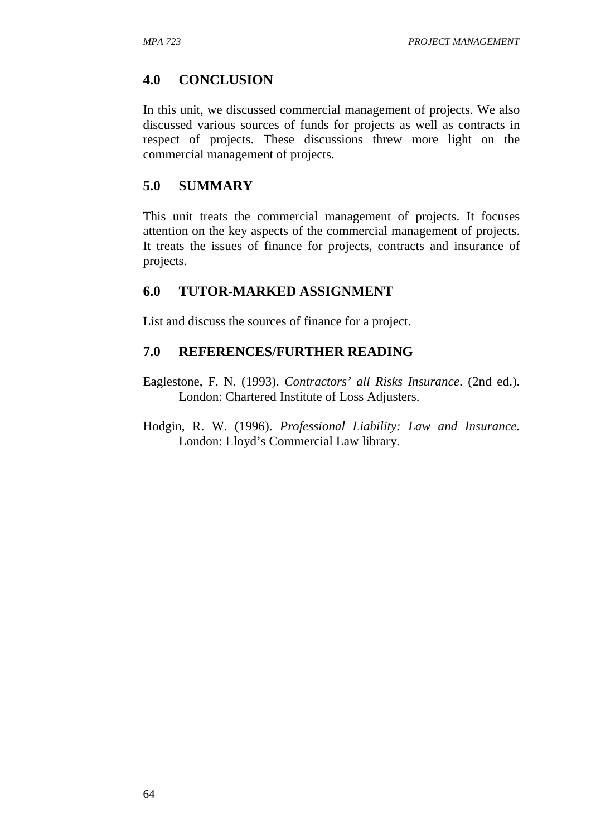## **4.0 CONCLUSION**

In this unit, we discussed commercial management of projects. We also discussed various sources of funds for projects as well as contracts in respect of projects. These discussions threw more light on the commercial management of projects.

#### **5.0 SUMMARY**

This unit treats the commercial management of projects. It focuses attention on the key aspects of the commercial management of projects. It treats the issues of finance for projects, contracts and insurance of projects.

## **6.0 TUTOR-MARKED ASSIGNMENT**

List and discuss the sources of finance for a project.

## **7.0 REFERENCES/FURTHER READING**

Eaglestone, F. N. (1993). *Contractors' all Risks Insurance*. (2nd ed.). London: Chartered Institute of Loss Adjusters.

Hodgin, R. W. (1996). *Professional Liability: Law and Insurance.*  London: Lloyd's Commercial Law library.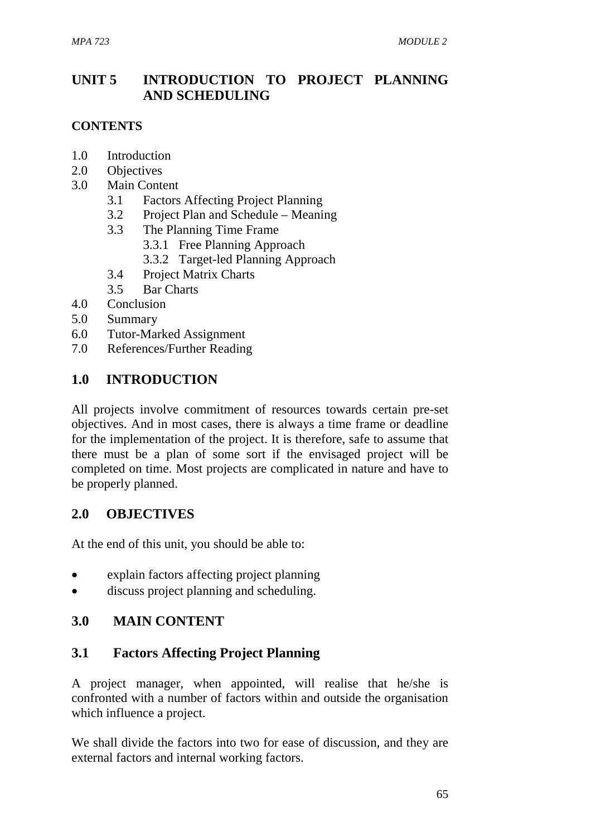# **UNIT 5 INTRODUCTION TO PROJECT PLANNING AND SCHEDULING**

## **CONTENTS**

- 1.0 Introduction
- 2.0 Objectives
- 3.0 Main Content
	- 3.1 Factors Affecting Project Planning
	- 3.2 Project Plan and Schedule Meaning
	- 3.3 The Planning Time Frame
		- 3.3.1 Free Planning Approach
		- 3.3.2 Target-led Planning Approach
	- 3.4 Project Matrix Charts
	- 3.5 Bar Charts
- 4.0 Conclusion
- 5.0 Summary
- 6.0 Tutor-Marked Assignment
- 7.0 References/Further Reading

# **1.0 INTRODUCTION**

All projects involve commitment of resources towards certain pre-set objectives. And in most cases, there is always a time frame or deadline for the implementation of the project. It is therefore, safe to assume that there must be a plan of some sort if the envisaged project will be completed on time. Most projects are complicated in nature and have to be properly planned.

# **2.0 OBJECTIVES**

At the end of this unit, you should be able to:

- explain factors affecting project planning
- discuss project planning and scheduling.

# **3.0 MAIN CONTENT**

# **3.1 Factors Affecting Project Planning**

A project manager, when appointed, will realise that he/she is confronted with a number of factors within and outside the organisation which influence a project.

We shall divide the factors into two for ease of discussion, and they are external factors and internal working factors.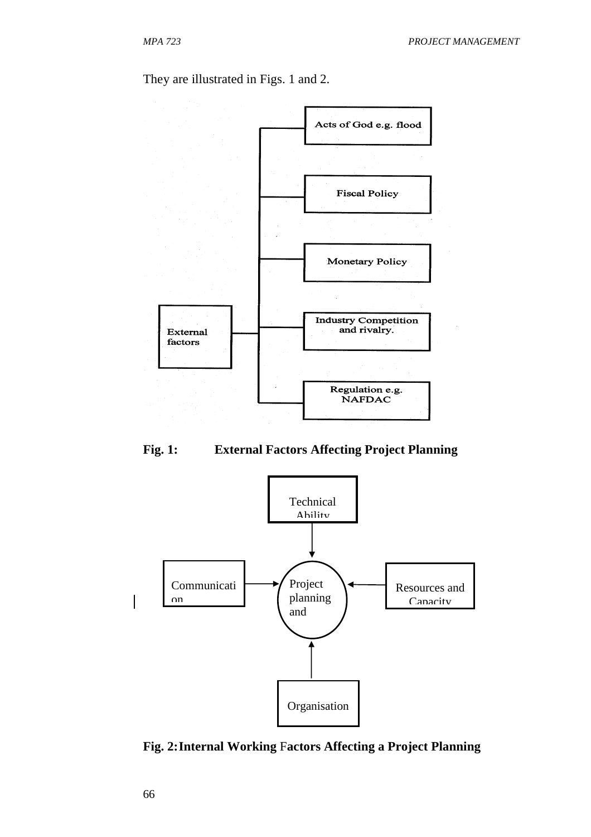They are illustrated in Figs. 1 and 2.







**Fig. 2: Internal Working** F**actors Affecting a Project Planning**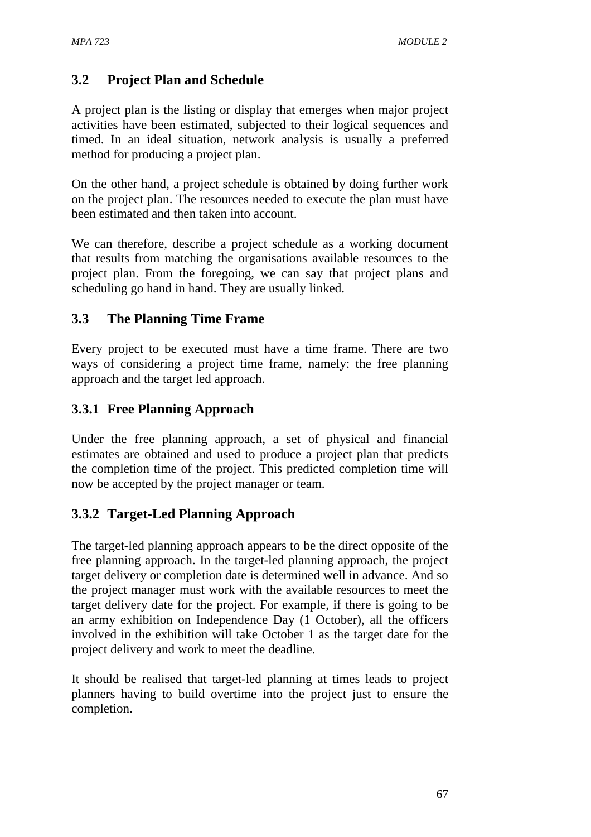# **3.2 Project Plan and Schedule**

A project plan is the listing or display that emerges when major project activities have been estimated, subjected to their logical sequences and timed. In an ideal situation, network analysis is usually a preferred method for producing a project plan.

On the other hand, a project schedule is obtained by doing further work on the project plan. The resources needed to execute the plan must have been estimated and then taken into account.

We can therefore, describe a project schedule as a working document that results from matching the organisations available resources to the project plan. From the foregoing, we can say that project plans and scheduling go hand in hand. They are usually linked.

# **3.3 The Planning Time Frame**

Every project to be executed must have a time frame. There are two ways of considering a project time frame, namely: the free planning approach and the target led approach.

# **3.3.1 Free Planning Approach**

Under the free planning approach, a set of physical and financial estimates are obtained and used to produce a project plan that predicts the completion time of the project. This predicted completion time will now be accepted by the project manager or team.

# **3.3.2 Target-Led Planning Approach**

The target-led planning approach appears to be the direct opposite of the free planning approach. In the target-led planning approach, the project target delivery or completion date is determined well in advance. And so the project manager must work with the available resources to meet the target delivery date for the project. For example, if there is going to be an army exhibition on Independence Day (1 October), all the officers involved in the exhibition will take October 1 as the target date for the project delivery and work to meet the deadline.

It should be realised that target-led planning at times leads to project planners having to build overtime into the project just to ensure the completion.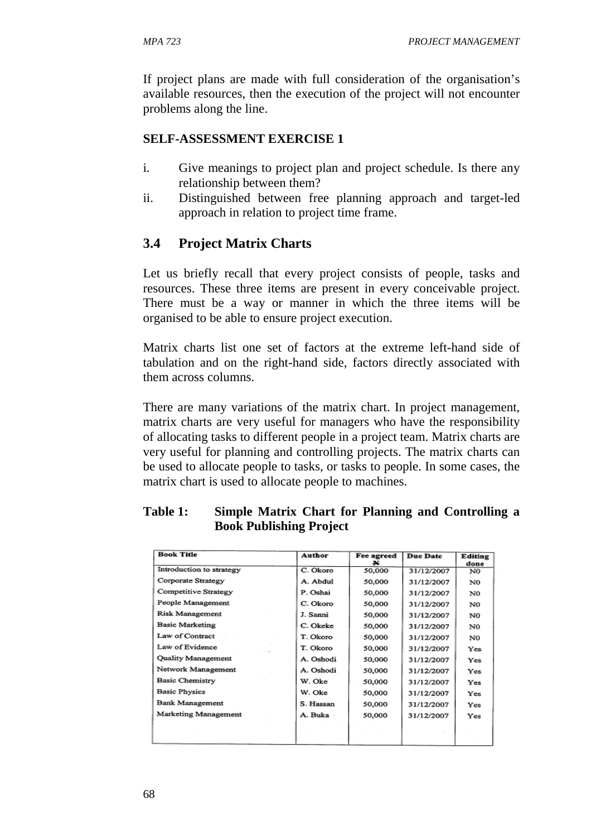If project plans are made with full consideration of the organisation's available resources, then the execution of the project will not encounter problems along the line.

#### **SELF-ASSESSMENT EXERCISE 1**

- i. Give meanings to project plan and project schedule. Is there any relationship between them?
- ii. Distinguished between free planning approach and target-led approach in relation to project time frame.

## **3.4 Project Matrix Charts**

Let us briefly recall that every project consists of people, tasks and resources. These three items are present in every conceivable project. There must be a way or manner in which the three items will be organised to be able to ensure project execution.

Matrix charts list one set of factors at the extreme left-hand side of tabulation and on the right-hand side, factors directly associated with them across columns.

There are many variations of the matrix chart. In project management, matrix charts are very useful for managers who have the responsibility of allocating tasks to different people in a project team. Matrix charts are very useful for planning and controlling projects. The matrix charts can be used to allocate people to tasks, or tasks to people. In some cases, the matrix chart is used to allocate people to machines.

| <b>Book Title</b>        | <b>Author</b> | Fee agreed | <b>Due Date</b> | Editing<br>done |
|--------------------------|---------------|------------|-----------------|-----------------|
| Introduction to strategy | C. Okoro      | 50,000     | 31/12/2007      | N0              |
| Corporate Strategy       | A. Abdul      | 50,000     | 31/12/2007      | N0              |
| Competitive Strategy     | P. Oshai      | 50,000     | 31/12/2007      | NO              |
| People Management        | C. Okoro      | 50,000     | 31/12/2007      | N0              |
| Risk Management          | J. Sanni      | 50,000     | 31/12/2007      | NO              |
| <b>Basic Marketing</b>   | C. Okeke      | 50,000     | 31/12/2007      | N0              |
| Law of Contract          | T. Okoro      | 50,000     | 31/12/2007      | N0              |
| Law of Evidence          | T. Okoro      | 50,000     | 31/12/2007      | Yes             |
| Quality Management       | A. Oshodi     | 50,000     | 31/12/2007      | Yes             |
| Network Management       | A. Oshodi     | 50,000     | 31/12/2007      | Yes             |
| <b>Basic Chemistry</b>   | W. Oke        | 50,000     | 31/12/2007      | Yes             |
| <b>Basic Physics</b>     | W. Oke        | 50,000     | 31/12/2007      | Yes             |
| <b>Bank Management</b>   | S. Hassan     | 50,000     | 31/12/2007      | Yes             |
| Marketing Management     | A. Buka       | 50,000     | 31/12/2007      | Yes             |
|                          |               |            |                 |                 |
|                          |               |            |                 |                 |

### **Table 1: Simple Matrix Chart for Planning and Controlling a Book Publishing Project**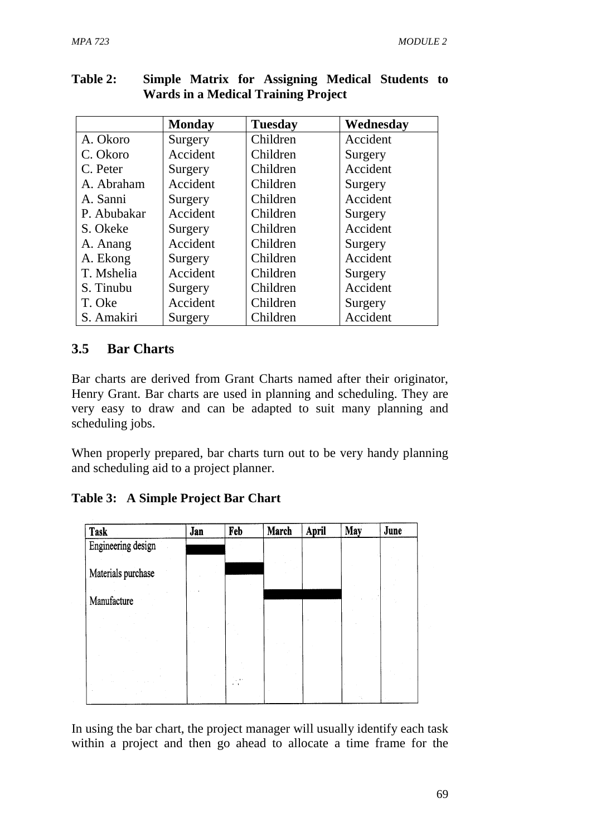|             | <b>Monday</b> | <b>Tuesday</b> | Wednesday |
|-------------|---------------|----------------|-----------|
| A. Okoro    | Surgery       | Children       | Accident  |
| C. Okoro    | Accident      | Children       | Surgery   |
| C. Peter    | Surgery       | Children       | Accident  |
| A. Abraham  | Accident      | Children       | Surgery   |
| A. Sanni    | Surgery       | Children       | Accident  |
| P. Abubakar | Accident      | Children       | Surgery   |
| S. Okeke    | Surgery       | Children       | Accident  |
| A. Anang    | Accident      | Children       | Surgery   |
| A. Ekong    | Surgery       | Children       | Accident  |
| T. Mshelia  | Accident      | Children       | Surgery   |
| S. Tinubu   | Surgery       | Children       | Accident  |
| T. Oke      | Accident      | Children       | Surgery   |
| S. Amakiri  | Surgery       | Children       | Accident  |

### **Table 2: Simple Matrix for Assigning Medical Students to Wards in a Medical Training Project**

# **3.5 Bar Charts**

Bar charts are derived from Grant Charts named after their originator, Henry Grant. Bar charts are used in planning and scheduling. They are very easy to draw and can be adapted to suit many planning and scheduling jobs.

When properly prepared, bar charts turn out to be very handy planning and scheduling aid to a project planner.

**Table 3: A Simple Project Bar Chart** 



In using the bar chart, the project manager will usually identify each task within a project and then go ahead to allocate a time frame for the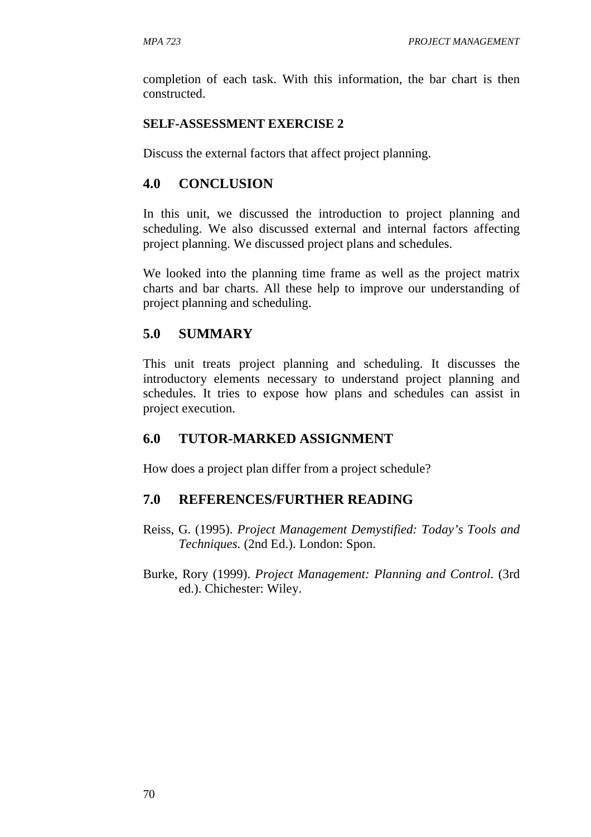completion of each task. With this information, the bar chart is then constructed.

#### **SELF-ASSESSMENT EXERCISE 2**

Discuss the external factors that affect project planning.

### **4.0 CONCLUSION**

In this unit, we discussed the introduction to project planning and scheduling. We also discussed external and internal factors affecting project planning. We discussed project plans and schedules.

We looked into the planning time frame as well as the project matrix charts and bar charts. All these help to improve our understanding of project planning and scheduling.

### **5.0 SUMMARY**

This unit treats project planning and scheduling. It discusses the introductory elements necessary to understand project planning and schedules. It tries to expose how plans and schedules can assist in project execution.

### **6.0 TUTOR-MARKED ASSIGNMENT**

How does a project plan differ from a project schedule?

### **7.0 REFERENCES/FURTHER READING**

- Reiss, G. (1995). *Project Management Demystified: Today's Tools and Techniques.* (2nd Ed.). London: Spon.
- Burke, Rory (1999). *Project Management: Planning and Control*. (3rd ed.). Chichester: Wiley.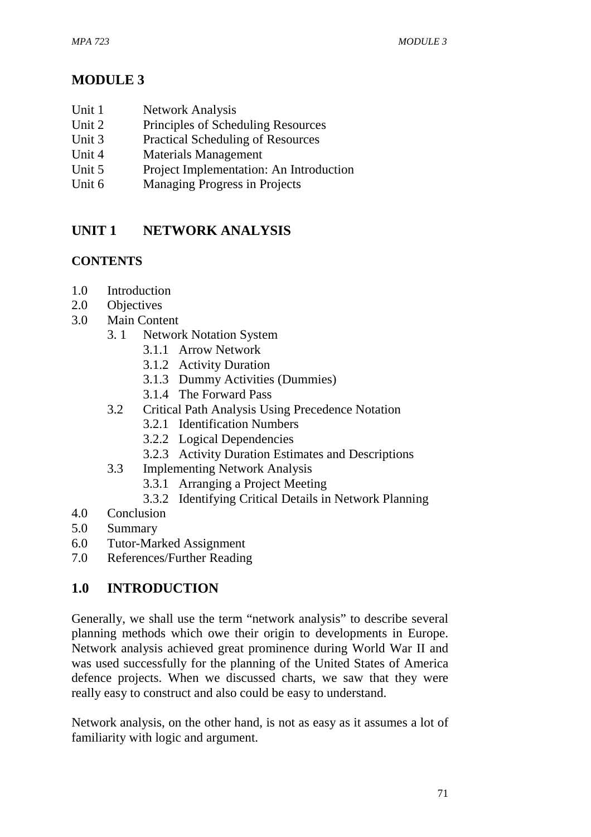# **MODULE 3**

- Unit 1 Network Analysis
- Unit 2 Principles of Scheduling Resources
- Unit 3 Practical Scheduling of Resources
- Unit 4 Materials Management
- Unit 5 Project Implementation: An Introduction
- Unit 6 Managing Progress in Projects

# **UNIT 1 NETWORK ANALYSIS**

# **CONTENTS**

- 1.0 Introduction
- 2.0 Objectives
- 3.0 Main Content
	- 3. 1 Network Notation System
		- 3.1.1 Arrow Network
		- 3.1.2 Activity Duration
		- 3.1.3 Dummy Activities (Dummies)
		- 3.1.4 The Forward Pass
	- 3.2 Critical Path Analysis Using Precedence Notation
		- 3.2.1 Identification Numbers
		- 3.2.2 Logical Dependencies
		- 3.2.3 Activity Duration Estimates and Descriptions
	- 3.3 Implementing Network Analysis
		- 3.3.1 Arranging a Project Meeting
		- 3.3.2 Identifying Critical Details in Network Planning
- 4.0 Conclusion
- 5.0 Summary
- 6.0 Tutor-Marked Assignment
- 7.0 References/Further Reading

# **1.0 INTRODUCTION**

Generally, we shall use the term "network analysis" to describe several planning methods which owe their origin to developments in Europe. Network analysis achieved great prominence during World War II and was used successfully for the planning of the United States of America defence projects. When we discussed charts, we saw that they were really easy to construct and also could be easy to understand.

Network analysis, on the other hand, is not as easy as it assumes a lot of familiarity with logic and argument.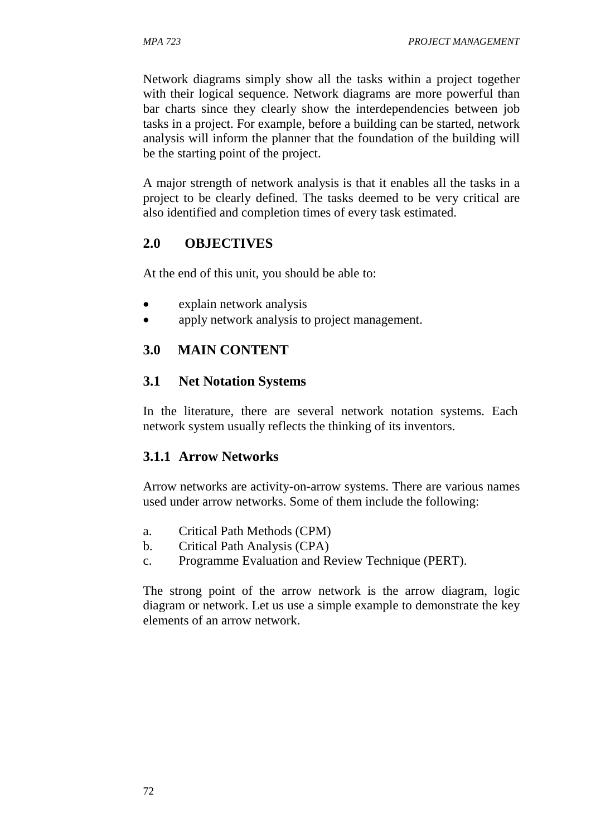Network diagrams simply show all the tasks within a project together with their logical sequence. Network diagrams are more powerful than bar charts since they clearly show the interdependencies between job tasks in a project. For example, before a building can be started, network analysis will inform the planner that the foundation of the building will be the starting point of the project.

A major strength of network analysis is that it enables all the tasks in a project to be clearly defined. The tasks deemed to be very critical are also identified and completion times of every task estimated.

## **2.0 OBJECTIVES**

At the end of this unit, you should be able to:

- explain network analysis
- apply network analysis to project management.

### **3.0 MAIN CONTENT**

#### **3.1 Net Notation Systems**

In the literature, there are several network notation systems. Each network system usually reflects the thinking of its inventors.

#### **3.1.1 Arrow Networks**

Arrow networks are activity-on-arrow systems. There are various names used under arrow networks. Some of them include the following:

- a. Critical Path Methods (CPM)
- b. Critical Path Analysis (CPA)
- c. Programme Evaluation and Review Technique (PERT).

The strong point of the arrow network is the arrow diagram, logic diagram or network. Let us use a simple example to demonstrate the key elements of an arrow network.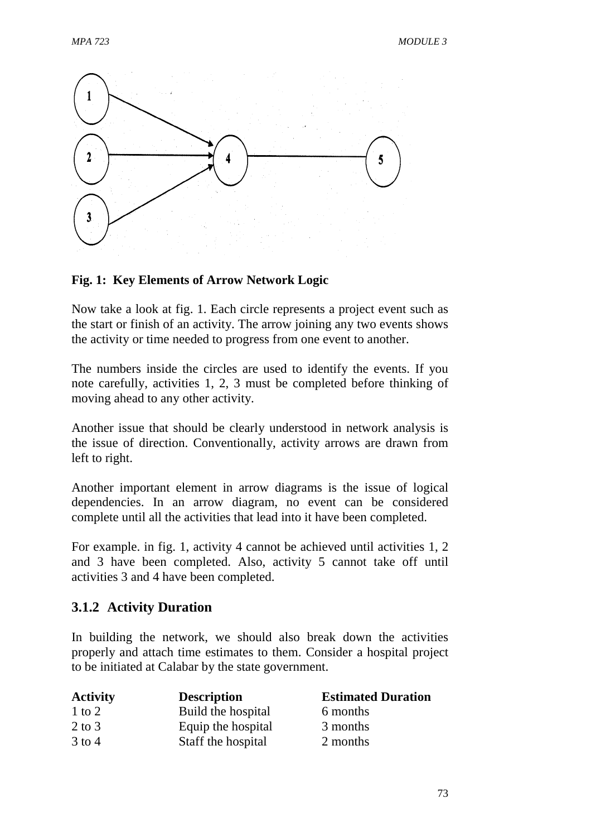

### **Fig. 1: Key Elements of Arrow Network Logic**

Now take a look at fig. 1. Each circle represents a project event such as the start or finish of an activity. The arrow joining any two events shows the activity or time needed to progress from one event to another.

The numbers inside the circles are used to identify the events. If you note carefully, activities 1, 2, 3 must be completed before thinking of moving ahead to any other activity.

Another issue that should be clearly understood in network analysis is the issue of direction. Conventionally, activity arrows are drawn from left to right.

Another important element in arrow diagrams is the issue of logical dependencies. In an arrow diagram, no event can be considered complete until all the activities that lead into it have been completed.

For example. in fig. 1, activity 4 cannot be achieved until activities 1, 2 and 3 have been completed. Also, activity 5 cannot take off until activities 3 and 4 have been completed.

# **3.1.2 Activity Duration**

In building the network, we should also break down the activities properly and attach time estimates to them. Consider a hospital project to be initiated at Calabar by the state government.

| <b>Activity</b> | <b>Description</b> | <b>Estimated Duration</b> |
|-----------------|--------------------|---------------------------|
| $1$ to $2$      | Build the hospital | 6 months                  |
| $2$ to $3$      | Equip the hospital | 3 months                  |
| $3$ to 4        | Staff the hospital | 2 months                  |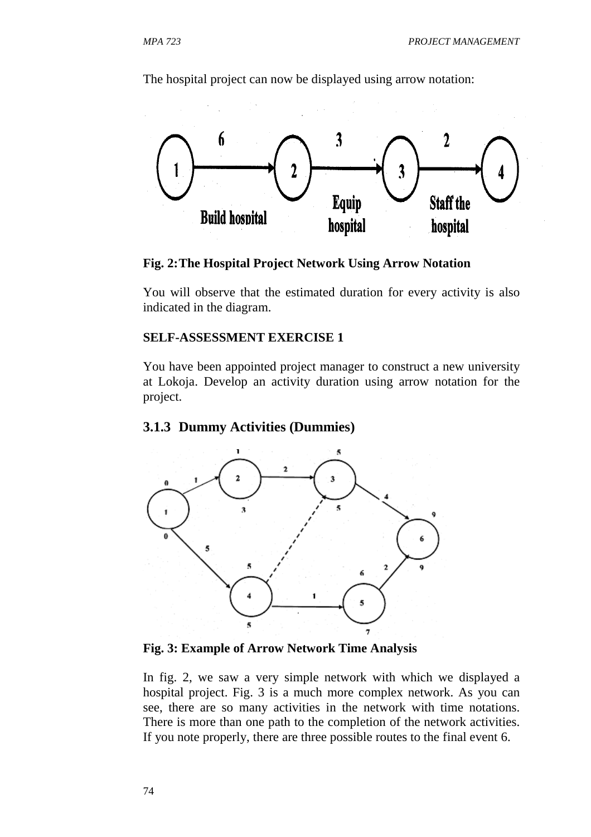The hospital project can now be displayed using arrow notation:



**Fig. 2: The Hospital Project Network Using Arrow Notation** 

You will observe that the estimated duration for every activity is also indicated in the diagram.

#### **SELF-ASSESSMENT EXERCISE 1**

You have been appointed project manager to construct a new university at Lokoja. Develop an activity duration using arrow notation for the project.

### **3.1.3 Dummy Activities (Dummies)**



**Fig. 3: Example of Arrow Network Time Analysis** 

In fig. 2, we saw a very simple network with which we displayed a hospital project. Fig. 3 is a much more complex network. As you can see, there are so many activities in the network with time notations. There is more than one path to the completion of the network activities. If you note properly, there are three possible routes to the final event 6.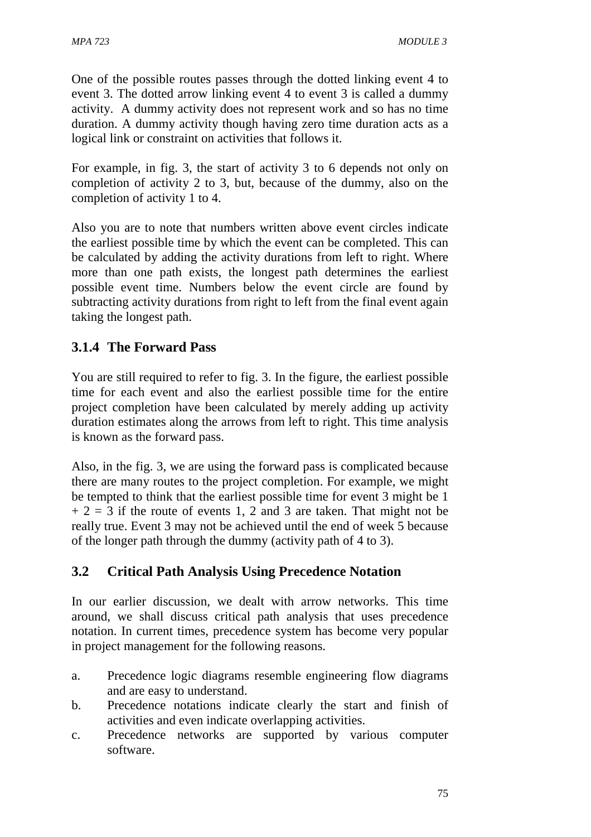One of the possible routes passes through the dotted linking event 4 to event 3. The dotted arrow linking event 4 to event 3 is called a dummy activity. A dummy activity does not represent work and so has no time duration. A dummy activity though having zero time duration acts as a logical link or constraint on activities that follows it.

For example, in fig. 3, the start of activity 3 to 6 depends not only on completion of activity 2 to 3, but, because of the dummy, also on the completion of activity 1 to 4.

Also you are to note that numbers written above event circles indicate the earliest possible time by which the event can be completed. This can be calculated by adding the activity durations from left to right. Where more than one path exists, the longest path determines the earliest possible event time. Numbers below the event circle are found by subtracting activity durations from right to left from the final event again taking the longest path.

# **3.1.4 The Forward Pass**

You are still required to refer to fig. 3. In the figure, the earliest possible time for each event and also the earliest possible time for the entire project completion have been calculated by merely adding up activity duration estimates along the arrows from left to right. This time analysis is known as the forward pass.

Also, in the fig. 3, we are using the forward pass is complicated because there are many routes to the project completion. For example, we might be tempted to think that the earliest possible time for event 3 might be 1  $+ 2 = 3$  if the route of events 1, 2 and 3 are taken. That might not be really true. Event 3 may not be achieved until the end of week 5 because of the longer path through the dummy (activity path of 4 to 3).

# **3.2 Critical Path Analysis Using Precedence Notation**

In our earlier discussion, we dealt with arrow networks. This time around, we shall discuss critical path analysis that uses precedence notation. In current times, precedence system has become very popular in project management for the following reasons.

- a. Precedence logic diagrams resemble engineering flow diagrams and are easy to understand.
- b. Precedence notations indicate clearly the start and finish of activities and even indicate overlapping activities.
- c. Precedence networks are supported by various computer software.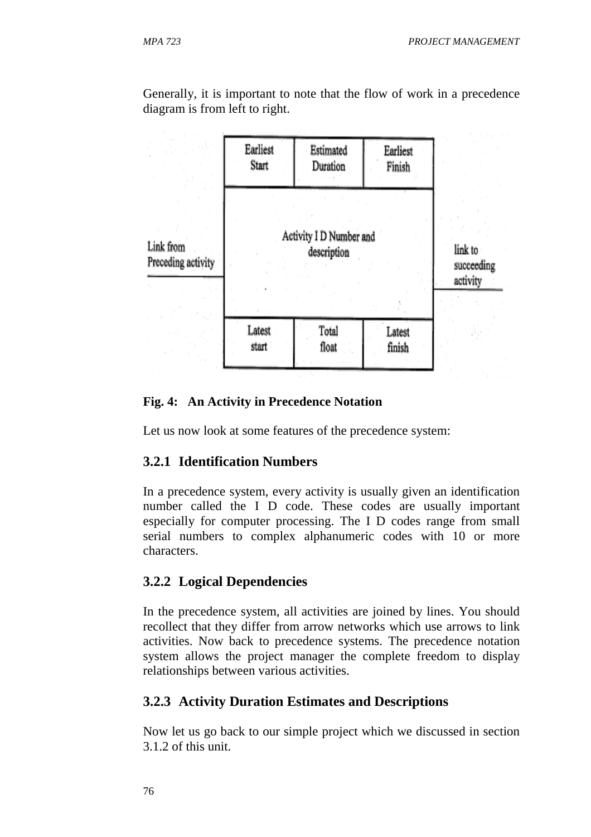Generally, it is important to note that the flow of work in a precedence diagram is from left to right.



#### **Fig. 4: An Activity in Precedence Notation**

Let us now look at some features of the precedence system:

### **3.2.1 Identification Numbers**

In a precedence system, every activity is usually given an identification number called the I D code. These codes are usually important especially for computer processing. The I D codes range from small serial numbers to complex alphanumeric codes with 10 or more characters.

### **3.2.2 Logical Dependencies**

In the precedence system, all activities are joined by lines. You should recollect that they differ from arrow networks which use arrows to link activities. Now back to precedence systems. The precedence notation system allows the project manager the complete freedom to display relationships between various activities.

# **3.2.3 Activity Duration Estimates and Descriptions**

Now let us go back to our simple project which we discussed in section 3.1.2 of this unit.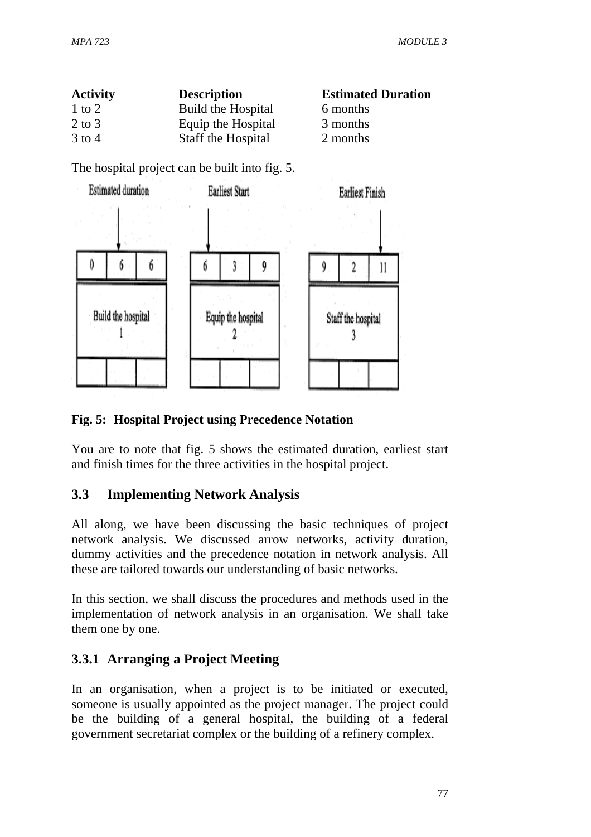| <b>Activity</b> | <b>Description</b> | <b>Estimated Duration</b> |
|-----------------|--------------------|---------------------------|
| $1$ to $2$      | Build the Hospital | 6 months                  |
| $2$ to $3$      | Equip the Hospital | 3 months                  |
| $3$ to 4        | Staff the Hospital | 2 months                  |

The hospital project can be built into fig. 5.



## **Fig. 5: Hospital Project using Precedence Notation**

You are to note that fig. 5 shows the estimated duration, earliest start and finish times for the three activities in the hospital project.

# **3.3 Implementing Network Analysis**

All along, we have been discussing the basic techniques of project network analysis. We discussed arrow networks, activity duration, dummy activities and the precedence notation in network analysis. All these are tailored towards our understanding of basic networks.

In this section, we shall discuss the procedures and methods used in the implementation of network analysis in an organisation. We shall take them one by one.

# **3.3.1 Arranging a Project Meeting**

In an organisation, when a project is to be initiated or executed, someone is usually appointed as the project manager. The project could be the building of a general hospital, the building of a federal government secretariat complex or the building of a refinery complex.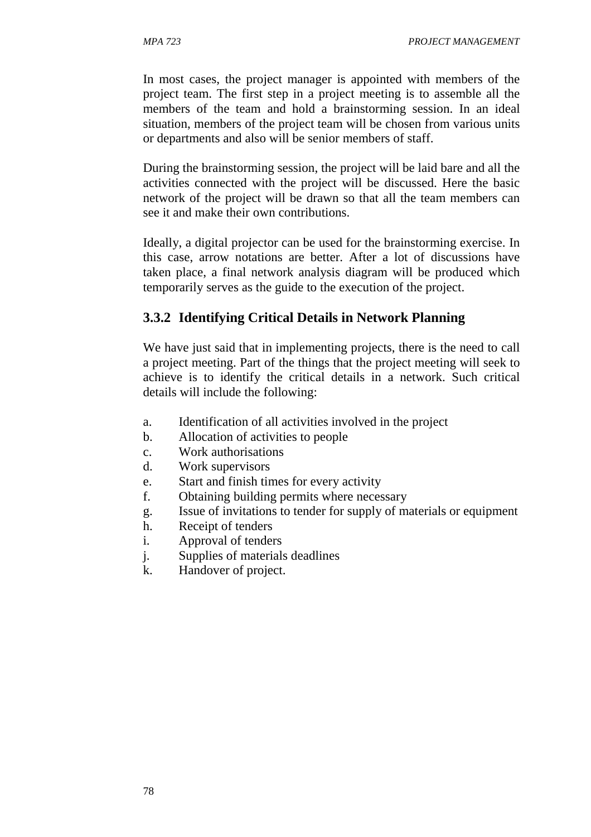In most cases, the project manager is appointed with members of the project team. The first step in a project meeting is to assemble all the members of the team and hold a brainstorming session. In an ideal situation, members of the project team will be chosen from various units or departments and also will be senior members of staff.

During the brainstorming session, the project will be laid bare and all the activities connected with the project will be discussed. Here the basic network of the project will be drawn so that all the team members can see it and make their own contributions.

Ideally, a digital projector can be used for the brainstorming exercise. In this case, arrow notations are better. After a lot of discussions have taken place, a final network analysis diagram will be produced which temporarily serves as the guide to the execution of the project.

#### **3.3.2 Identifying Critical Details in Network Planning**

We have just said that in implementing projects, there is the need to call a project meeting. Part of the things that the project meeting will seek to achieve is to identify the critical details in a network. Such critical details will include the following:

- a. Identification of all activities involved in the project
- b. Allocation of activities to people
- c. Work authorisations
- d. Work supervisors
- e. Start and finish times for every activity
- f. Obtaining building permits where necessary
- g. Issue of invitations to tender for supply of materials or equipment
- h. Receipt of tenders
- i. Approval of tenders
- j. Supplies of materials deadlines
- k. Handover of project.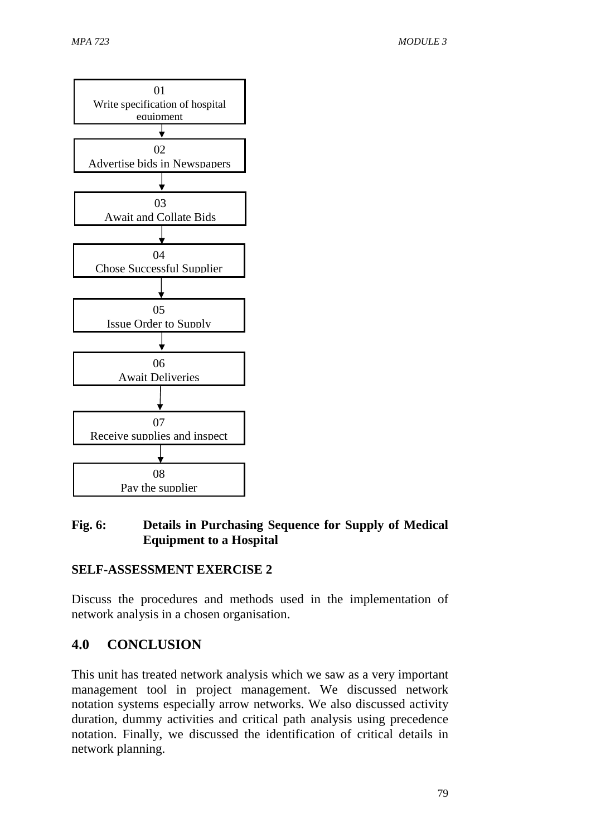

# **Fig. 6: Details in Purchasing Sequence for Supply of Medical Equipment to a Hospital**

# **SELF-ASSESSMENT EXERCISE 2**

Discuss the procedures and methods used in the implementation of network analysis in a chosen organisation.

# **4.0 CONCLUSION**

This unit has treated network analysis which we saw as a very important management tool in project management. We discussed network notation systems especially arrow networks. We also discussed activity duration, dummy activities and critical path analysis using precedence notation. Finally, we discussed the identification of critical details in network planning.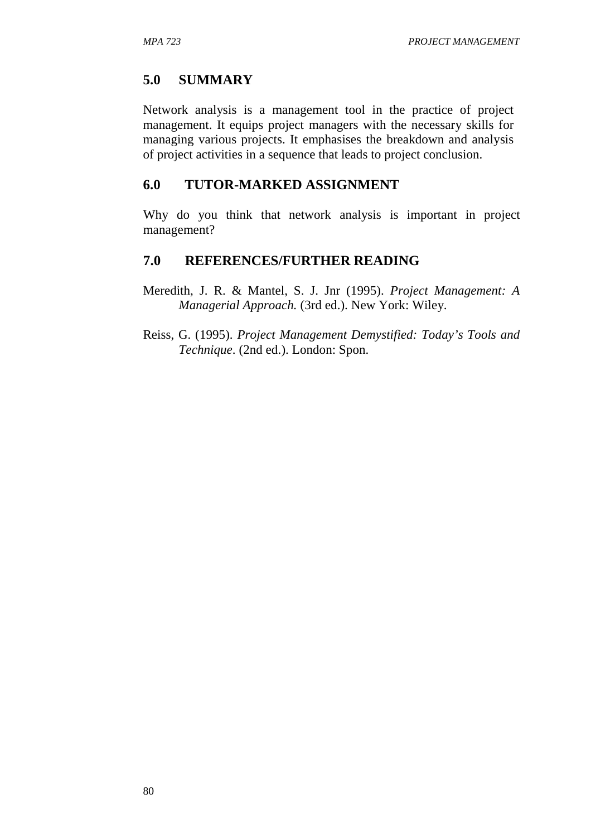# **5.0 SUMMARY**

Network analysis is a management tool in the practice of project management. It equips project managers with the necessary skills for managing various projects. It emphasises the breakdown and analysis of project activities in a sequence that leads to project conclusion.

### **6.0 TUTOR-MARKED ASSIGNMENT**

Why do you think that network analysis is important in project management?

### **7.0 REFERENCES/FURTHER READING**

- Meredith, J. R. & Mantel, S. J. Jnr (1995). *Project Management: A Managerial Approach.* (3rd ed.). New York: Wiley.
- Reiss, G. (1995). *Project Management Demystified: Today's Tools and Technique*. (2nd ed.). London: Spon.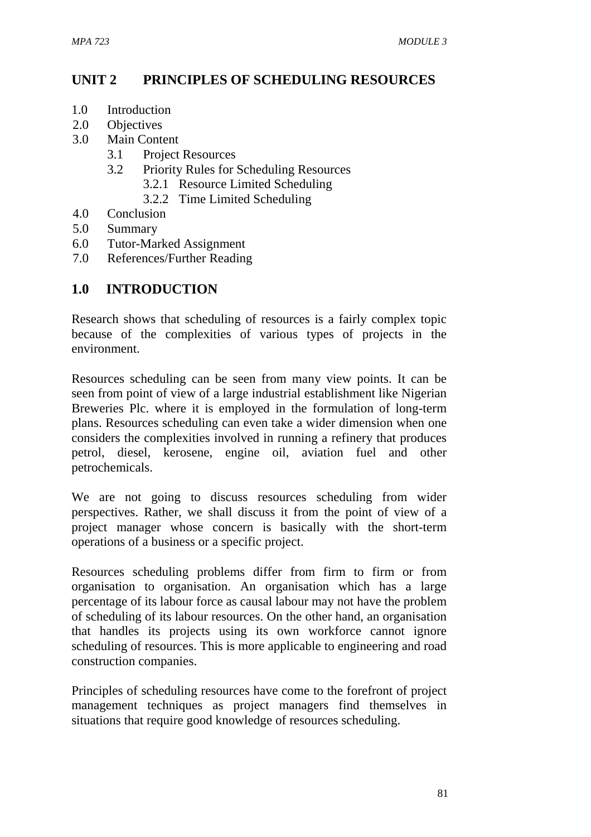# **UNIT 2 PRINCIPLES OF SCHEDULING RESOURCES**

- 1.0 Introduction
- 2.0 Objectives
- 3.0 Main Content
	- 3.1 Project Resources
	- 3.2 Priority Rules for Scheduling Resources
		- 3.2.1 Resource Limited Scheduling
		- 3.2.2 Time Limited Scheduling
- 4.0 Conclusion
- 5.0 Summary
- 6.0 Tutor-Marked Assignment
- 7.0 References/Further Reading

# **1.0 INTRODUCTION**

Research shows that scheduling of resources is a fairly complex topic because of the complexities of various types of projects in the environment.

Resources scheduling can be seen from many view points. It can be seen from point of view of a large industrial establishment like Nigerian Breweries Plc. where it is employed in the formulation of long-term plans. Resources scheduling can even take a wider dimension when one considers the complexities involved in running a refinery that produces petrol, diesel, kerosene, engine oil, aviation fuel and other petrochemicals.

We are not going to discuss resources scheduling from wider perspectives. Rather, we shall discuss it from the point of view of a project manager whose concern is basically with the short-term operations of a business or a specific project.

Resources scheduling problems differ from firm to firm or from organisation to organisation. An organisation which has a large percentage of its labour force as causal labour may not have the problem of scheduling of its labour resources. On the other hand, an organisation that handles its projects using its own workforce cannot ignore scheduling of resources. This is more applicable to engineering and road construction companies.

Principles of scheduling resources have come to the forefront of project management techniques as project managers find themselves in situations that require good knowledge of resources scheduling.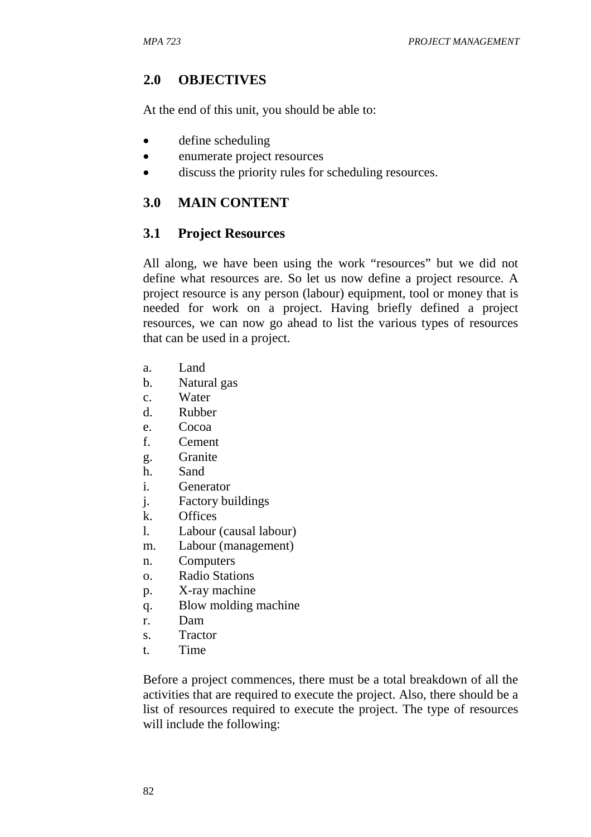### **2.0 OBJECTIVES**

At the end of this unit, you should be able to:

- define scheduling
- enumerate project resources
- discuss the priority rules for scheduling resources.

#### **3.0 MAIN CONTENT**

#### **3.1 Project Resources**

All along, we have been using the work "resources" but we did not define what resources are. So let us now define a project resource. A project resource is any person (labour) equipment, tool or money that is needed for work on a project. Having briefly defined a project resources, we can now go ahead to list the various types of resources that can be used in a project.

- a. Land
- b. Natural gas
- c. Water
- d. Rubber
- e. Cocoa
- f. Cement
- g. Granite
- h. Sand
- i. Generator
- j. Factory buildings
- k. Offices
- l. Labour (causal labour)
- m. Labour (management)
- n. Computers
- o. Radio Stations
- p. X-ray machine
- q. Blow molding machine
- r. Dam
- s. Tractor
- t. Time

Before a project commences, there must be a total breakdown of all the activities that are required to execute the project. Also, there should be a list of resources required to execute the project. The type of resources will include the following: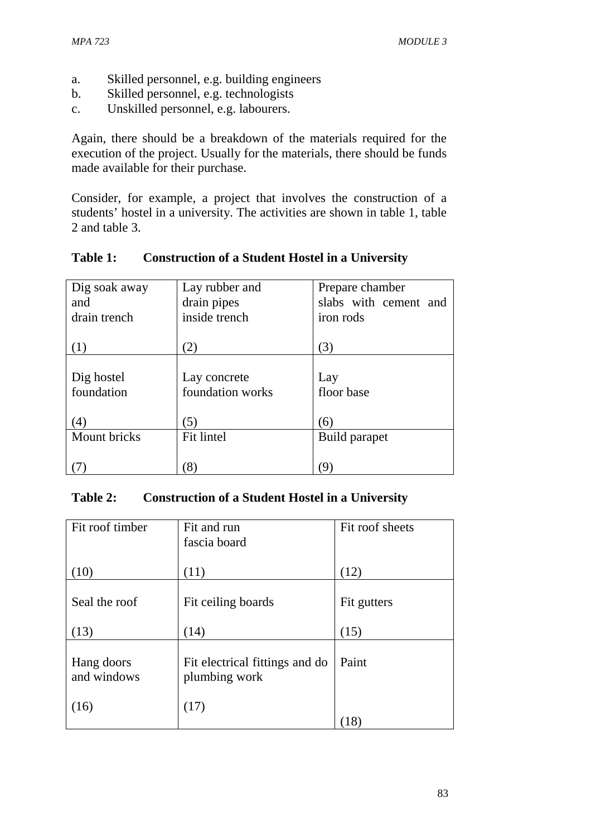- a. Skilled personnel, e.g. building engineers
- b. Skilled personnel, e.g. technologists
- c. Unskilled personnel, e.g. labourers.

Again, there should be a breakdown of the materials required for the execution of the project. Usually for the materials, there should be funds made available for their purchase.

Consider, for example, a project that involves the construction of a students' hostel in a university. The activities are shown in table 1, table 2 and table 3.

| Dig soak away | Lay rubber and   | Prepare chamber       |
|---------------|------------------|-----------------------|
| and           | drain pipes      | slabs with cement and |
| drain trench  | inside trench    | iron rods             |
|               |                  |                       |
| (1)           | (2)              | (3)                   |
|               |                  |                       |
| Dig hostel    | Lay concrete     | Lay                   |
| foundation    | foundation works | floor base            |
|               |                  |                       |
| (4)           | (5)              | (6)                   |
| Mount bricks  | Fit lintel       | Build parapet         |
|               |                  |                       |
|               | (8)              | (9                    |

## **Table 1: Construction of a Student Hostel in a University**

### **Table 2: Construction of a Student Hostel in a University**

| Fit roof timber           | Fit and run                                     | Fit roof sheets |
|---------------------------|-------------------------------------------------|-----------------|
|                           | fascia board                                    |                 |
|                           |                                                 |                 |
| (10)                      | (11)                                            | (12)            |
| Seal the roof             | Fit ceiling boards                              | Fit gutters     |
| (13)                      | (14)                                            | (15)            |
| Hang doors<br>and windows | Fit electrical fittings and do<br>plumbing work | Paint           |
| (16)                      | (17)                                            | 18)             |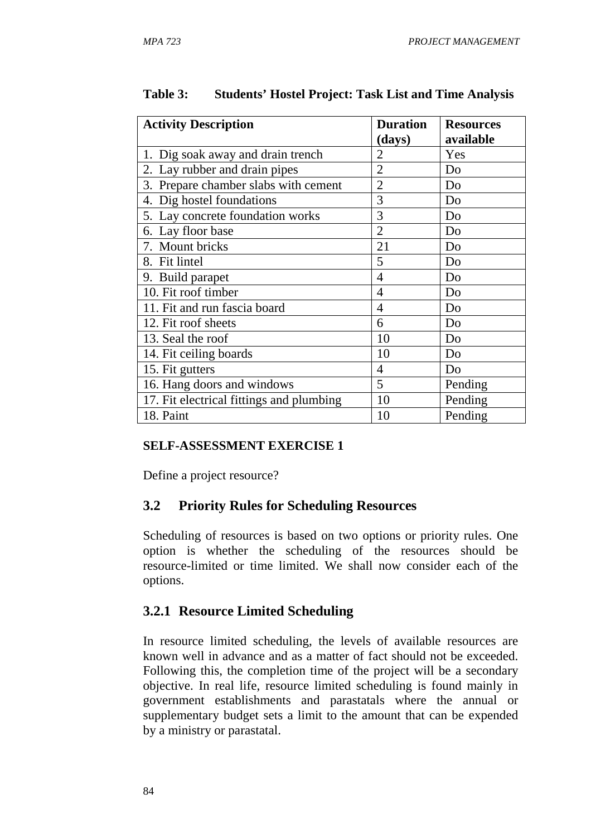| <b>Activity Description</b>              | <b>Duration</b><br>(days) | <b>Resources</b><br>available |
|------------------------------------------|---------------------------|-------------------------------|
| 1. Dig soak away and drain trench        | $\overline{2}$            | Yes                           |
| 2. Lay rubber and drain pipes            | $\overline{2}$            | Do                            |
| 3. Prepare chamber slabs with cement     | $\overline{2}$            | Do                            |
| 4. Dig hostel foundations                | 3                         | Do                            |
| 5. Lay concrete foundation works         | 3                         | Do                            |
| 6. Lay floor base                        | $\overline{2}$            | Do                            |
| 7. Mount bricks                          | 21                        | Do                            |
| 8. Fit lintel                            | 5                         | Do                            |
| 9. Build parapet                         | $\overline{4}$            | Do                            |
| 10. Fit roof timber                      | $\overline{4}$            | Do                            |
| 11. Fit and run fascia board             | $\overline{4}$            | Do                            |
| 12. Fit roof sheets                      | 6                         | Do                            |
| 13. Seal the roof                        | 10                        | Do                            |
| 14. Fit ceiling boards                   | 10                        | Do                            |
| 15. Fit gutters                          | $\overline{4}$            | Do                            |
| 16. Hang doors and windows               | 5                         | Pending                       |
| 17. Fit electrical fittings and plumbing | 10                        | Pending                       |
| 18. Paint                                | 10                        | Pending                       |

### **Table 3: Students' Hostel Project: Task List and Time Analysis**

### **SELF-ASSESSMENT EXERCISE 1**

Define a project resource?

### **3.2 Priority Rules for Scheduling Resources**

Scheduling of resources is based on two options or priority rules. One option is whether the scheduling of the resources should be resource-limited or time limited. We shall now consider each of the options.

# **3.2.1 Resource Limited Scheduling**

In resource limited scheduling, the levels of available resources are known well in advance and as a matter of fact should not be exceeded. Following this, the completion time of the project will be a secondary objective. In real life, resource limited scheduling is found mainly in government establishments and parastatals where the annual or supplementary budget sets a limit to the amount that can be expended by a ministry or parastatal.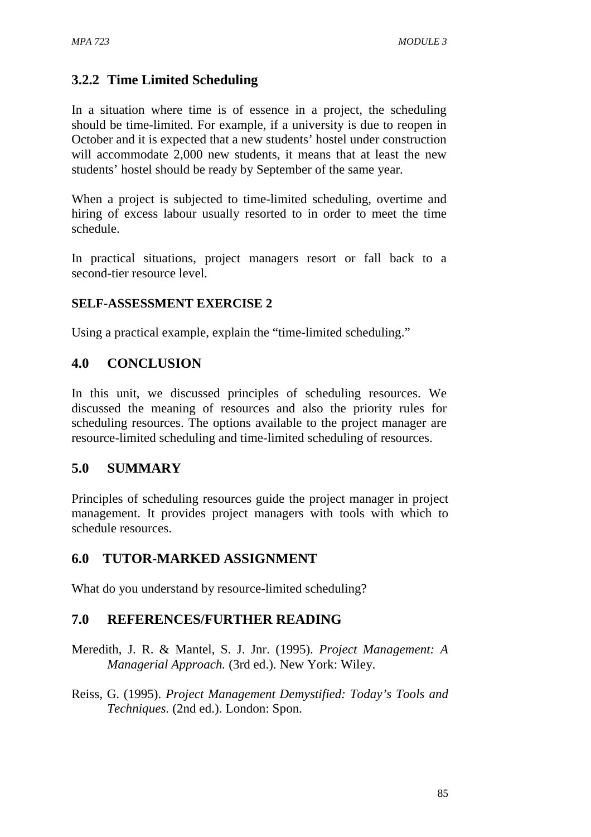# **3.2.2 Time Limited Scheduling**

In a situation where time is of essence in a project, the scheduling should be time-limited. For example, if a university is due to reopen in October and it is expected that a new students' hostel under construction will accommodate 2,000 new students, it means that at least the new students' hostel should be ready by September of the same year.

When a project is subjected to time-limited scheduling, overtime and hiring of excess labour usually resorted to in order to meet the time schedule.

In practical situations, project managers resort or fall back to a second-tier resource level.

## **SELF-ASSESSMENT EXERCISE 2**

Using a practical example, explain the "time-limited scheduling."

# **4.0 CONCLUSION**

In this unit, we discussed principles of scheduling resources. We discussed the meaning of resources and also the priority rules for scheduling resources. The options available to the project manager are resource-limited scheduling and time-limited scheduling of resources.

# **5.0 SUMMARY**

Principles of scheduling resources guide the project manager in project management. It provides project managers with tools with which to schedule resources.

# **6.0 TUTOR-MARKED ASSIGNMENT**

What do you understand by resource-limited scheduling?

# **7.0 REFERENCES/FURTHER READING**

- Meredith, J. R. & Mantel, S. J. Jnr. (1995). *Project Management: A Managerial Approach.* (3rd ed.). New York: Wiley.
- Reiss, G. (1995). *Project Management Demystified: Today's Tools and Techniques.* (2nd ed.). London: Spon.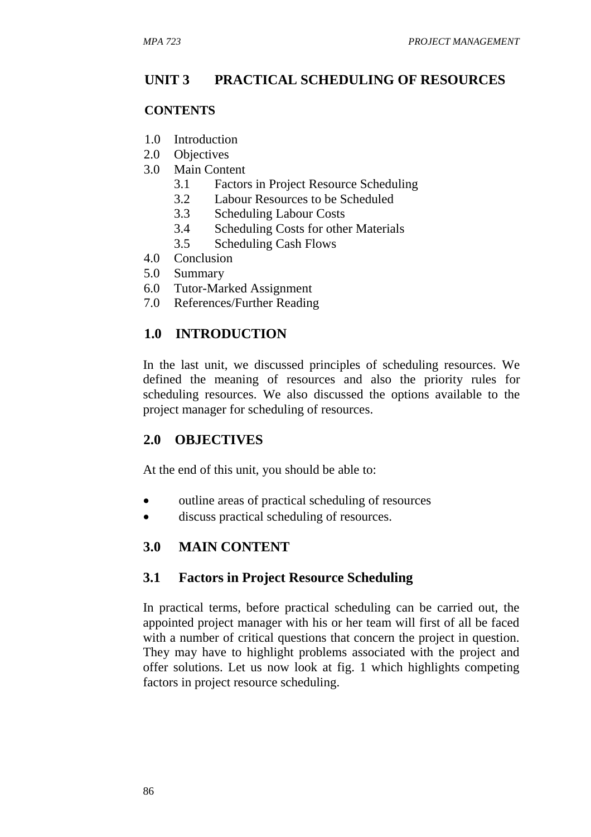# **UNIT 3 PRACTICAL SCHEDULING OF RESOURCES**

#### **CONTENTS**

- 1.0 Introduction
- 2.0 Objectives
- 3.0 Main Content
	- 3.1 Factors in Project Resource Scheduling
	- 3.2 Labour Resources to be Scheduled
	- 3.3 Scheduling Labour Costs
	- 3.4 Scheduling Costs for other Materials
	- 3.5 Scheduling Cash Flows
- 4.0 Conclusion
- 5.0 Summary
- 6.0 Tutor-Marked Assignment
- 7.0 References/Further Reading

# **1.0 INTRODUCTION**

In the last unit, we discussed principles of scheduling resources. We defined the meaning of resources and also the priority rules for scheduling resources. We also discussed the options available to the project manager for scheduling of resources.

### **2.0 OBJECTIVES**

At the end of this unit, you should be able to:

- outline areas of practical scheduling of resources
- discuss practical scheduling of resources.

### **3.0 MAIN CONTENT**

### **3.1 Factors in Project Resource Scheduling**

In practical terms, before practical scheduling can be carried out, the appointed project manager with his or her team will first of all be faced with a number of critical questions that concern the project in question. They may have to highlight problems associated with the project and offer solutions. Let us now look at fig. 1 which highlights competing factors in project resource scheduling.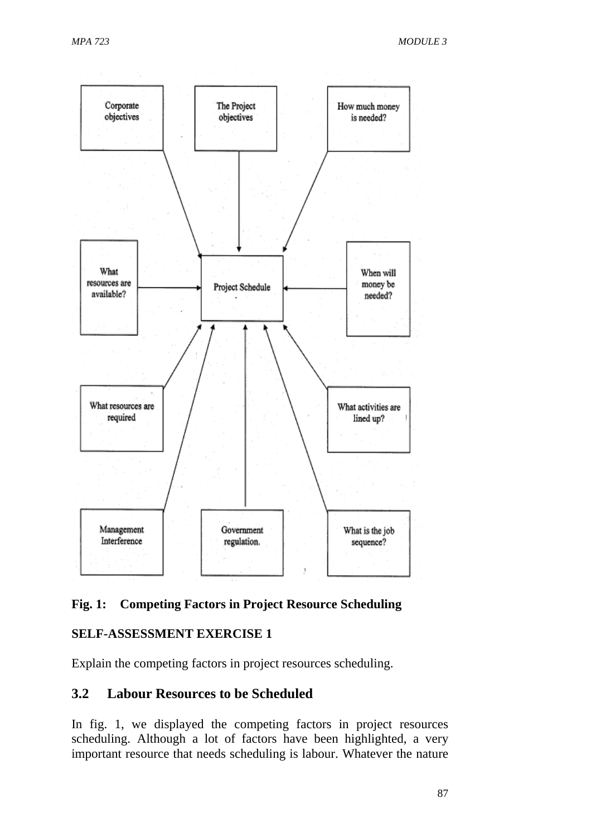

### **Fig. 1: Competing Factors in Project Resource Scheduling**

### **SELF-ASSESSMENT EXERCISE 1**

Explain the competing factors in project resources scheduling.

### **3.2 Labour Resources to be Scheduled**

In fig. 1, we displayed the competing factors in project resources scheduling. Although a lot of factors have been highlighted, a very important resource that needs scheduling is labour. Whatever the nature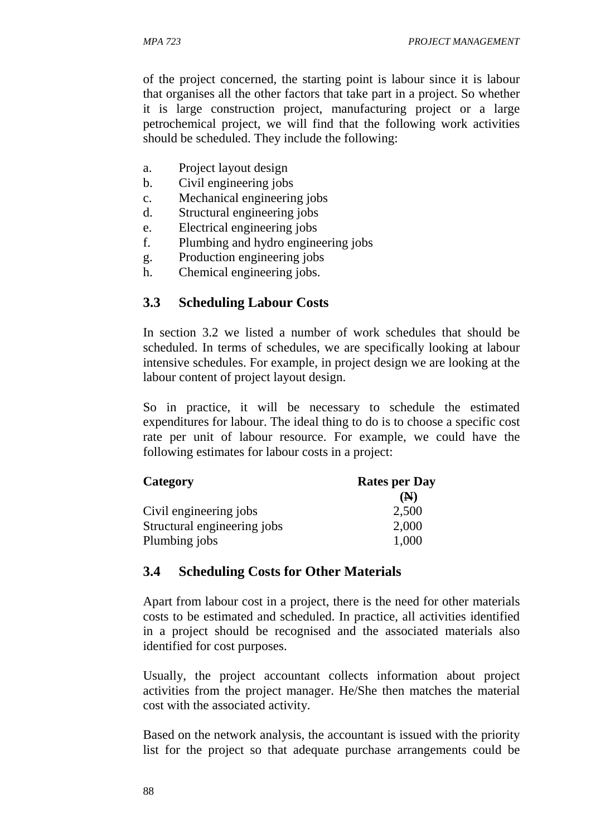of the project concerned, the starting point is labour since it is labour that organises all the other factors that take part in a project. So whether it is large construction project, manufacturing project or a large petrochemical project, we will find that the following work activities should be scheduled. They include the following:

- a. Project layout design
- b. Civil engineering jobs
- c. Mechanical engineering jobs
- d. Structural engineering jobs
- e. Electrical engineering jobs
- f. Plumbing and hydro engineering jobs
- g. Production engineering jobs
- h. Chemical engineering jobs.

# **3.3 Scheduling Labour Costs**

In section 3.2 we listed a number of work schedules that should be scheduled. In terms of schedules, we are specifically looking at labour intensive schedules. For example, in project design we are looking at the labour content of project layout design.

So in practice, it will be necessary to schedule the estimated expenditures for labour. The ideal thing to do is to choose a specific cost rate per unit of labour resource. For example, we could have the following estimates for labour costs in a project:

| Category                    | <b>Rates per Day</b> |  |  |
|-----------------------------|----------------------|--|--|
|                             | (N)                  |  |  |
| Civil engineering jobs      | 2,500                |  |  |
| Structural engineering jobs | 2,000                |  |  |
| Plumbing jobs               | 1,000                |  |  |

### **3.4 Scheduling Costs for Other Materials**

Apart from labour cost in a project, there is the need for other materials costs to be estimated and scheduled. In practice, all activities identified in a project should be recognised and the associated materials also identified for cost purposes.

Usually, the project accountant collects information about project activities from the project manager. He/She then matches the material cost with the associated activity.

Based on the network analysis, the accountant is issued with the priority list for the project so that adequate purchase arrangements could be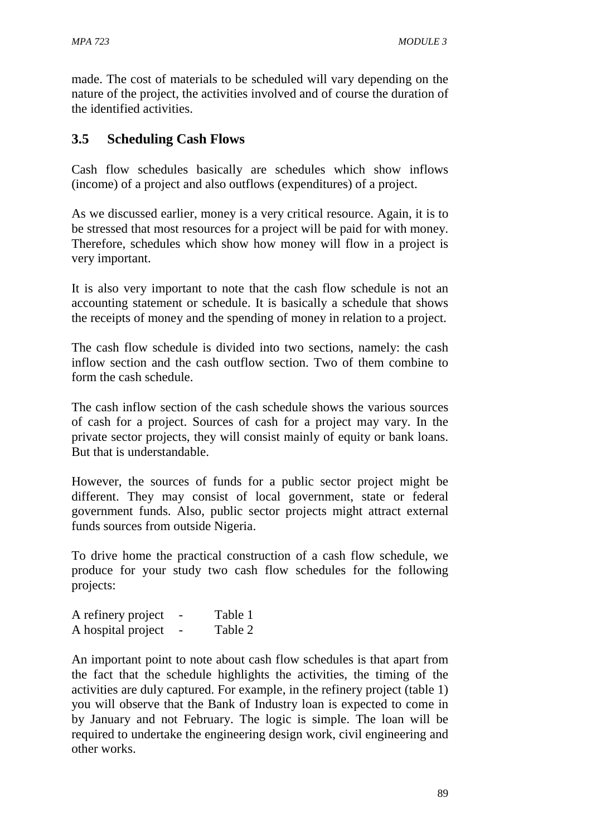made. The cost of materials to be scheduled will vary depending on the nature of the project, the activities involved and of course the duration of the identified activities.

# **3.5 Scheduling Cash Flows**

Cash flow schedules basically are schedules which show inflows (income) of a project and also outflows (expenditures) of a project.

As we discussed earlier, money is a very critical resource. Again, it is to be stressed that most resources for a project will be paid for with money. Therefore, schedules which show how money will flow in a project is very important.

It is also very important to note that the cash flow schedule is not an accounting statement or schedule. It is basically a schedule that shows the receipts of money and the spending of money in relation to a project.

The cash flow schedule is divided into two sections, namely: the cash inflow section and the cash outflow section. Two of them combine to form the cash schedule.

The cash inflow section of the cash schedule shows the various sources of cash for a project. Sources of cash for a project may vary. In the private sector projects, they will consist mainly of equity or bank loans. But that is understandable.

However, the sources of funds for a public sector project might be different. They may consist of local government, state or federal government funds. Also, public sector projects might attract external funds sources from outside Nigeria.

To drive home the practical construction of a cash flow schedule, we produce for your study two cash flow schedules for the following projects:

| A refinery project | Table 1 |
|--------------------|---------|
| A hospital project | Table 2 |

An important point to note about cash flow schedules is that apart from the fact that the schedule highlights the activities, the timing of the activities are duly captured. For example, in the refinery project (table 1) you will observe that the Bank of Industry loan is expected to come in by January and not February. The logic is simple. The loan will be required to undertake the engineering design work, civil engineering and other works.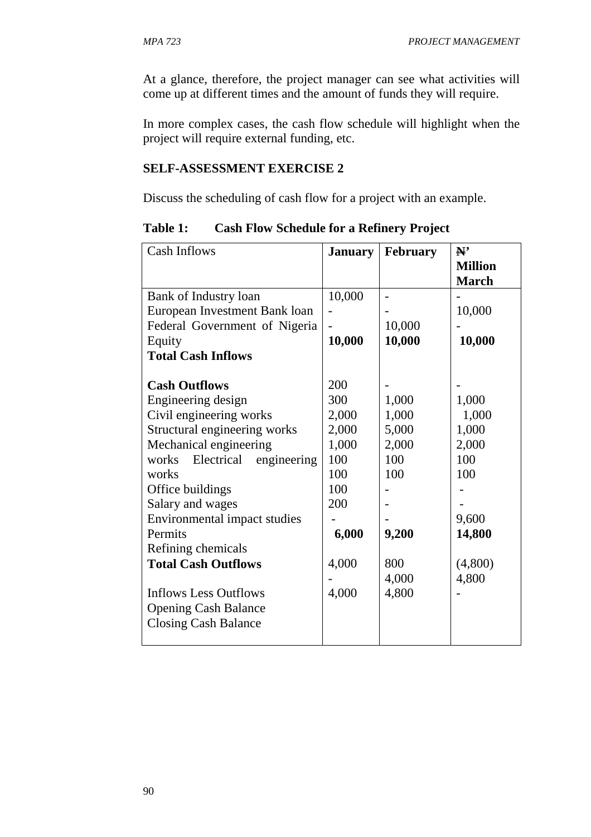At a glance, therefore, the project manager can see what activities will come up at different times and the amount of funds they will require.

In more complex cases, the cash flow schedule will highlight when the project will require external funding, etc.

#### **SELF-ASSESSMENT EXERCISE 2**

Discuss the scheduling of cash flow for a project with an example.

| <b>Cash Inflows</b>                | <b>January</b> | <b>February</b> | N'             |
|------------------------------------|----------------|-----------------|----------------|
|                                    |                |                 | <b>Million</b> |
|                                    |                |                 | <b>March</b>   |
| Bank of Industry loan              | 10,000         |                 |                |
| European Investment Bank loan      |                |                 | 10,000         |
| Federal Government of Nigeria      |                | 10,000          |                |
| Equity                             | 10,000         | 10,000          | 10,000         |
| <b>Total Cash Inflows</b>          |                |                 |                |
|                                    |                |                 |                |
| <b>Cash Outflows</b>               | 200            |                 |                |
| Engineering design                 | 300            | 1,000           | 1,000          |
| Civil engineering works            | 2,000          | 1,000           | 1,000          |
| Structural engineering works       | 2,000          | 5,000           | 1,000          |
| Mechanical engineering             | 1,000          | 2,000           | 2,000          |
| Electrical<br>engineering<br>works | 100            | 100             | 100            |
| works                              | 100            | 100             | 100            |
| Office buildings                   | 100            |                 |                |
| Salary and wages                   | 200            |                 |                |
| Environmental impact studies       |                |                 | 9,600          |
| Permits                            | 6,000          | 9,200           | 14,800         |
| Refining chemicals                 |                |                 |                |
| <b>Total Cash Outflows</b>         | 4,000          | 800             | (4,800)        |
|                                    |                | 4,000           | 4,800          |
| <b>Inflows Less Outflows</b>       | 4,000          | 4,800           |                |
| <b>Opening Cash Balance</b>        |                |                 |                |
| <b>Closing Cash Balance</b>        |                |                 |                |
|                                    |                |                 |                |

**Table 1: Cash Flow Schedule for a Refinery Project**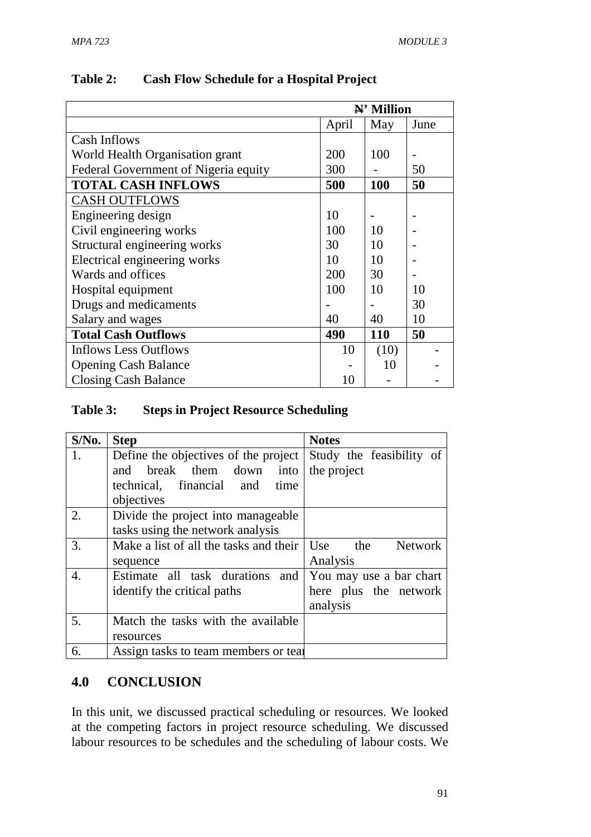|                                      | $\mathbb{N}^*$ Million |            |      |
|--------------------------------------|------------------------|------------|------|
|                                      | April                  | May        | June |
| Cash Inflows                         |                        |            |      |
| World Health Organisation grant      | 200                    | 100        |      |
| Federal Government of Nigeria equity | 300                    |            | 50   |
| <b>TOTAL CASH INFLOWS</b>            | 500                    | 100        | 50   |
| <b>CASH OUTFLOWS</b>                 |                        |            |      |
| Engineering design                   | 10                     |            |      |
| Civil engineering works              | 100                    | 10         |      |
| Structural engineering works         | 30                     | 10         |      |
| Electrical engineering works         | 10                     | 10         |      |
| Wards and offices                    | 200                    | 30         |      |
| Hospital equipment                   | 100                    | 10         | 10   |
| Drugs and medicaments                |                        |            | 30   |
| Salary and wages                     | 40                     | 40         | 10   |
| <b>Total Cash Outflows</b>           | 490                    | <b>110</b> | 50   |
| <b>Inflows Less Outflows</b>         | 10                     | (10)       |      |
| <b>Opening Cash Balance</b>          |                        | 10         |      |
| <b>Closing Cash Balance</b>          | 10                     |            |      |

### **Table 3: Steps in Project Resource Scheduling**

| $S/N0$ .         | <b>Step</b>                            | <b>Notes</b>                 |
|------------------|----------------------------------------|------------------------------|
| 1.               | Define the objectives of the project   | Study the feasibility of     |
|                  | break them down<br>and<br>into         | the project                  |
|                  | technical, financial and<br>time       |                              |
|                  | objectives                             |                              |
| 2.               | Divide the project into manageable     |                              |
|                  | tasks using the network analysis       |                              |
| 3.               | Make a list of all the tasks and their | the<br><b>Network</b><br>Use |
|                  | sequence                               | Analysis                     |
| $\overline{4}$ . | Estimate all task durations<br>and     | You may use a bar chart      |
|                  | identify the critical paths            | here plus the network        |
|                  |                                        | analysis                     |
| 5.               | Match the tasks with the available     |                              |
|                  | resources                              |                              |
| 6.               | Assign tasks to team members or teal   |                              |

## **4.0 CONCLUSION**

In this unit, we discussed practical scheduling or resources. We looked at the competing factors in project resource scheduling. We discussed labour resources to be schedules and the scheduling of labour costs. We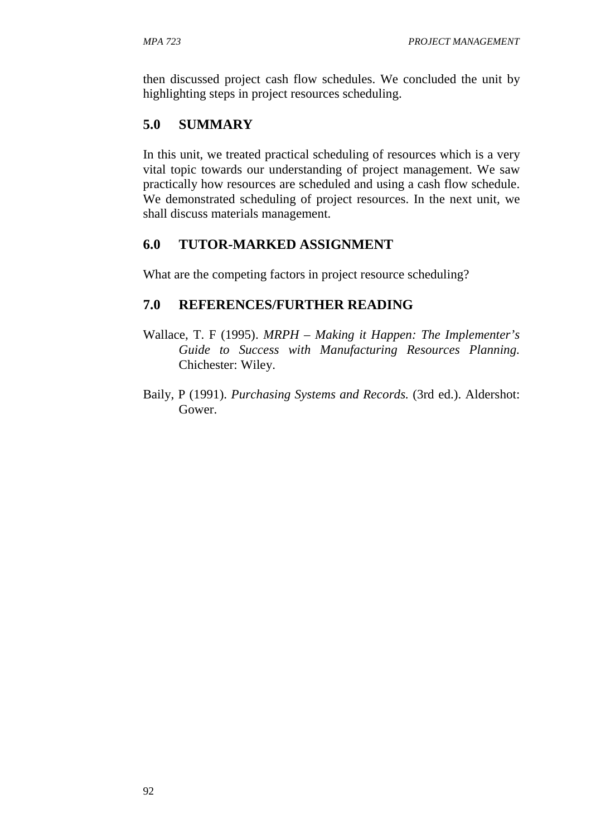then discussed project cash flow schedules. We concluded the unit by highlighting steps in project resources scheduling.

# **5.0 SUMMARY**

In this unit, we treated practical scheduling of resources which is a very vital topic towards our understanding of project management. We saw practically how resources are scheduled and using a cash flow schedule. We demonstrated scheduling of project resources. In the next unit, we shall discuss materials management.

# **6.0 TUTOR-MARKED ASSIGNMENT**

What are the competing factors in project resource scheduling?

# **7.0 REFERENCES/FURTHER READING**

- Wallace, T. F (1995). *MRPH Making it Happen: The Implementer's Guide to Success with Manufacturing Resources Planning.*  Chichester: Wiley.
- Baily, P (1991). *Purchasing Systems and Records.* (3rd ed.). Aldershot: Gower.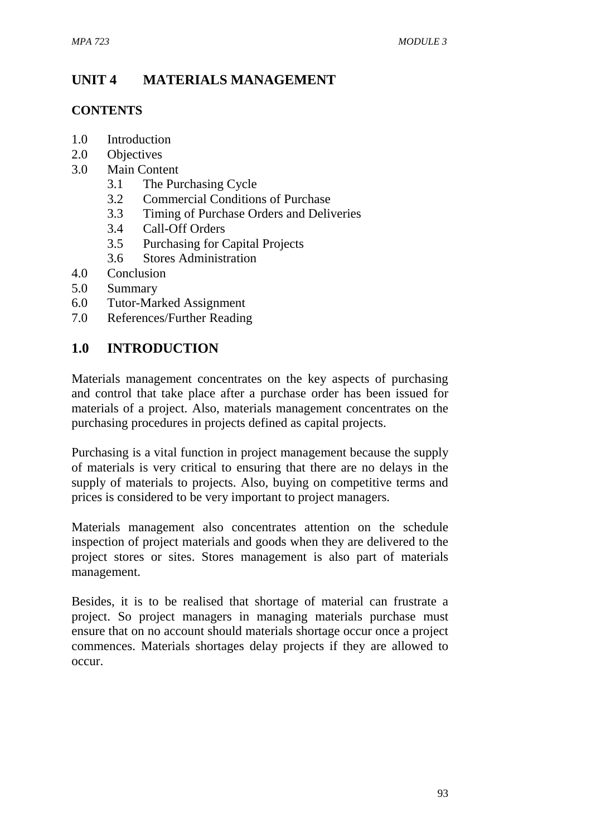# **UNIT 4 MATERIALS MANAGEMENT**

#### **CONTENTS**

- 1.0 Introduction
- 2.0 Objectives
- 3.0 Main Content
	- 3.1 The Purchasing Cycle
	- 3.2 Commercial Conditions of Purchase
	- 3.3 Timing of Purchase Orders and Deliveries
	- 3.4 Call-Off Orders
	- 3.5 Purchasing for Capital Projects
	- 3.6 Stores Administration
- 4.0 Conclusion
- 5.0 Summary
- 6.0 Tutor-Marked Assignment
- 7.0 References/Further Reading

## **1.0 INTRODUCTION**

Materials management concentrates on the key aspects of purchasing and control that take place after a purchase order has been issued for materials of a project. Also, materials management concentrates on the purchasing procedures in projects defined as capital projects.

Purchasing is a vital function in project management because the supply of materials is very critical to ensuring that there are no delays in the supply of materials to projects. Also, buying on competitive terms and prices is considered to be very important to project managers.

Materials management also concentrates attention on the schedule inspection of project materials and goods when they are delivered to the project stores or sites. Stores management is also part of materials management.

Besides, it is to be realised that shortage of material can frustrate a project. So project managers in managing materials purchase must ensure that on no account should materials shortage occur once a project commences. Materials shortages delay projects if they are allowed to occur.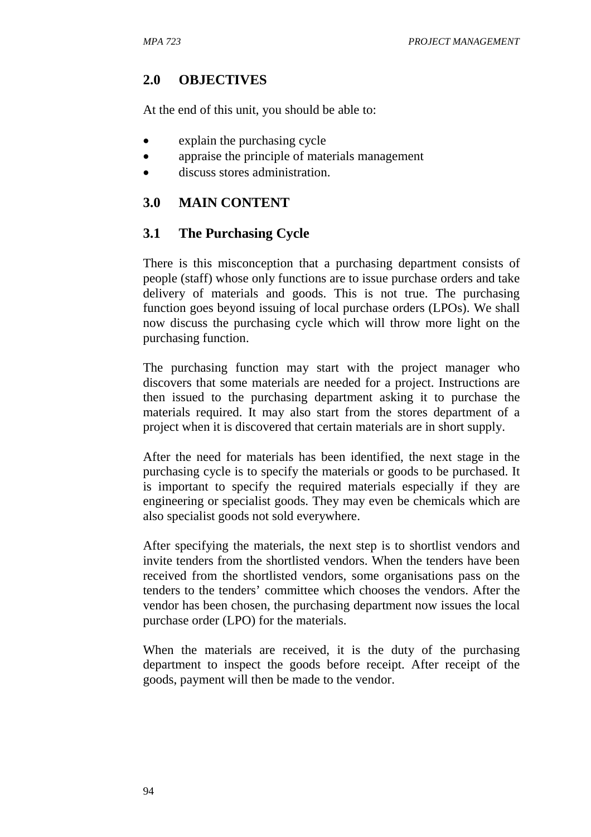## **2.0 OBJECTIVES**

At the end of this unit, you should be able to:

- explain the purchasing cycle
- appraise the principle of materials management
- discuss stores administration.

## **3.0 MAIN CONTENT**

## **3.1 The Purchasing Cycle**

There is this misconception that a purchasing department consists of people (staff) whose only functions are to issue purchase orders and take delivery of materials and goods. This is not true. The purchasing function goes beyond issuing of local purchase orders (LPOs). We shall now discuss the purchasing cycle which will throw more light on the purchasing function.

The purchasing function may start with the project manager who discovers that some materials are needed for a project. Instructions are then issued to the purchasing department asking it to purchase the materials required. It may also start from the stores department of a project when it is discovered that certain materials are in short supply.

After the need for materials has been identified, the next stage in the purchasing cycle is to specify the materials or goods to be purchased. It is important to specify the required materials especially if they are engineering or specialist goods. They may even be chemicals which are also specialist goods not sold everywhere.

After specifying the materials, the next step is to shortlist vendors and invite tenders from the shortlisted vendors. When the tenders have been received from the shortlisted vendors, some organisations pass on the tenders to the tenders' committee which chooses the vendors. After the vendor has been chosen, the purchasing department now issues the local purchase order (LPO) for the materials.

When the materials are received, it is the duty of the purchasing department to inspect the goods before receipt. After receipt of the goods, payment will then be made to the vendor.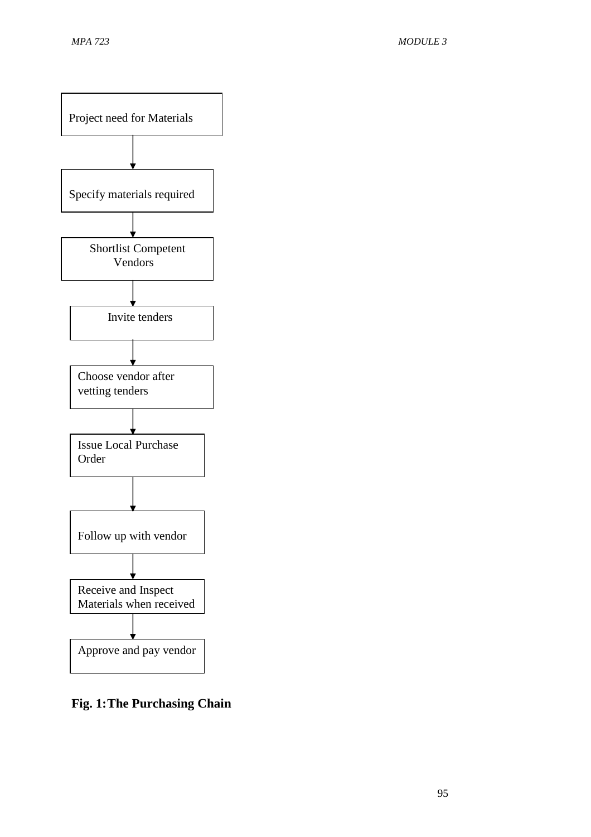

**Fig. 1: The Purchasing Chain**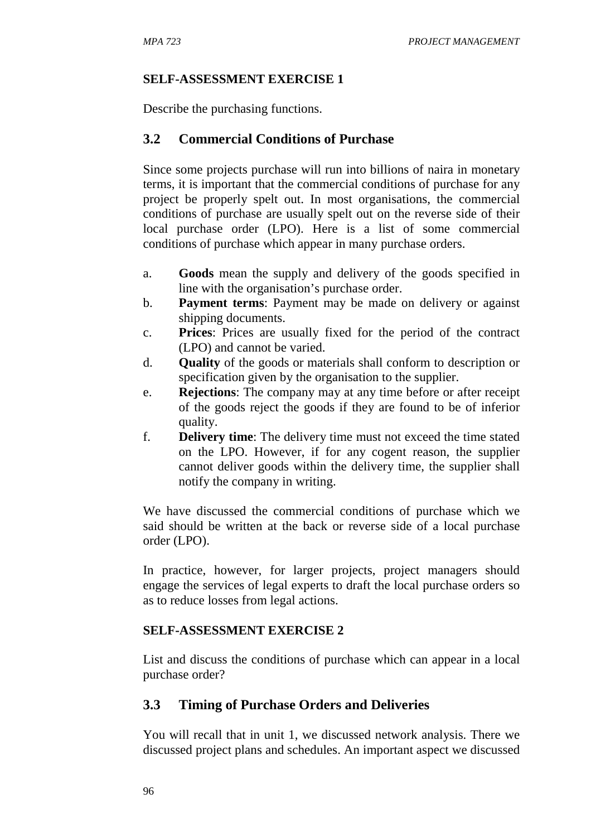#### **SELF-ASSESSMENT EXERCISE 1**

Describe the purchasing functions.

### **3.2 Commercial Conditions of Purchase**

Since some projects purchase will run into billions of naira in monetary terms, it is important that the commercial conditions of purchase for any project be properly spelt out. In most organisations, the commercial conditions of purchase are usually spelt out on the reverse side of their local purchase order (LPO). Here is a list of some commercial conditions of purchase which appear in many purchase orders.

- a. **Goods** mean the supply and delivery of the goods specified in line with the organisation's purchase order.
- b. **Payment terms**: Payment may be made on delivery or against shipping documents.
- c. **Prices**: Prices are usually fixed for the period of the contract (LPO) and cannot be varied.
- d. **Quality** of the goods or materials shall conform to description or specification given by the organisation to the supplier.
- e. **Rejections**: The company may at any time before or after receipt of the goods reject the goods if they are found to be of inferior quality.
- f. **Delivery time**: The delivery time must not exceed the time stated on the LPO. However, if for any cogent reason, the supplier cannot deliver goods within the delivery time, the supplier shall notify the company in writing.

We have discussed the commercial conditions of purchase which we said should be written at the back or reverse side of a local purchase order (LPO).

In practice, however, for larger projects, project managers should engage the services of legal experts to draft the local purchase orders so as to reduce losses from legal actions.

#### **SELF-ASSESSMENT EXERCISE 2**

List and discuss the conditions of purchase which can appear in a local purchase order?

### **3.3 Timing of Purchase Orders and Deliveries**

You will recall that in unit 1, we discussed network analysis. There we discussed project plans and schedules. An important aspect we discussed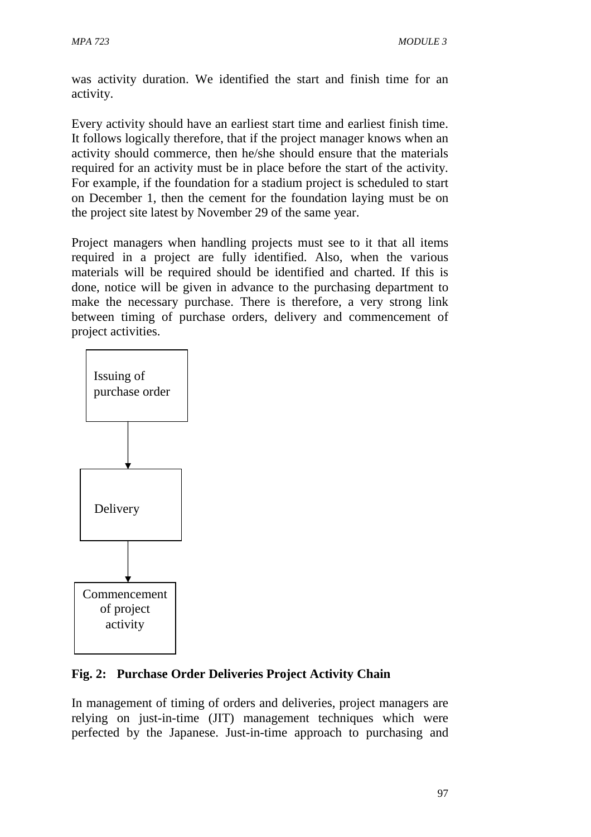was activity duration. We identified the start and finish time for an activity.

Every activity should have an earliest start time and earliest finish time. It follows logically therefore, that if the project manager knows when an activity should commerce, then he/she should ensure that the materials required for an activity must be in place before the start of the activity. For example, if the foundation for a stadium project is scheduled to start on December 1, then the cement for the foundation laying must be on the project site latest by November 29 of the same year.

Project managers when handling projects must see to it that all items required in a project are fully identified. Also, when the various materials will be required should be identified and charted. If this is done, notice will be given in advance to the purchasing department to make the necessary purchase. There is therefore, a very strong link between timing of purchase orders, delivery and commencement of project activities.



# **Fig. 2: Purchase Order Deliveries Project Activity Chain**

In management of timing of orders and deliveries, project managers are relying on just-in-time (JIT) management techniques which were perfected by the Japanese. Just-in-time approach to purchasing and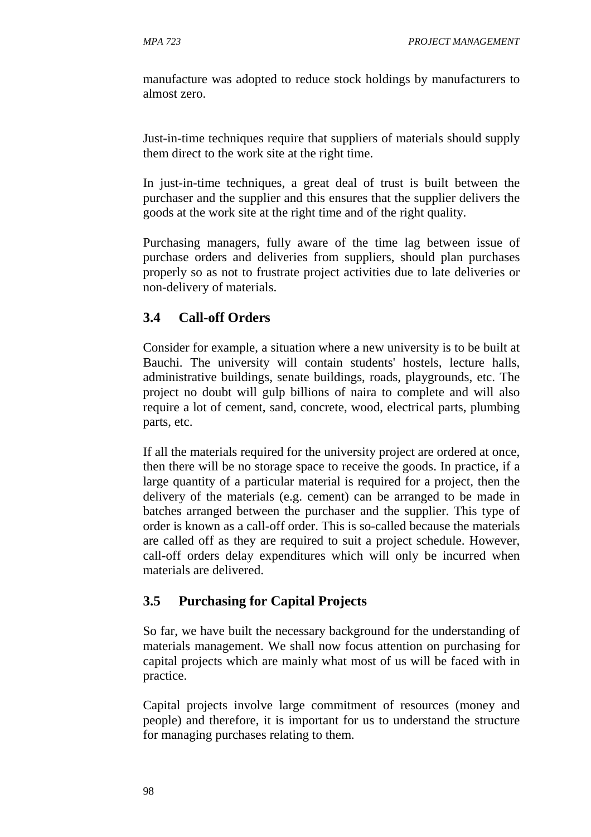manufacture was adopted to reduce stock holdings by manufacturers to almost zero.

Just-in-time techniques require that suppliers of materials should supply them direct to the work site at the right time.

In just-in-time techniques, a great deal of trust is built between the purchaser and the supplier and this ensures that the supplier delivers the goods at the work site at the right time and of the right quality.

Purchasing managers, fully aware of the time lag between issue of purchase orders and deliveries from suppliers, should plan purchases properly so as not to frustrate project activities due to late deliveries or non-delivery of materials.

## **3.4 Call-off Orders**

Consider for example, a situation where a new university is to be built at Bauchi. The university will contain students' hostels, lecture halls, administrative buildings, senate buildings, roads, playgrounds, etc. The project no doubt will gulp billions of naira to complete and will also require a lot of cement, sand, concrete, wood, electrical parts, plumbing parts, etc.

If all the materials required for the university project are ordered at once, then there will be no storage space to receive the goods. In practice, if a large quantity of a particular material is required for a project, then the delivery of the materials (e.g. cement) can be arranged to be made in batches arranged between the purchaser and the supplier. This type of order is known as a call-off order. This is so-called because the materials are called off as they are required to suit a project schedule. However, call-off orders delay expenditures which will only be incurred when materials are delivered.

# **3.5 Purchasing for Capital Projects**

So far, we have built the necessary background for the understanding of materials management. We shall now focus attention on purchasing for capital projects which are mainly what most of us will be faced with in practice.

Capital projects involve large commitment of resources (money and people) and therefore, it is important for us to understand the structure for managing purchases relating to them.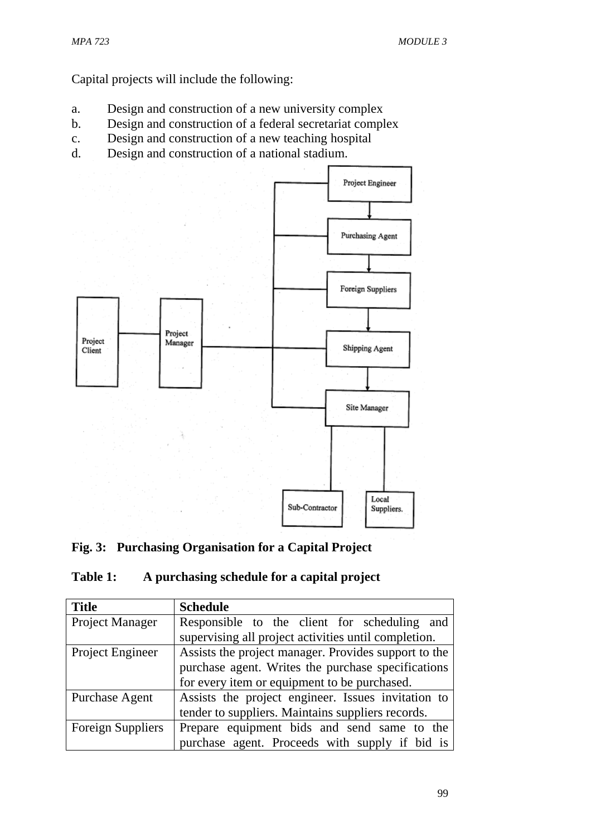Capital projects will include the following:

- a. Design and construction of a new university complex
- b. Design and construction of a federal secretariat complex
- c. Design and construction of a new teaching hospital
- d. Design and construction of a national stadium.



# **Fig. 3: Purchasing Organisation for a Capital Project**

# **Table 1: A purchasing schedule for a capital project**

| <b>Title</b>             | <b>Schedule</b>                                      |
|--------------------------|------------------------------------------------------|
| Project Manager          | Responsible to the client for scheduling and         |
|                          | supervising all project activities until completion. |
| Project Engineer         | Assists the project manager. Provides support to the |
|                          | purchase agent. Writes the purchase specifications   |
|                          | for every item or equipment to be purchased.         |
| Purchase Agent           | Assists the project engineer. Issues invitation to   |
|                          | tender to suppliers. Maintains suppliers records.    |
| <b>Foreign Suppliers</b> | Prepare equipment bids and send same to the          |
|                          | purchase agent. Proceeds with supply if bid is       |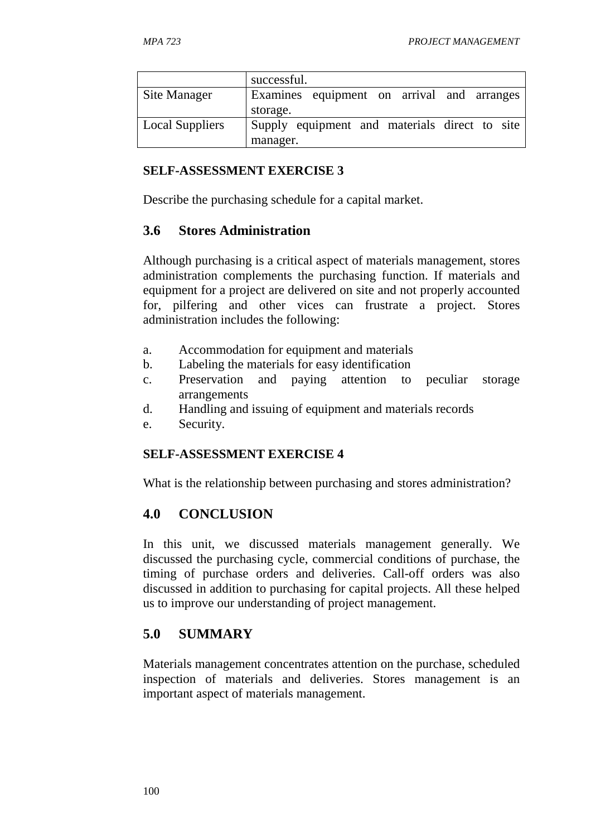|                        | successful.                                   |
|------------------------|-----------------------------------------------|
| Site Manager           | Examines equipment on arrival and arranges    |
|                        | storage.                                      |
| <b>Local Suppliers</b> | Supply equipment and materials direct to site |
|                        | manager.                                      |

#### **SELF-ASSESSMENT EXERCISE 3**

Describe the purchasing schedule for a capital market.

## **3.6 Stores Administration**

Although purchasing is a critical aspect of materials management, stores administration complements the purchasing function. If materials and equipment for a project are delivered on site and not properly accounted for, pilfering and other vices can frustrate a project. Stores administration includes the following:

- a. Accommodation for equipment and materials
- b. Labeling the materials for easy identification
- c. Preservation and paying attention to peculiar storage arrangements
- d. Handling and issuing of equipment and materials records
- e. Security.

### **SELF-ASSESSMENT EXERCISE 4**

What is the relationship between purchasing and stores administration?

# **4.0 CONCLUSION**

In this unit, we discussed materials management generally. We discussed the purchasing cycle, commercial conditions of purchase, the timing of purchase orders and deliveries. Call-off orders was also discussed in addition to purchasing for capital projects. All these helped us to improve our understanding of project management.

# **5.0 SUMMARY**

Materials management concentrates attention on the purchase, scheduled inspection of materials and deliveries. Stores management is an important aspect of materials management.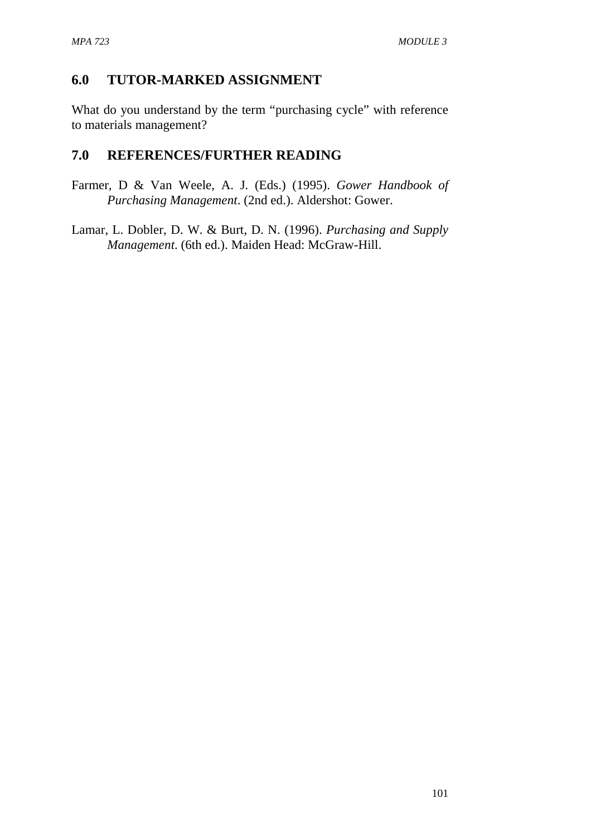## **6.0 TUTOR-MARKED ASSIGNMENT**

What do you understand by the term "purchasing cycle" with reference to materials management?

### **7.0 REFERENCES/FURTHER READING**

Farmer, D & Van Weele, A. J. (Eds.) (1995). *Gower Handbook of Purchasing Management*. (2nd ed.). Aldershot: Gower.

Lamar, L. Dobler, D. W. & Burt, D. N. (1996). *Purchasing and Supply Management*. (6th ed.). Maiden Head: McGraw-Hill.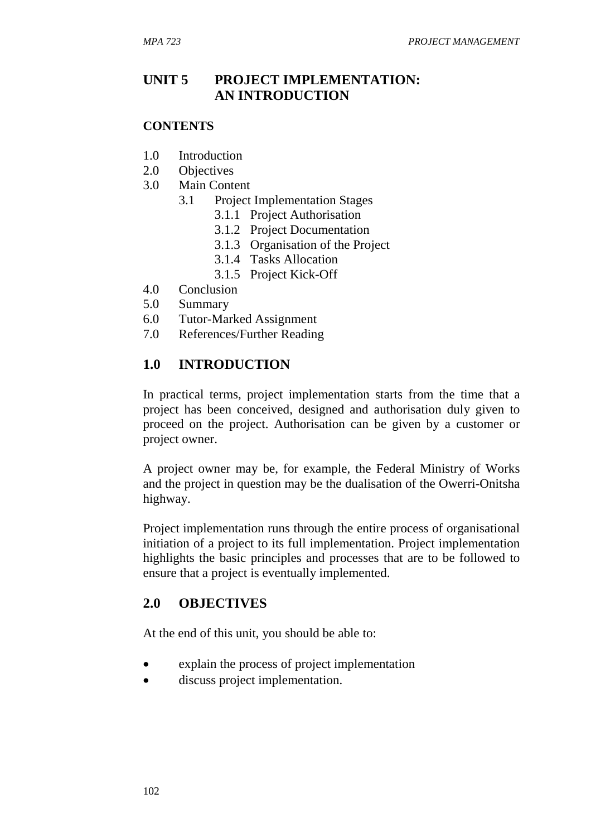### **UNIT 5 PROJECT IMPLEMENTATION: AN INTRODUCTION**

#### **CONTENTS**

- 1.0 Introduction
- 2.0 Objectives
- 3.0 Main Content
	- 3.1 Project Implementation Stages
		- 3.1.1 Project Authorisation
		- 3.1.2 Project Documentation
		- 3.1.3 Organisation of the Project
		- 3.1.4 Tasks Allocation
		- 3.1.5 Project Kick-Off
- 4.0 Conclusion
- 5.0 Summary
- 6.0 Tutor-Marked Assignment
- 7.0 References/Further Reading

### **1.0 INTRODUCTION**

In practical terms, project implementation starts from the time that a project has been conceived, designed and authorisation duly given to proceed on the project. Authorisation can be given by a customer or project owner.

A project owner may be, for example, the Federal Ministry of Works and the project in question may be the dualisation of the Owerri-Onitsha highway.

Project implementation runs through the entire process of organisational initiation of a project to its full implementation. Project implementation highlights the basic principles and processes that are to be followed to ensure that a project is eventually implemented.

#### **2.0 OBJECTIVES**

At the end of this unit, you should be able to:

- explain the process of project implementation
- discuss project implementation.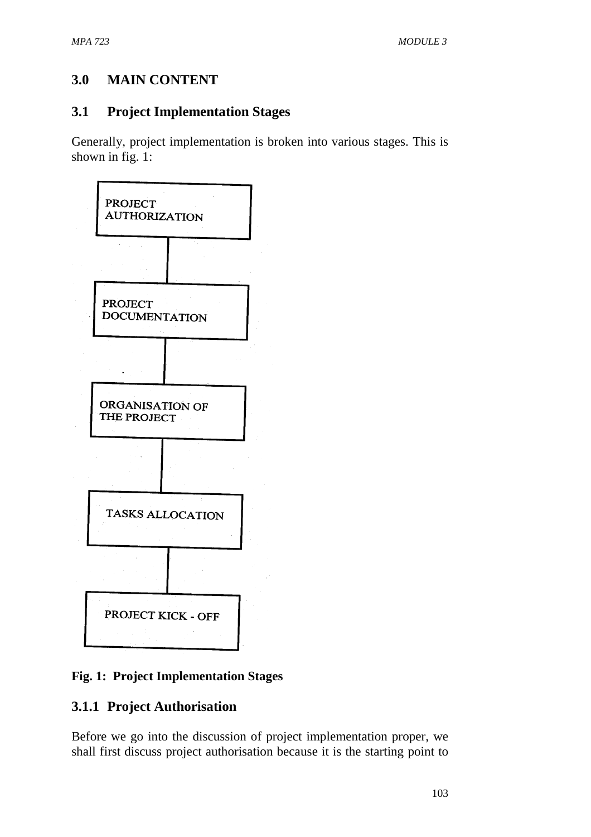# **3.0 MAIN CONTENT**

# **3.1 Project Implementation Stages**

Generally, project implementation is broken into various stages. This is shown in fig. 1:



### **Fig. 1: Project Implementation Stages**

# **3.1.1 Project Authorisation**

Before we go into the discussion of project implementation proper, we shall first discuss project authorisation because it is the starting point to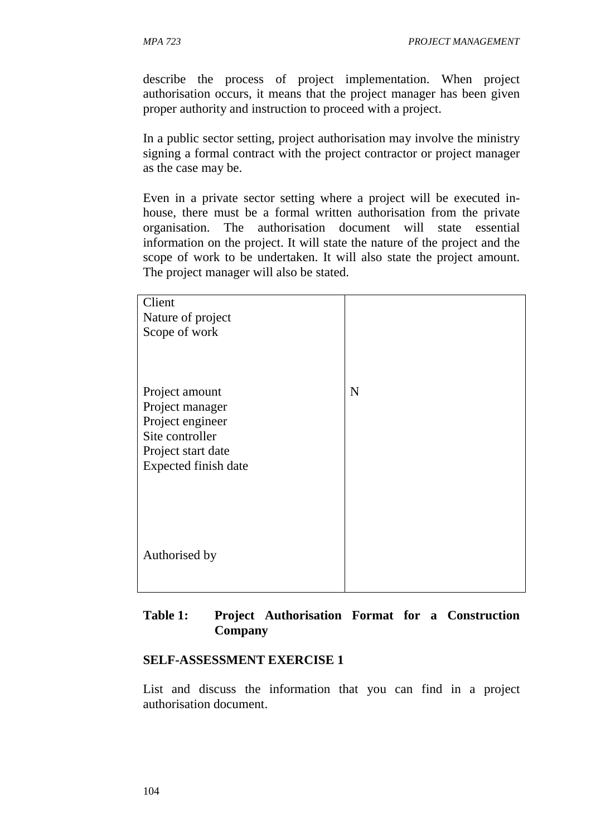describe the process of project implementation. When project authorisation occurs, it means that the project manager has been given proper authority and instruction to proceed with a project.

In a public sector setting, project authorisation may involve the ministry signing a formal contract with the project contractor or project manager as the case may be.

Even in a private sector setting where a project will be executed inhouse, there must be a formal written authorisation from the private organisation. The authorisation document will state essential information on the project. It will state the nature of the project and the scope of work to be undertaken. It will also state the project amount. The project manager will also be stated.

| Client<br>Nature of project<br>Scope of work                                                                           |             |
|------------------------------------------------------------------------------------------------------------------------|-------------|
| Project amount<br>Project manager<br>Project engineer<br>Site controller<br>Project start date<br>Expected finish date | $\mathbf N$ |
| Authorised by                                                                                                          |             |

#### **Table 1: Project Authorisation Format for a Construction Company**

#### **SELF-ASSESSMENT EXERCISE 1**

List and discuss the information that you can find in a project authorisation document.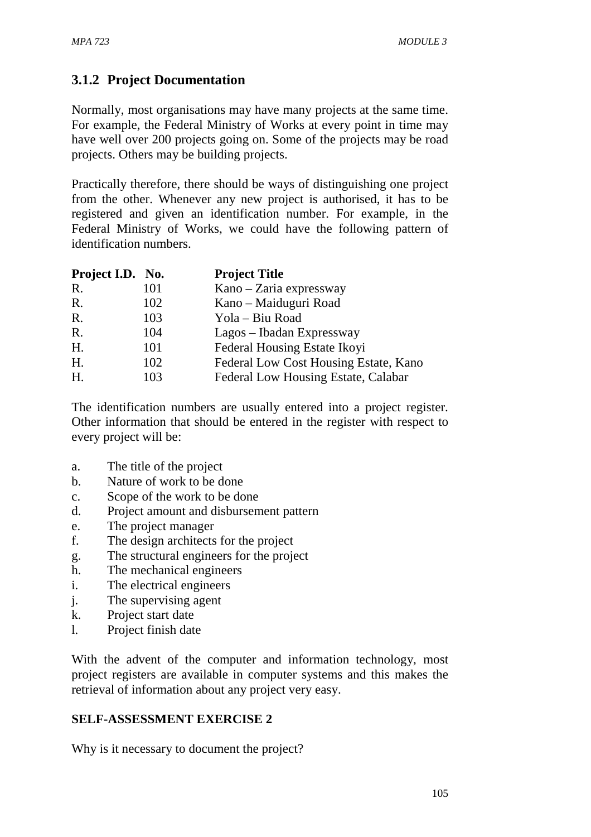# **3.1.2 Project Documentation**

Normally, most organisations may have many projects at the same time. For example, the Federal Ministry of Works at every point in time may have well over 200 projects going on. Some of the projects may be road projects. Others may be building projects.

Practically therefore, there should be ways of distinguishing one project from the other. Whenever any new project is authorised, it has to be registered and given an identification number. For example, in the Federal Ministry of Works, we could have the following pattern of identification numbers.

| Project I.D. No. |     | <b>Project Title</b>                  |
|------------------|-----|---------------------------------------|
| R.               | 101 | Kano – Zaria expressway               |
| R.               | 102 | Kano – Maiduguri Road                 |
| R.               | 103 | Yola – Biu Road                       |
| R.               | 104 | Lagos – Ibadan Expressway             |
| H.               | 101 | Federal Housing Estate Ikovi          |
| Η.               | 102 | Federal Low Cost Housing Estate, Kano |
| H.               | 103 | Federal Low Housing Estate, Calabar   |

The identification numbers are usually entered into a project register. Other information that should be entered in the register with respect to every project will be:

- a. The title of the project
- b. Nature of work to be done
- c. Scope of the work to be done
- d. Project amount and disbursement pattern
- e. The project manager
- f. The design architects for the project
- g. The structural engineers for the project
- h. The mechanical engineers
- i. The electrical engineers
- j. The supervising agent
- k. Project start date
- l. Project finish date

With the advent of the computer and information technology, most project registers are available in computer systems and this makes the retrieval of information about any project very easy.

#### **SELF-ASSESSMENT EXERCISE 2**

Why is it necessary to document the project?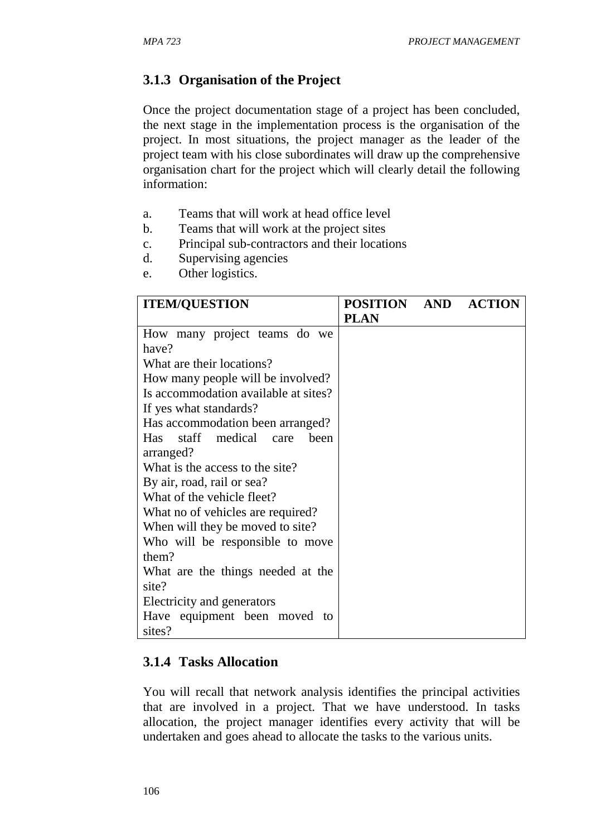# **3.1.3 Organisation of the Project**

Once the project documentation stage of a project has been concluded, the next stage in the implementation process is the organisation of the project. In most situations, the project manager as the leader of the project team with his close subordinates will draw up the comprehensive organisation chart for the project which will clearly detail the following information:

- a. Teams that will work at head office level
- b. Teams that will work at the project sites
- c. Principal sub-contractors and their locations
- d. Supervising agencies
- e. Other logistics.

| <b>ITEM/QUESTION</b>                 | POSITION AND ACTION |  |
|--------------------------------------|---------------------|--|
|                                      | <b>PLAN</b>         |  |
| How many project teams do we         |                     |  |
| have?                                |                     |  |
| What are their locations?            |                     |  |
| How many people will be involved?    |                     |  |
| Is accommodation available at sites? |                     |  |
| If yes what standards?               |                     |  |
| Has accommodation been arranged?     |                     |  |
| Has staff medical care<br>been       |                     |  |
| arranged?                            |                     |  |
| What is the access to the site?      |                     |  |
| By air, road, rail or sea?           |                     |  |
| What of the vehicle fleet?           |                     |  |
| What no of vehicles are required?    |                     |  |
| When will they be moved to site?     |                     |  |
| Who will be responsible to move      |                     |  |
| them?                                |                     |  |
| What are the things needed at the    |                     |  |
| site?                                |                     |  |
| Electricity and generators           |                     |  |
| Have equipment been moved<br>to      |                     |  |
| sites?                               |                     |  |

### **3.1.4 Tasks Allocation**

You will recall that network analysis identifies the principal activities that are involved in a project. That we have understood. In tasks allocation, the project manager identifies every activity that will be undertaken and goes ahead to allocate the tasks to the various units.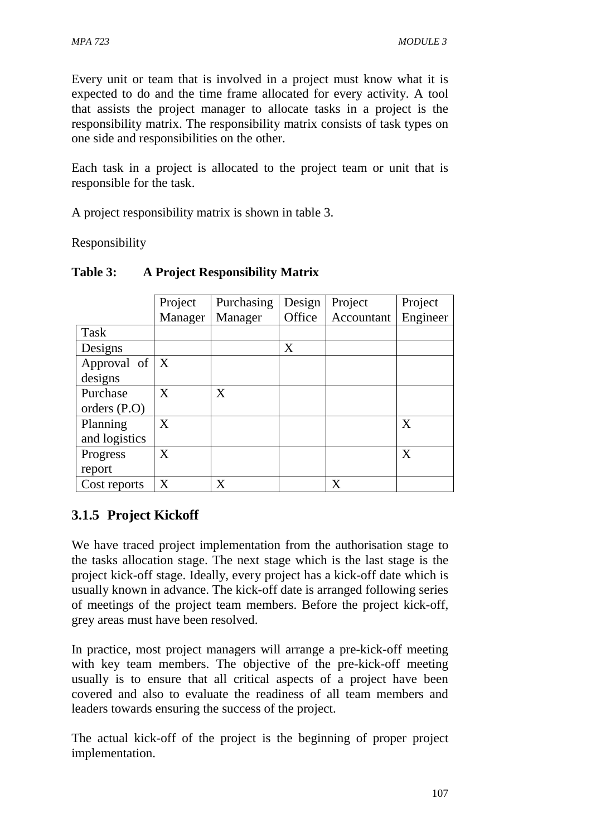Every unit or team that is involved in a project must know what it is expected to do and the time frame allocated for every activity. A tool that assists the project manager to allocate tasks in a project is the responsibility matrix. The responsibility matrix consists of task types on one side and responsibilities on the other.

Each task in a project is allocated to the project team or unit that is responsible for the task.

A project responsibility matrix is shown in table 3.

Responsibility

|                   | Project  | Purchasing | Design | Project    | Project  |
|-------------------|----------|------------|--------|------------|----------|
|                   | Manager  | Manager    | Office | Accountant | Engineer |
| Task              |          |            |        |            |          |
| Designs           |          |            | X      |            |          |
| Approval of $ X $ |          |            |        |            |          |
| designs           |          |            |        |            |          |
| Purchase          | $\bf{X}$ | X          |        |            |          |
| orders $(P.O)$    |          |            |        |            |          |
| Planning          | X        |            |        |            | X        |
| and logistics     |          |            |        |            |          |
| Progress          | X        |            |        |            | X        |
| report            |          |            |        |            |          |
| Cost reports      | $\rm X$  | X          |        | X          |          |

### **Table 3: A Project Responsibility Matrix**

# **3.1.5 Project Kickoff**

We have traced project implementation from the authorisation stage to the tasks allocation stage. The next stage which is the last stage is the project kick-off stage. Ideally, every project has a kick-off date which is usually known in advance. The kick-off date is arranged following series of meetings of the project team members. Before the project kick-off, grey areas must have been resolved.

In practice, most project managers will arrange a pre-kick-off meeting with key team members. The objective of the pre-kick-off meeting usually is to ensure that all critical aspects of a project have been covered and also to evaluate the readiness of all team members and leaders towards ensuring the success of the project.

The actual kick-off of the project is the beginning of proper project implementation.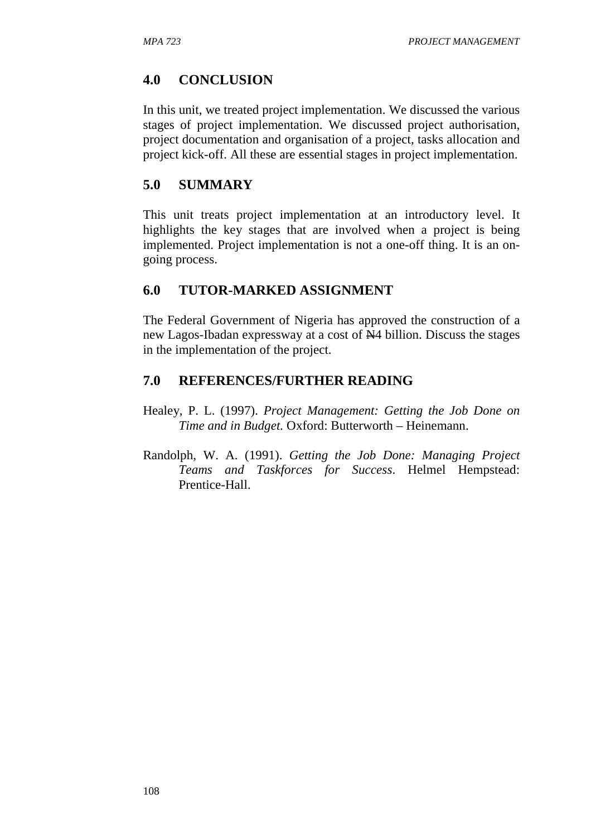### **4.0 CONCLUSION**

In this unit, we treated project implementation. We discussed the various stages of project implementation. We discussed project authorisation, project documentation and organisation of a project, tasks allocation and project kick-off. All these are essential stages in project implementation.

### **5.0 SUMMARY**

This unit treats project implementation at an introductory level. It highlights the key stages that are involved when a project is being implemented. Project implementation is not a one-off thing. It is an ongoing process.

### **6.0 TUTOR-MARKED ASSIGNMENT**

The Federal Government of Nigeria has approved the construction of a new Lagos-Ibadan expressway at a cost of N4 billion. Discuss the stages in the implementation of the project.

### **7.0 REFERENCES/FURTHER READING**

- Healey, P. L. (1997). *Project Management: Getting the Job Done on Time and in Budget.* Oxford: Butterworth – Heinemann.
- Randolph, W. A. (1991). *Getting the Job Done: Managing Project Teams and Taskforces for Success*. Helmel Hempstead: Prentice-Hall.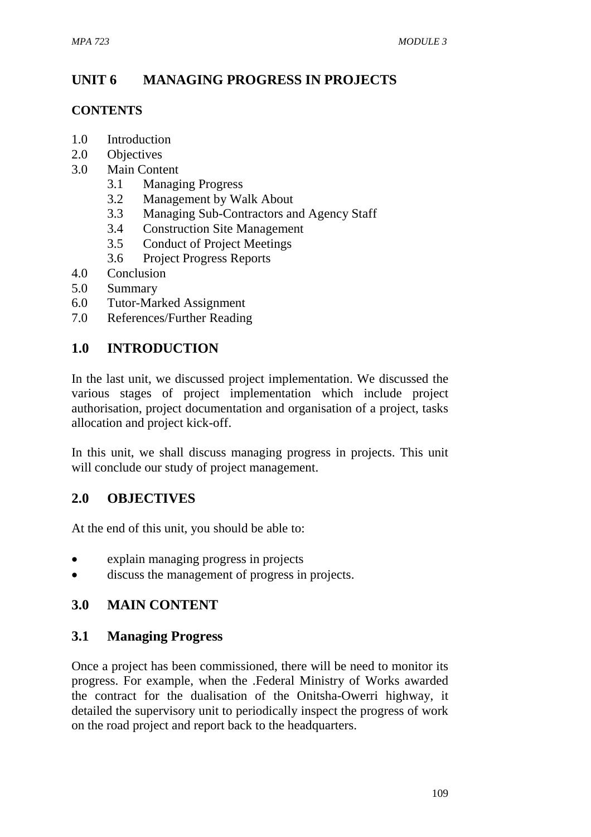# **UNIT 6 MANAGING PROGRESS IN PROJECTS**

#### **CONTENTS**

- 1.0 Introduction
- 2.0 Objectives
- 3.0 Main Content
	- 3.1 Managing Progress
	- 3.2 Management by Walk About
	- 3.3 Managing Sub-Contractors and Agency Staff
	- 3.4 Construction Site Management
	- 3.5 Conduct of Project Meetings
	- 3.6 Project Progress Reports
- 4.0 Conclusion
- 5.0 Summary
- 6.0 Tutor-Marked Assignment
- 7.0 References/Further Reading

## **1.0 INTRODUCTION**

In the last unit, we discussed project implementation. We discussed the various stages of project implementation which include project authorisation, project documentation and organisation of a project, tasks allocation and project kick-off.

In this unit, we shall discuss managing progress in projects. This unit will conclude our study of project management.

### **2.0 OBJECTIVES**

At the end of this unit, you should be able to:

- explain managing progress in projects
- discuss the management of progress in projects.

### **3.0 MAIN CONTENT**

### **3.1 Managing Progress**

Once a project has been commissioned, there will be need to monitor its progress. For example, when the .Federal Ministry of Works awarded the contract for the dualisation of the Onitsha-Owerri highway, it detailed the supervisory unit to periodically inspect the progress of work on the road project and report back to the headquarters.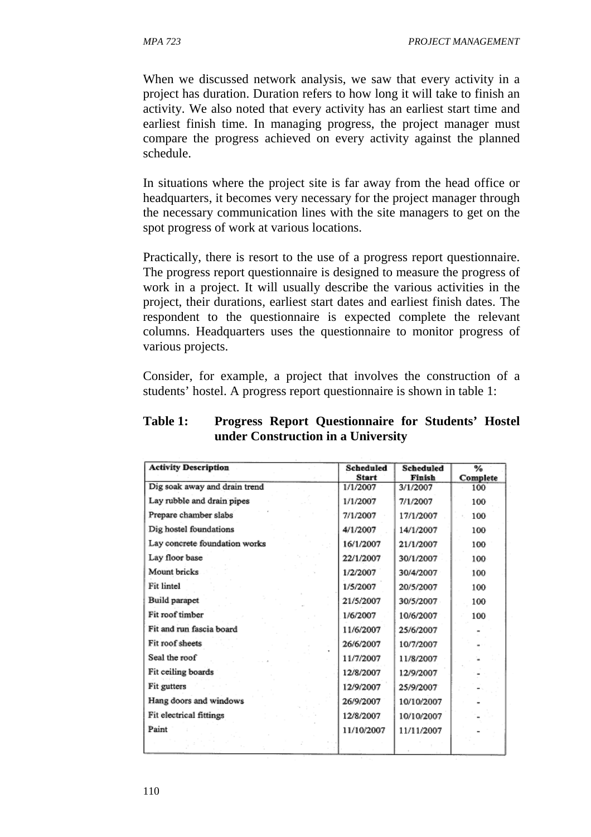When we discussed network analysis, we saw that every activity in a project has duration. Duration refers to how long it will take to finish an activity. We also noted that every activity has an earliest start time and earliest finish time. In managing progress, the project manager must compare the progress achieved on every activity against the planned schedule.

In situations where the project site is far away from the head office or headquarters, it becomes very necessary for the project manager through the necessary communication lines with the site managers to get on the spot progress of work at various locations.

Practically, there is resort to the use of a progress report questionnaire. The progress report questionnaire is designed to measure the progress of work in a project. It will usually describe the various activities in the project, their durations, earliest start dates and earliest finish dates. The respondent to the questionnaire is expected complete the relevant columns. Headquarters uses the questionnaire to monitor progress of various projects.

Consider, for example, a project that involves the construction of a students' hostel. A progress report questionnaire is shown in table 1:

| <b>Activity Description</b>   | Scheduled<br><b>Start</b> | <b>Scheduled</b><br>Finish | %<br>Complete |
|-------------------------------|---------------------------|----------------------------|---------------|
| Dig soak away and drain trend | 1/1/2007                  | 3/1/2007                   | 100           |
| Lay rubble and drain pipes    | 1/1/2007                  | 7/1/2007                   | 100           |
| Prepare chamber slabs         | 7/1/2007                  | 17/1/2007                  | 100           |
| Dig hostel foundations        | 4/1/2007                  | 14/1/2007                  | 100           |
| Lay concrete foundation works | 16/1/2007                 | 21/1/2007                  | 100           |
| Lay floor base                | 22/1/2007                 | 30/1/2007                  | 100           |
| <b>Mount</b> bricks           | 1/2/2007                  | 30/4/2007                  | 100           |
| Fit lintel                    | 1/5/2007                  | 20/5/2007                  | 100           |
| Build parapet                 | 21/5/2007                 | 30/5/2007                  | 100           |
| Fit roof timber               | 1/6/2007                  | 10/6/2007                  | 100           |
| Fit and run fascia board      | 11/6/2007                 | 25/6/2007                  |               |
| Fit roof sheets               | 26/6/2007                 | 10/7/2007                  |               |
| Seal the roof                 | 11/7/2007                 | 11/8/2007                  |               |
| Fit ceiling boards            | 12/8/2007                 | 12/9/2007                  |               |
| Fit gutters                   | 12/9/2007                 | 25/9/2007                  |               |
| Hang doors and windows        | 26/9/2007                 | 10/10/2007                 |               |
| Fit electrical fittings       | 12/8/2007                 | 10/10/2007                 |               |
| Paint                         | 11/10/2007                | 11/11/2007                 |               |
|                               |                           |                            |               |

#### **Table 1: Progress Report Questionnaire for Students' Hostel under Construction in a University**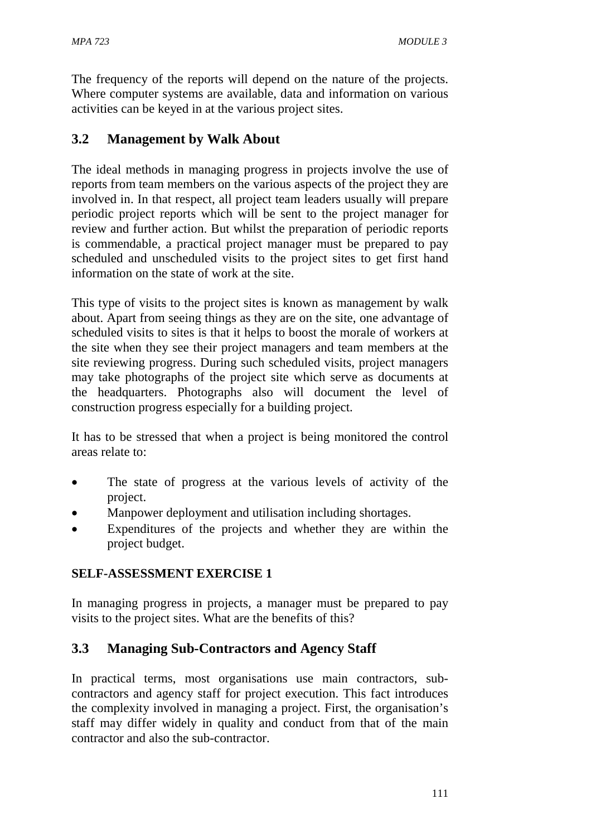The frequency of the reports will depend on the nature of the projects. Where computer systems are available, data and information on various activities can be keyed in at the various project sites.

### **3.2 Management by Walk About**

The ideal methods in managing progress in projects involve the use of reports from team members on the various aspects of the project they are involved in. In that respect, all project team leaders usually will prepare periodic project reports which will be sent to the project manager for review and further action. But whilst the preparation of periodic reports is commendable, a practical project manager must be prepared to pay scheduled and unscheduled visits to the project sites to get first hand information on the state of work at the site.

This type of visits to the project sites is known as management by walk about. Apart from seeing things as they are on the site, one advantage of scheduled visits to sites is that it helps to boost the morale of workers at the site when they see their project managers and team members at the site reviewing progress. During such scheduled visits, project managers may take photographs of the project site which serve as documents at the headquarters. Photographs also will document the level of construction progress especially for a building project.

It has to be stressed that when a project is being monitored the control areas relate to:

- The state of progress at the various levels of activity of the project.
- Manpower deployment and utilisation including shortages.
- Expenditures of the projects and whether they are within the project budget.

### **SELF-ASSESSMENT EXERCISE 1**

In managing progress in projects, a manager must be prepared to pay visits to the project sites. What are the benefits of this?

### **3.3 Managing Sub-Contractors and Agency Staff**

In practical terms, most organisations use main contractors, subcontractors and agency staff for project execution. This fact introduces the complexity involved in managing a project. First, the organisation's staff may differ widely in quality and conduct from that of the main contractor and also the sub-contractor.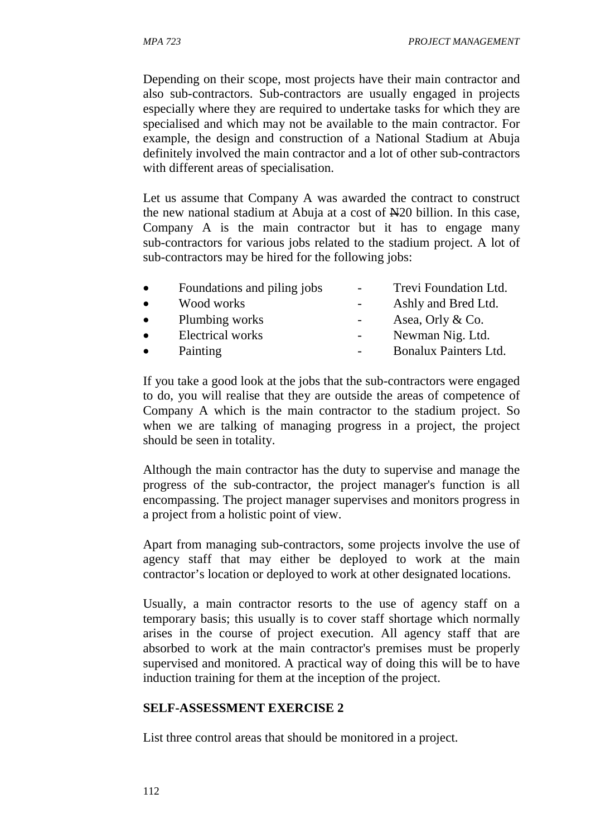Depending on their scope, most projects have their main contractor and also sub-contractors. Sub-contractors are usually engaged in projects especially where they are required to undertake tasks for which they are specialised and which may not be available to the main contractor. For example, the design and construction of a National Stadium at Abuja definitely involved the main contractor and a lot of other sub-contractors with different areas of specialisation.

Let us assume that Company A was awarded the contract to construct the new national stadium at Abuja at a cost of  $\mathbb{H}20$  billion. In this case, Company A is the main contractor but it has to engage many sub-contractors for various jobs related to the stadium project. A lot of sub-contractors may be hired for the following jobs:

| $\bullet$ | Foundations and piling jobs | Trevi Foundation Ltd. |
|-----------|-----------------------------|-----------------------|
| $\bullet$ | Wood works                  | Ashly and Bred Ltd.   |
| $\bullet$ | Plumbing works              | Asea, Orly & Co.      |
| $\bullet$ | Electrical works            | Newman Nig. Ltd.      |
| $\bullet$ | Painting                    | Bonalux Painters Ltd. |

If you take a good look at the jobs that the sub-contractors were engaged to do, you will realise that they are outside the areas of competence of Company A which is the main contractor to the stadium project. So when we are talking of managing progress in a project, the project should be seen in totality.

Although the main contractor has the duty to supervise and manage the progress of the sub-contractor, the project manager's function is all encompassing. The project manager supervises and monitors progress in a project from a holistic point of view.

Apart from managing sub-contractors, some projects involve the use of agency staff that may either be deployed to work at the main contractor's location or deployed to work at other designated locations.

Usually, a main contractor resorts to the use of agency staff on a temporary basis; this usually is to cover staff shortage which normally arises in the course of project execution. All agency staff that are absorbed to work at the main contractor's premises must be properly supervised and monitored. A practical way of doing this will be to have induction training for them at the inception of the project.

#### **SELF-ASSESSMENT EXERCISE 2**

List three control areas that should be monitored in a project.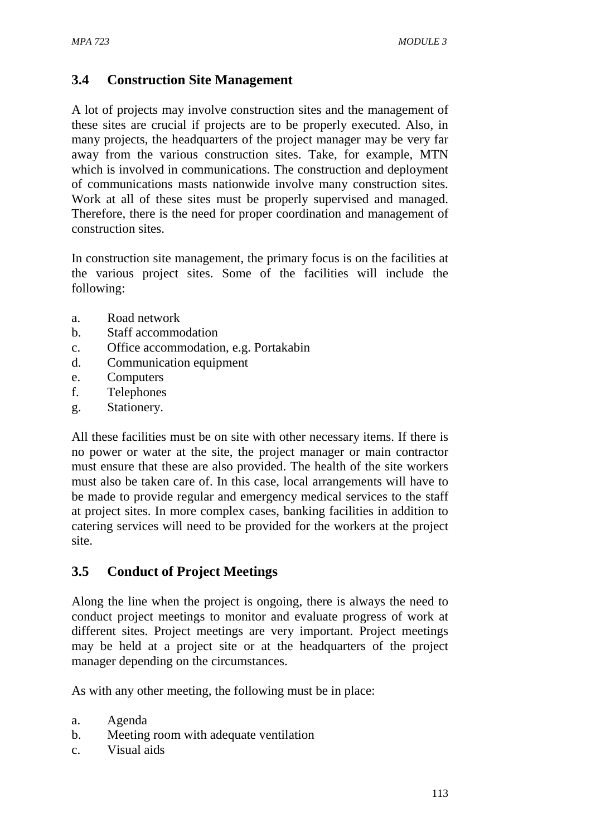## **3.4 Construction Site Management**

A lot of projects may involve construction sites and the management of these sites are crucial if projects are to be properly executed. Also, in many projects, the headquarters of the project manager may be very far away from the various construction sites. Take, for example, MTN which is involved in communications. The construction and deployment of communications masts nationwide involve many construction sites. Work at all of these sites must be properly supervised and managed. Therefore, there is the need for proper coordination and management of construction sites.

In construction site management, the primary focus is on the facilities at the various project sites. Some of the facilities will include the following:

- a. Road network
- b. Staff accommodation
- c. Office accommodation, e.g. Portakabin
- d. Communication equipment
- e. Computers
- f. Telephones
- g. Stationery.

All these facilities must be on site with other necessary items. If there is no power or water at the site, the project manager or main contractor must ensure that these are also provided. The health of the site workers must also be taken care of. In this case, local arrangements will have to be made to provide regular and emergency medical services to the staff at project sites. In more complex cases, banking facilities in addition to catering services will need to be provided for the workers at the project site.

# **3.5 Conduct of Project Meetings**

Along the line when the project is ongoing, there is always the need to conduct project meetings to monitor and evaluate progress of work at different sites. Project meetings are very important. Project meetings may be held at a project site or at the headquarters of the project manager depending on the circumstances.

As with any other meeting, the following must be in place:

- a. Agenda
- b. Meeting room with adequate ventilation
- c. Visual aids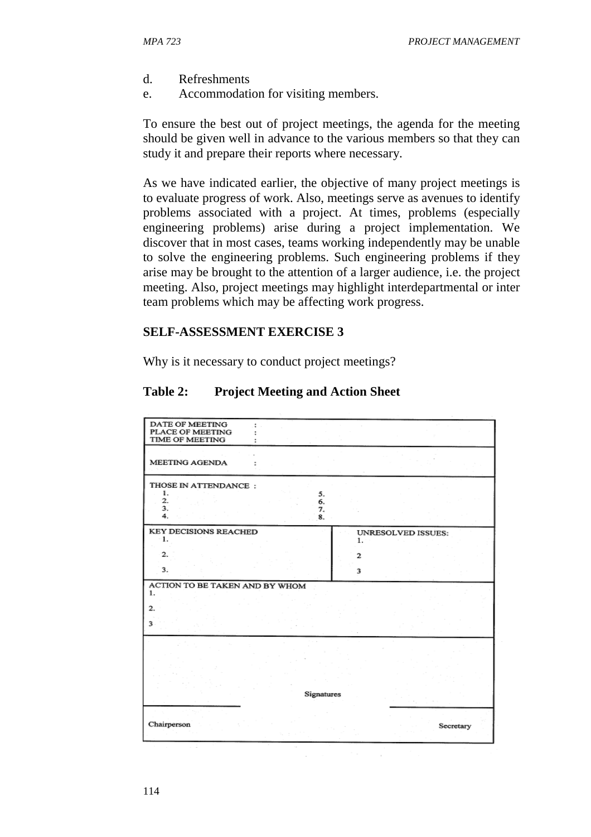- d. Refreshments
- e. Accommodation for visiting members.

To ensure the best out of project meetings, the agenda for the meeting should be given well in advance to the various members so that they can study it and prepare their reports where necessary.

As we have indicated earlier, the objective of many project meetings is to evaluate progress of work. Also, meetings serve as avenues to identify problems associated with a project. At times, problems (especially engineering problems) arise during a project implementation. We discover that in most cases, teams working independently may be unable to solve the engineering problems. Such engineering problems if they arise may be brought to the attention of a larger audience, i.e. the project meeting. Also, project meetings may highlight interdepartmental or inter team problems which may be affecting work progress.

#### **SELF-ASSESSMENT EXERCISE 3**

Why is it necessary to conduct project meetings?

#### **Table 2: Project Meeting and Action Sheet**

| DATE OF MEETING<br>PLACE OF MEETING<br><b>TIME OF MEETING</b>        |                   |                    |
|----------------------------------------------------------------------|-------------------|--------------------|
| <b>MEETING AGENDA</b>                                                |                   |                    |
| THOSE IN ATTENDANCE:<br>1.<br>5.<br>2.<br>6.<br>3.<br>7.<br>4.<br>8. |                   |                    |
| <b>KEY DECISIONS REACHED</b><br>-1.                                  | 1.                | UNRESOLVED ISSUES: |
| 2.<br>3.1                                                            | $\mathbf{z}$<br>3 |                    |
| ACTION TO BE TAKEN AND BY WHOM<br>1.<br>2.                           |                   |                    |
| 3                                                                    |                   |                    |
|                                                                      |                   |                    |
| <b>Signatures</b>                                                    |                   |                    |
| Chairperson                                                          |                   | Secretary          |